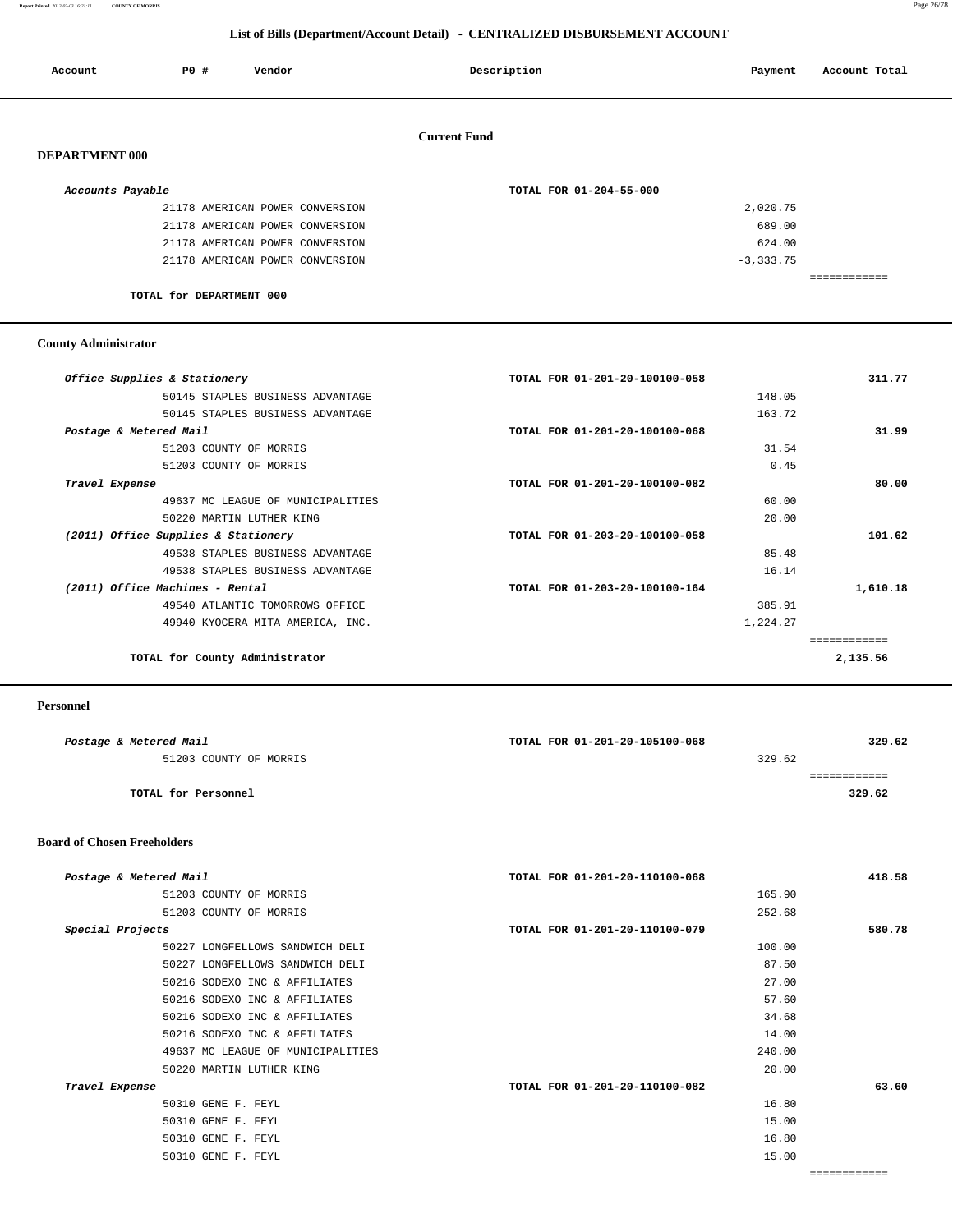**Report Printed** *2012-02-03 16:21:11* **COUNTY OF MORRIS** Page 26/78

## **List of Bills (Department/Account Detail) - CENTRALIZED DISBURSEMENT ACCOUNT**

| Account               | P0 #                     | Vendor                          | Description             | Payment      | Account Total |
|-----------------------|--------------------------|---------------------------------|-------------------------|--------------|---------------|
| <b>DEPARTMENT 000</b> |                          |                                 | <b>Current Fund</b>     |              |               |
| Accounts Payable      |                          |                                 | TOTAL FOR 01-204-55-000 |              |               |
|                       |                          | 21178 AMERICAN POWER CONVERSION |                         | 2,020.75     |               |
|                       |                          | 21178 AMERICAN POWER CONVERSION |                         | 689.00       |               |
|                       |                          | 21178 AMERICAN POWER CONVERSION |                         | 624.00       |               |
|                       |                          | 21178 AMERICAN POWER CONVERSION |                         | $-3, 333.75$ |               |
|                       |                          |                                 |                         |              | ------------  |
|                       | TOTAL for DEPARTMENT 000 |                                 |                         |              |               |

## **County Administrator**

| Office Supplies & Stationery        | TOTAL FOR 01-201-20-100100-058 | 311.77   |
|-------------------------------------|--------------------------------|----------|
| 50145 STAPLES BUSINESS ADVANTAGE    | 148.05                         |          |
| 50145 STAPLES BUSINESS ADVANTAGE    | 163.72                         |          |
| Postage & Metered Mail              | TOTAL FOR 01-201-20-100100-068 | 31.99    |
| 51203 COUNTY OF MORRIS              | 31.54                          |          |
| 51203 COUNTY OF MORRIS              | 0.45                           |          |
| Travel Expense                      | TOTAL FOR 01-201-20-100100-082 | 80.00    |
| 49637 MC LEAGUE OF MUNICIPALITIES   | 60.00                          |          |
| 50220 MARTIN LUTHER KING            | 20.00                          |          |
| (2011) Office Supplies & Stationery | TOTAL FOR 01-203-20-100100-058 | 101.62   |
| 49538 STAPLES BUSINESS ADVANTAGE    | 85.48                          |          |
| 49538 STAPLES BUSINESS ADVANTAGE    | 16.14                          |          |
| (2011) Office Machines - Rental     | TOTAL FOR 01-203-20-100100-164 | 1,610.18 |
| 49540 ATLANTIC TOMORROWS OFFICE     | 385.91                         |          |
| 49940 KYOCERA MITA AMERICA, INC.    | 1,224.27                       |          |
|                                     |                                |          |
| TOTAL for County Administrator      |                                | 2,135.56 |

#### **Personnel**

| Postage & Metered Mail | 329.62<br>TOTAL FOR 01-201-20-105100-068 |  |
|------------------------|------------------------------------------|--|
| 51203 COUNTY OF MORRIS | 329.62                                   |  |
|                        |                                          |  |
| TOTAL for Personnel    | 329.62                                   |  |
|                        |                                          |  |

#### **Board of Chosen Freeholders**

| Postage & Metered Mail            | TOTAL FOR 01-201-20-110100-068 | 418.58       |
|-----------------------------------|--------------------------------|--------------|
| 51203 COUNTY OF MORRIS            | 165.90                         |              |
| 51203 COUNTY OF MORRIS            | 252.68                         |              |
| Special Projects                  | TOTAL FOR 01-201-20-110100-079 | 580.78       |
| 50227 LONGFELLOWS SANDWICH DELI   | 100.00                         |              |
| 50227 LONGFELLOWS SANDWICH DELI   | 87.50                          |              |
| 50216 SODEXO INC & AFFILIATES     | 27.00                          |              |
| 50216 SODEXO INC & AFFILIATES     | 57.60                          |              |
| 50216 SODEXO INC & AFFILIATES     | 34.68                          |              |
| 50216 SODEXO INC & AFFILIATES     | 14.00                          |              |
| 49637 MC LEAGUE OF MUNICIPALITIES | 240.00                         |              |
| 50220 MARTIN LUTHER KING          | 20.00                          |              |
| Travel Expense                    | TOTAL FOR 01-201-20-110100-082 | 63.60        |
| 50310 GENE F. FEYL                | 16.80                          |              |
| 50310 GENE F. FEYL                | 15.00                          |              |
| 50310 GENE F. FEYL                | 16.80                          |              |
| 50310 GENE F. FEYL                | 15.00                          |              |
|                                   |                                | ============ |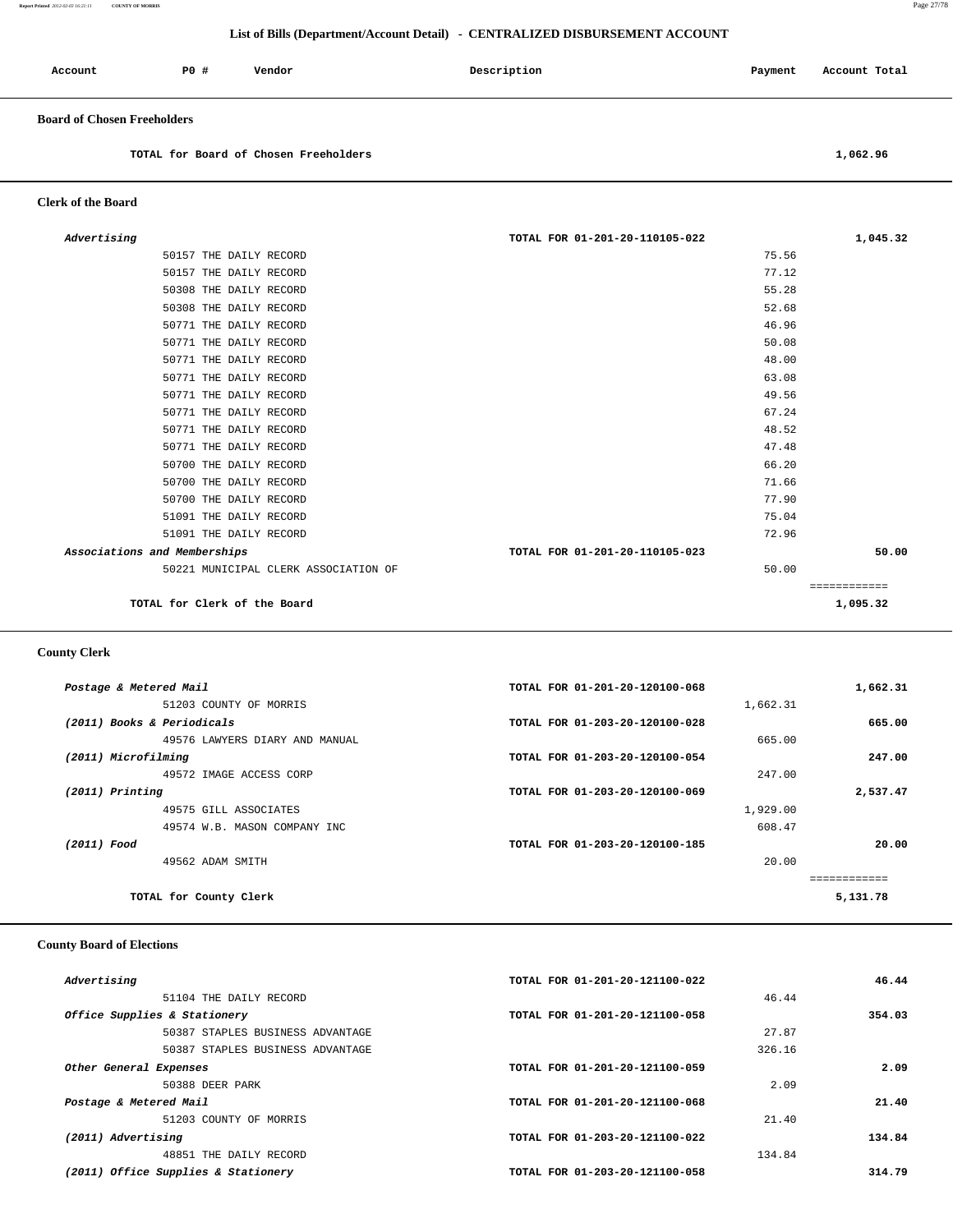#### **Report Printed** *2012-02-03 16:21:11* **COUNTY OF MORRIS** Page 27/78

## **List of Bills (Department/Account Detail) - CENTRALIZED DISBURSEMENT ACCOUNT**

| Account           | PO# | Vendor | Description | Payment | Account Total |
|-------------------|-----|--------|-------------|---------|---------------|
| _________________ |     |        |             |         |               |

# **Board of Chosen Freeholders**

 **Clerk of the Board** 

**TOTAL for Board of Chosen Freeholders 1,062.96**

| Advertising                          | TOTAL FOR 01-201-20-110105-022 | 1,045.32     |
|--------------------------------------|--------------------------------|--------------|
| 50157 THE DAILY RECORD               | 75.56                          |              |
| 50157 THE DAILY RECORD               | 77.12                          |              |
| 50308 THE DAILY RECORD               | 55.28                          |              |
| 50308 THE DAILY RECORD               | 52.68                          |              |
| 50771 THE DAILY RECORD               | 46.96                          |              |
| 50771 THE DAILY RECORD               | 50.08                          |              |
| 50771 THE DAILY RECORD               | 48.00                          |              |
| 50771 THE DAILY RECORD               | 63.08                          |              |
| 50771 THE DAILY RECORD               | 49.56                          |              |
| 50771 THE DAILY RECORD               | 67.24                          |              |
| 50771 THE DAILY RECORD               | 48.52                          |              |
| 50771 THE DAILY RECORD               | 47.48                          |              |
| 50700 THE DAILY RECORD               | 66.20                          |              |
| 50700 THE DAILY RECORD               | 71.66                          |              |
| 50700 THE DAILY RECORD               | 77.90                          |              |
| 51091 THE DAILY RECORD               | 75.04                          |              |
| 51091 THE DAILY RECORD               | 72.96                          |              |
| Associations and Memberships         | TOTAL FOR 01-201-20-110105-023 | 50.00        |
| 50221 MUNICIPAL CLERK ASSOCIATION OF | 50.00                          |              |
|                                      |                                | ============ |
| TOTAL for Clerk of the Board         |                                | 1,095.32     |

 **County Clerk** 

| Postage & Metered Mail         | TOTAL FOR 01-201-20-120100-068 | 1,662.31 |
|--------------------------------|--------------------------------|----------|
| 51203 COUNTY OF MORRIS         | 1,662.31                       |          |
| (2011) Books & Periodicals     | TOTAL FOR 01-203-20-120100-028 | 665.00   |
| 49576 LAWYERS DIARY AND MANUAL | 665.00                         |          |
| (2011) Microfilming            | TOTAL FOR 01-203-20-120100-054 | 247.00   |
| 49572 IMAGE ACCESS CORP        | 247.00                         |          |
| $(2011)$ Printing              | TOTAL FOR 01-203-20-120100-069 | 2,537.47 |
| 49575 GILL ASSOCIATES          | 1,929.00                       |          |
| 49574 W.B. MASON COMPANY INC   | 608.47                         |          |
| (2011) Food                    | TOTAL FOR 01-203-20-120100-185 | 20.00    |
| 49562 ADAM SMITH               | 20.00                          |          |
|                                |                                |          |
| TOTAL for County Clerk         |                                | 5,131.78 |

#### **County Board of Elections**

| Advertising                         | TOTAL FOR 01-201-20-121100-022 | 46.44  |
|-------------------------------------|--------------------------------|--------|
| 51104 THE DAILY RECORD              | 46.44                          |        |
| Office Supplies & Stationery        | TOTAL FOR 01-201-20-121100-058 | 354.03 |
| 50387 STAPLES BUSINESS ADVANTAGE    | 27.87                          |        |
| 50387 STAPLES BUSINESS ADVANTAGE    | 326.16                         |        |
| Other General Expenses              | TOTAL FOR 01-201-20-121100-059 | 2.09   |
| 50388 DEER PARK                     | 2.09                           |        |
| Postage & Metered Mail              | TOTAL FOR 01-201-20-121100-068 | 21.40  |
| 51203 COUNTY OF MORRIS              | 21.40                          |        |
| (2011) Advertising                  | TOTAL FOR 01-203-20-121100-022 | 134.84 |
| 48851 THE DAILY RECORD              | 134.84                         |        |
| (2011) Office Supplies & Stationery | TOTAL FOR 01-203-20-121100-058 | 314.79 |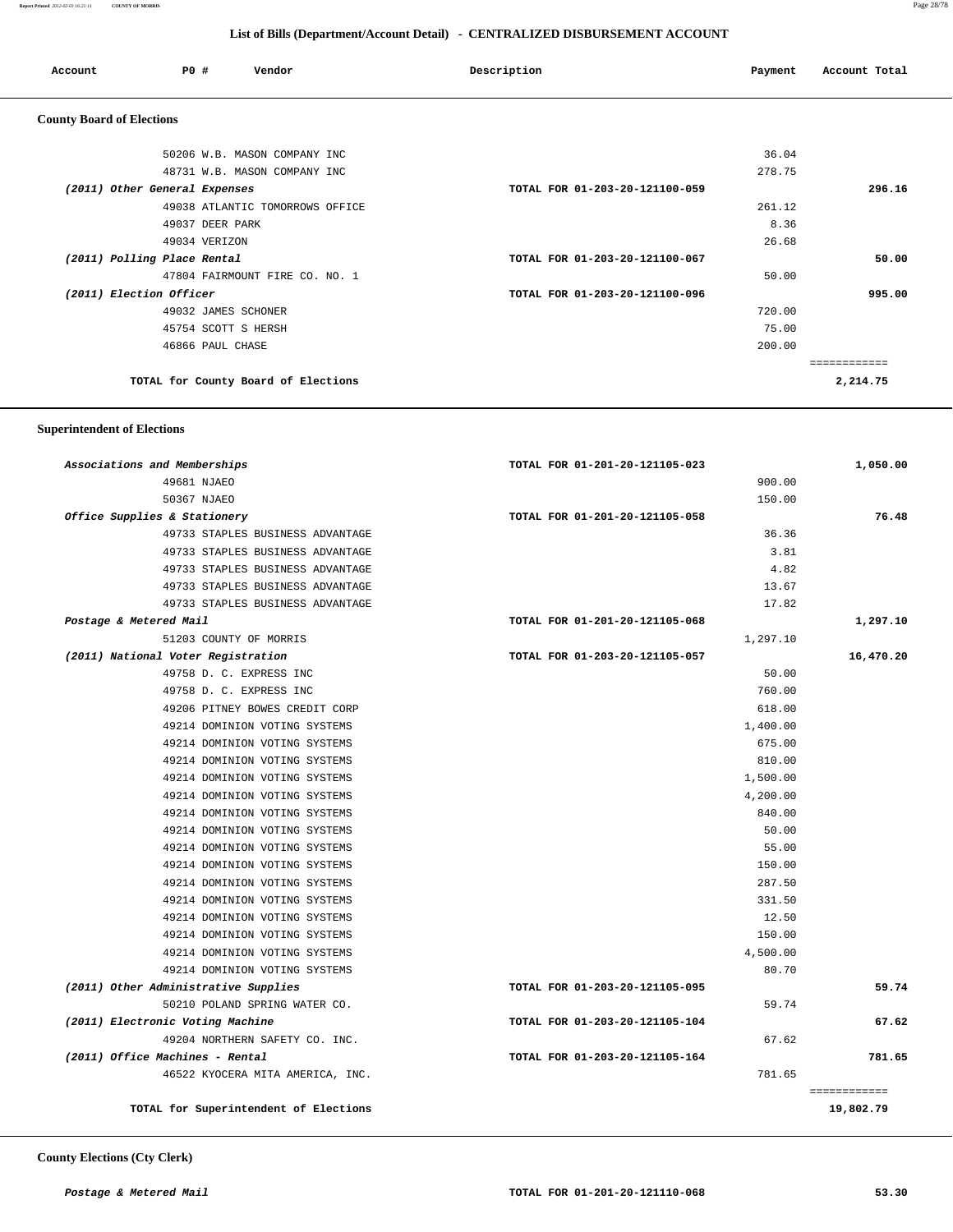#### **Report Printed** *2012-02-03 16:21:11* **COUNTY OF MORRIS** Page 28/78

#### **List of Bills (Department/Account Detail) - CENTRALIZED DISBURSEMENT ACCOUNT**

|                                  |                               | Letter of Bins (Deput intental recount Detail) | Conventionation between the recovered |         |               |
|----------------------------------|-------------------------------|------------------------------------------------|---------------------------------------|---------|---------------|
| Account                          | PO#                           | Vendor                                         | Description                           | Payment | Account Total |
| <b>County Board of Elections</b> |                               |                                                |                                       |         |               |
|                                  |                               | 50206 W.B. MASON COMPANY INC                   |                                       | 36.04   |               |
|                                  |                               | 48731 W.B. MASON COMPANY INC                   |                                       | 278.75  |               |
|                                  | (2011) Other General Expenses |                                                | TOTAL FOR 01-203-20-121100-059        |         | 296.16        |
|                                  |                               | 49038 ATLANTIC TOMORROWS OFFICE                |                                       | 261.12  |               |
|                                  | 49037 DEER PARK               |                                                |                                       | 8.36    |               |
|                                  | 49034 VERIZON                 |                                                |                                       | 26.68   |               |
|                                  | (2011) Polling Place Rental   |                                                | TOTAL FOR 01-203-20-121100-067        |         | 50.00         |
|                                  |                               | 47804 FAIRMOUNT FIRE CO. NO. 1                 |                                       | 50.00   |               |
|                                  | (2011) Election Officer       |                                                | TOTAL FOR 01-203-20-121100-096        |         | 995.00        |
|                                  |                               | 49032 JAMES SCHONER                            |                                       | 720.00  |               |
|                                  |                               | 45754 SCOTT S HERSH                            |                                       | 75.00   |               |

 46866 PAUL CHASE 200.00 ============ **TOTAL for County Board of Elections 2,214.75**

## **Superintendent of Elections**

| Associations and Memberships          | TOTAL FOR 01-201-20-121105-023 | 1,050.00     |
|---------------------------------------|--------------------------------|--------------|
| 49681 NJAEO                           | 900.00                         |              |
| 50367 NJAEO                           | 150.00                         |              |
| Office Supplies & Stationery          | TOTAL FOR 01-201-20-121105-058 | 76.48        |
| 49733 STAPLES BUSINESS ADVANTAGE      | 36.36                          |              |
| 49733 STAPLES BUSINESS ADVANTAGE      | 3.81                           |              |
| 49733 STAPLES BUSINESS ADVANTAGE      | 4.82                           |              |
| 49733 STAPLES BUSINESS ADVANTAGE      | 13.67                          |              |
| 49733 STAPLES BUSINESS ADVANTAGE      | 17.82                          |              |
| Postage & Metered Mail                | TOTAL FOR 01-201-20-121105-068 | 1,297.10     |
| 51203 COUNTY OF MORRIS                | 1,297.10                       |              |
| (2011) National Voter Registration    | TOTAL FOR 01-203-20-121105-057 | 16,470.20    |
| 49758 D. C. EXPRESS INC               | 50.00                          |              |
| 49758 D. C. EXPRESS INC               | 760.00                         |              |
| 49206 PITNEY BOWES CREDIT CORP        | 618.00                         |              |
| 49214 DOMINION VOTING SYSTEMS         | 1,400.00                       |              |
| 49214 DOMINION VOTING SYSTEMS         | 675.00                         |              |
| 49214 DOMINION VOTING SYSTEMS         | 810.00                         |              |
| 49214 DOMINION VOTING SYSTEMS         | 1,500.00                       |              |
| 49214 DOMINION VOTING SYSTEMS         | 4,200.00                       |              |
| 49214 DOMINION VOTING SYSTEMS         | 840.00                         |              |
| 49214 DOMINION VOTING SYSTEMS         | 50.00                          |              |
| 49214 DOMINION VOTING SYSTEMS         | 55.00                          |              |
| 49214 DOMINION VOTING SYSTEMS         | 150.00                         |              |
| 49214 DOMINION VOTING SYSTEMS         | 287.50                         |              |
| 49214 DOMINION VOTING SYSTEMS         | 331.50                         |              |
| 49214 DOMINION VOTING SYSTEMS         | 12.50                          |              |
| 49214 DOMINION VOTING SYSTEMS         | 150.00                         |              |
| 49214 DOMINION VOTING SYSTEMS         | 4,500.00                       |              |
| 49214 DOMINION VOTING SYSTEMS         | 80.70                          |              |
| (2011) Other Administrative Supplies  | TOTAL FOR 01-203-20-121105-095 | 59.74        |
| 50210 POLAND SPRING WATER CO.         | 59.74                          |              |
| (2011) Electronic Voting Machine      | TOTAL FOR 01-203-20-121105-104 | 67.62        |
| 49204 NORTHERN SAFETY CO. INC.        | 67.62                          |              |
| (2011) Office Machines - Rental       | TOTAL FOR 01-203-20-121105-164 | 781.65       |
| 46522 KYOCERA MITA AMERICA, INC.      | 781.65                         |              |
|                                       |                                | ============ |
| TOTAL for Superintendent of Elections |                                | 19,802.79    |

 **County Elections (Cty Clerk)**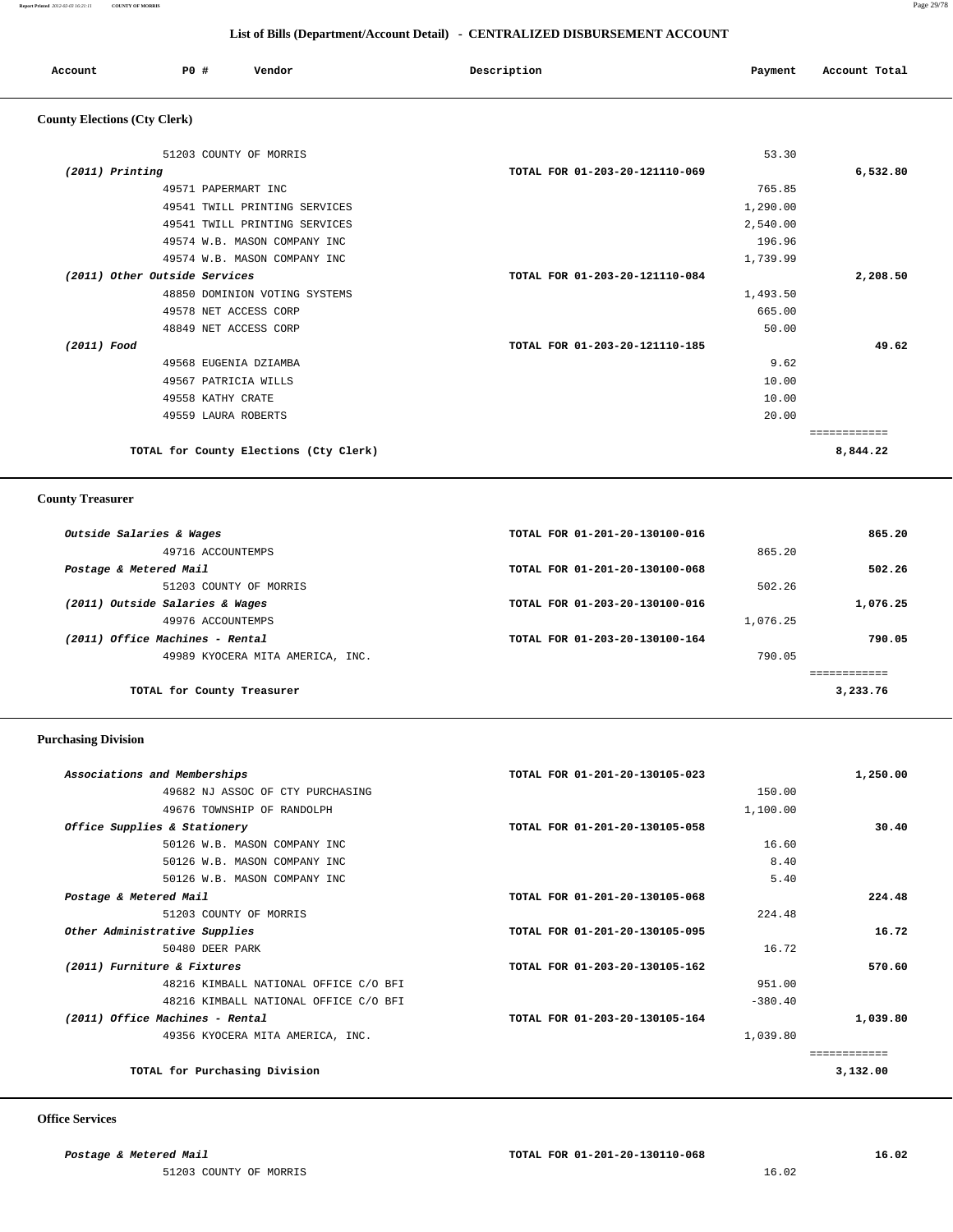| Account                             | <b>PO #</b> | Vendor                        | Description                    | Payment  | Account Total |
|-------------------------------------|-------------|-------------------------------|--------------------------------|----------|---------------|
| <b>County Elections (Cty Clerk)</b> |             |                               |                                |          |               |
|                                     |             | 51203 COUNTY OF MORRIS        |                                | 53.30    |               |
| (2011) Printing                     |             |                               | TOTAL FOR 01-203-20-121110-069 |          | 6,532.80      |
|                                     |             | 49571 PAPERMART INC           |                                | 765.85   |               |
|                                     |             | 49541 TWILL PRINTING SERVICES |                                | 1,290.00 |               |
|                                     |             | 49541 TWILL PRINTING SERVICES |                                | 2,540.00 |               |
|                                     |             | 49574 W.B. MASON COMPANY INC  |                                | 196.96   |               |
|                                     |             | 49574 W.B. MASON COMPANY INC  |                                | 1,739.99 |               |
| (2011) Other Outside Services       |             |                               | TOTAL FOR 01-203-20-121110-084 |          | 2,208.50      |
|                                     |             | 48850 DOMINION VOTING SYSTEMS |                                | 1,493.50 |               |
|                                     |             | 49578 NET ACCESS CORP         |                                | 665.00   |               |
|                                     |             | 48849 NET ACCESS CORP         |                                | 50.00    |               |
| (2011) Food                         |             |                               | TOTAL FOR 01-203-20-121110-185 |          | 49.62         |
|                                     |             | 49568 EUGENIA DZIAMBA         |                                | 9.62     |               |
|                                     |             | 49567 PATRICIA WILLS          |                                | 10.00    |               |
|                                     |             | 49558 KATHY CRATE             |                                | 10.00    |               |
|                                     |             | 49559 LAURA ROBERTS           |                                | 20.00    |               |
|                                     |             |                               |                                |          | ============  |

**TOTAL for County Elections (Cty Clerk) 8,844.22**

 **County Treasurer** 

| Outside Salaries & Wages         | TOTAL FOR 01-201-20-130100-016 |          | 865.20   |
|----------------------------------|--------------------------------|----------|----------|
| 49716 ACCOUNTEMPS                |                                | 865.20   |          |
| Postage & Metered Mail           | TOTAL FOR 01-201-20-130100-068 |          | 502.26   |
| 51203 COUNTY OF MORRIS           |                                | 502.26   |          |
| (2011) Outside Salaries & Wages  | TOTAL FOR 01-203-20-130100-016 |          | 1,076.25 |
| 49976 ACCOUNTEMPS                |                                | 1,076.25 |          |
| (2011) Office Machines - Rental  | TOTAL FOR 01-203-20-130100-164 |          | 790.05   |
| 49989 KYOCERA MITA AMERICA, INC. |                                | 790.05   |          |
|                                  |                                |          |          |
| TOTAL for County Treasurer       |                                |          | 3,233.76 |
|                                  |                                |          |          |

#### **Purchasing Division**

| Associations and Memberships          | TOTAL FOR 01-201-20-130105-023 |           | 1,250.00     |
|---------------------------------------|--------------------------------|-----------|--------------|
| 49682 NJ ASSOC OF CTY PURCHASING      |                                | 150.00    |              |
| 49676 TOWNSHIP OF RANDOLPH            |                                | 1,100.00  |              |
| Office Supplies & Stationery          | TOTAL FOR 01-201-20-130105-058 |           | 30.40        |
| 50126 W.B. MASON COMPANY INC          |                                | 16.60     |              |
| 50126 W.B. MASON COMPANY INC          |                                | 8.40      |              |
| 50126 W.B. MASON COMPANY INC          |                                | 5.40      |              |
| Postage & Metered Mail                | TOTAL FOR 01-201-20-130105-068 |           | 224.48       |
| 51203 COUNTY OF MORRIS                |                                | 224.48    |              |
| Other Administrative Supplies         | TOTAL FOR 01-201-20-130105-095 |           | 16.72        |
| 50480 DEER PARK                       |                                | 16.72     |              |
| (2011) Furniture & Fixtures           | TOTAL FOR 01-203-20-130105-162 |           | 570.60       |
| 48216 KIMBALL NATIONAL OFFICE C/O BFI |                                | 951.00    |              |
| 48216 KIMBALL NATIONAL OFFICE C/O BFI |                                | $-380.40$ |              |
| (2011) Office Machines - Rental       | TOTAL FOR 01-203-20-130105-164 |           | 1,039.80     |
| 49356 KYOCERA MITA AMERICA, INC.      |                                | 1,039.80  |              |
|                                       |                                |           | ------------ |
| TOTAL for Purchasing Division         |                                |           | 3,132.00     |
|                                       |                                |           |              |

#### **Office Services**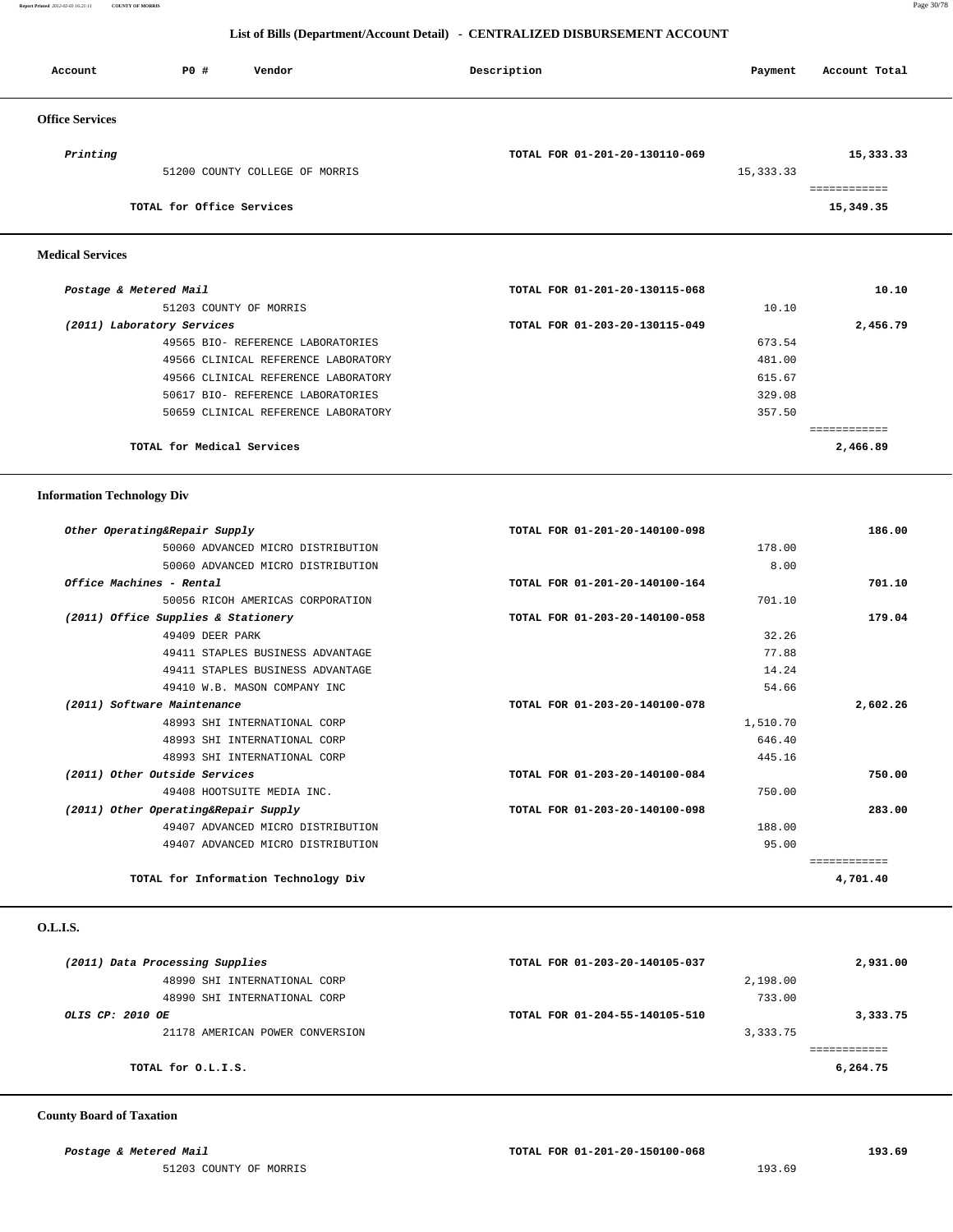**Report Printed** *2012-02-03 16:21:11* **COUNTY OF MORRIS** Page 30/78

## **List of Bills (Department/Account Detail) - CENTRALIZED DISBURSEMENT ACCOUNT**

| Account                 | <b>PO #</b><br>Vendor               | Description                    | Payment     | Account Total             |
|-------------------------|-------------------------------------|--------------------------------|-------------|---------------------------|
| <b>Office Services</b>  |                                     |                                |             |                           |
| Printing                | 51200 COUNTY COLLEGE OF MORRIS      | TOTAL FOR 01-201-20-130110-069 | 15, 333. 33 | 15,333.33<br>============ |
|                         | TOTAL for Office Services           |                                |             | 15,349.35                 |
| <b>Medical Services</b> |                                     |                                |             |                           |
|                         | Postage & Metered Mail              | TOTAL FOR 01-201-20-130115-068 |             | 10.10                     |
|                         | 51203 COUNTY OF MORRIS              |                                | 10.10       |                           |
|                         | (2011) Laboratory Services          | TOTAL FOR 01-203-20-130115-049 |             | 2,456.79                  |
|                         | 49565 BIO- REFERENCE LABORATORIES   |                                | 673.54      |                           |
|                         | 49566 CLINICAL REFERENCE LABORATORY |                                | 481.00      |                           |
|                         | 49566 CLINICAL REFERENCE LABORATORY |                                | 615.67      |                           |
|                         | 50617 BIO- REFERENCE LABORATORIES   |                                | 329.08      |                           |
|                         | 50659 CLINICAL REFERENCE LABORATORY |                                | 357.50      |                           |
|                         |                                     |                                |             | ============              |
|                         | TOTAL for Medical Services          |                                |             | 2,466.89                  |

## **Information Technology Div**

| Other Operating&Repair Supply        | TOTAL FOR 01-201-20-140100-098 | 186.00                   |
|--------------------------------------|--------------------------------|--------------------------|
| 50060 ADVANCED MICRO DISTRIBUTION    | 178.00                         |                          |
| 50060 ADVANCED MICRO DISTRIBUTION    | 8.00                           |                          |
| Office Machines - Rental             | TOTAL FOR 01-201-20-140100-164 | 701.10                   |
| 50056 RICOH AMERICAS CORPORATION     | 701.10                         |                          |
| (2011) Office Supplies & Stationery  | TOTAL FOR 01-203-20-140100-058 | 179.04                   |
| 49409 DEER PARK                      | 32.26                          |                          |
| 49411 STAPLES BUSINESS ADVANTAGE     | 77.88                          |                          |
| 49411 STAPLES BUSINESS ADVANTAGE     | 14.24                          |                          |
| 49410 W.B. MASON COMPANY INC         | 54.66                          |                          |
| (2011) Software Maintenance          | TOTAL FOR 01-203-20-140100-078 | 2,602.26                 |
| 48993 SHI INTERNATIONAL CORP         | 1,510.70                       |                          |
| 48993 SHI INTERNATIONAL CORP         | 646.40                         |                          |
| 48993 SHI INTERNATIONAL CORP         | 445.16                         |                          |
| (2011) Other Outside Services        | TOTAL FOR 01-203-20-140100-084 | 750.00                   |
| 49408 HOOTSUITE MEDIA INC.           | 750.00                         |                          |
| (2011) Other Operating&Repair Supply | TOTAL FOR 01-203-20-140100-098 | 283.00                   |
| 49407 ADVANCED MICRO DISTRIBUTION    | 188.00                         |                          |
| 49407 ADVANCED MICRO DISTRIBUTION    | 95.00                          |                          |
| TOTAL for Information Technology Div |                                | ============<br>4,701.40 |

#### **O.L.I.S.**

| (2011) Data Processing Supplies | TOTAL FOR 01-203-20-140105-037 | 2,931.00 |
|---------------------------------|--------------------------------|----------|
| 48990 SHI INTERNATIONAL CORP    | 2,198.00                       |          |
| 48990 SHI INTERNATIONAL CORP    | 733.00                         |          |
| OLIS CP: 2010 OE                | TOTAL FOR 01-204-55-140105-510 | 3,333,75 |
| 21178 AMERICAN POWER CONVERSION | 3,333.75                       |          |
|                                 |                                |          |
| TOTAL for O.L.I.S.              |                                | 6,264.75 |
|                                 |                                |          |

## **County Board of Taxation**

51203 COUNTY OF MORRIS 193.69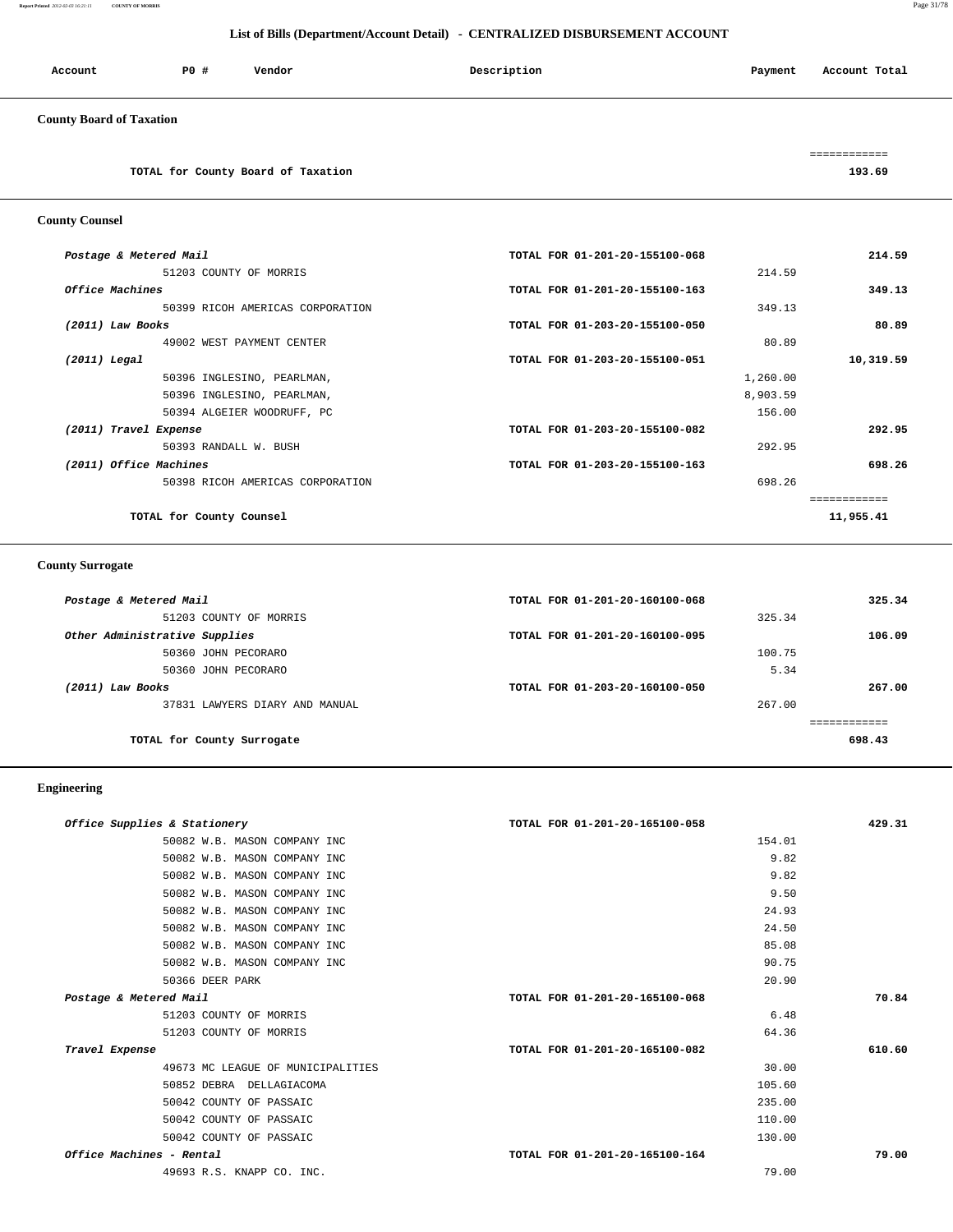**Report Printed** *2012-02-03 16:21:11* **COUNTY OF MORRIS** Page 31/78

## **List of Bills (Department/Account Detail) - CENTRALIZED DISBURSEMENT ACCOUNT**

| Account | <b>PO#</b> | Vendor | Description | Payment | Account Total |
|---------|------------|--------|-------------|---------|---------------|
|         |            |        |             |         |               |

============

# **County Board of Taxation**

**TOTAL for County Board of Taxation 193.69**

## **County Counsel**

| Postage & Metered Mail           | TOTAL FOR 01-201-20-155100-068 | 214.59    |
|----------------------------------|--------------------------------|-----------|
| 51203 COUNTY OF MORRIS           |                                | 214.59    |
| Office Machines                  | TOTAL FOR 01-201-20-155100-163 | 349.13    |
| 50399 RICOH AMERICAS CORPORATION |                                | 349.13    |
| (2011) Law Books                 | TOTAL FOR 01-203-20-155100-050 | 80.89     |
| 49002 WEST PAYMENT CENTER        |                                | 80.89     |
| $(2011)$ Legal                   | TOTAL FOR 01-203-20-155100-051 | 10,319.59 |
| 50396 INGLESINO, PEARLMAN,       |                                | 1,260.00  |
| 50396 INGLESINO, PEARLMAN,       |                                | 8,903.59  |
| 50394 ALGEIER WOODRUFF, PC       |                                | 156.00    |
| (2011) Travel Expense            | TOTAL FOR 01-203-20-155100-082 | 292.95    |
| 50393 RANDALL W. BUSH            |                                | 292.95    |
| (2011) Office Machines           | TOTAL FOR 01-203-20-155100-163 | 698.26    |
| 50398 RICOH AMERICAS CORPORATION |                                | 698.26    |
|                                  |                                |           |
| TOTAL for County Counsel         |                                | 11,955.41 |
|                                  |                                |           |

# **County Surrogate**

| Postage & Metered Mail        |                                | TOTAL FOR 01-201-20-160100-068 |        | 325.34    |
|-------------------------------|--------------------------------|--------------------------------|--------|-----------|
|                               | 51203 COUNTY OF MORRIS         |                                | 325.34 |           |
| Other Administrative Supplies |                                | TOTAL FOR 01-201-20-160100-095 |        | 106.09    |
|                               | 50360 JOHN PECORARO            |                                | 100.75 |           |
|                               | 50360 JOHN PECORARO            |                                | 5.34   |           |
| (2011) Law Books              |                                | TOTAL FOR 01-203-20-160100-050 |        | 267.00    |
|                               | 37831 LAWYERS DIARY AND MANUAL |                                | 267.00 |           |
|                               |                                |                                |        | ========= |
|                               | TOTAL for County Surrogate     |                                |        | 698.43    |
|                               |                                |                                |        |           |

## **Engineering**

| Office Supplies & Stationery      | TOTAL FOR 01-201-20-165100-058 | 429.31 |
|-----------------------------------|--------------------------------|--------|
| 50082 W.B. MASON COMPANY INC      | 154.01                         |        |
| 50082 W.B. MASON COMPANY INC      | 9.82                           |        |
| 50082 W.B. MASON COMPANY INC      | 9.82                           |        |
| 50082 W.B. MASON COMPANY INC      | 9.50                           |        |
| 50082 W.B. MASON COMPANY INC      | 24.93                          |        |
| 50082 W.B. MASON COMPANY INC      | 24.50                          |        |
| 50082 W.B. MASON COMPANY INC      | 85.08                          |        |
| 50082 W.B. MASON COMPANY INC      | 90.75                          |        |
| 50366 DEER PARK                   | 20.90                          |        |
| Postage & Metered Mail            | TOTAL FOR 01-201-20-165100-068 | 70.84  |
| 51203 COUNTY OF MORRIS            | 6.48                           |        |
| 51203 COUNTY OF MORRIS            | 64.36                          |        |
| Travel Expense                    | TOTAL FOR 01-201-20-165100-082 | 610.60 |
| 49673 MC LEAGUE OF MUNICIPALITIES | 30.00                          |        |
| 50852 DEBRA DELLAGIACOMA          | 105.60                         |        |
| 50042 COUNTY OF PASSAIC           | 235.00                         |        |
| 50042 COUNTY OF PASSAIC           | 110.00                         |        |
| 50042 COUNTY OF PASSAIC           | 130.00                         |        |
| Office Machines - Rental          | TOTAL FOR 01-201-20-165100-164 | 79.00  |
| 49693 R.S. KNAPP CO. INC.         | 79.00                          |        |
|                                   |                                |        |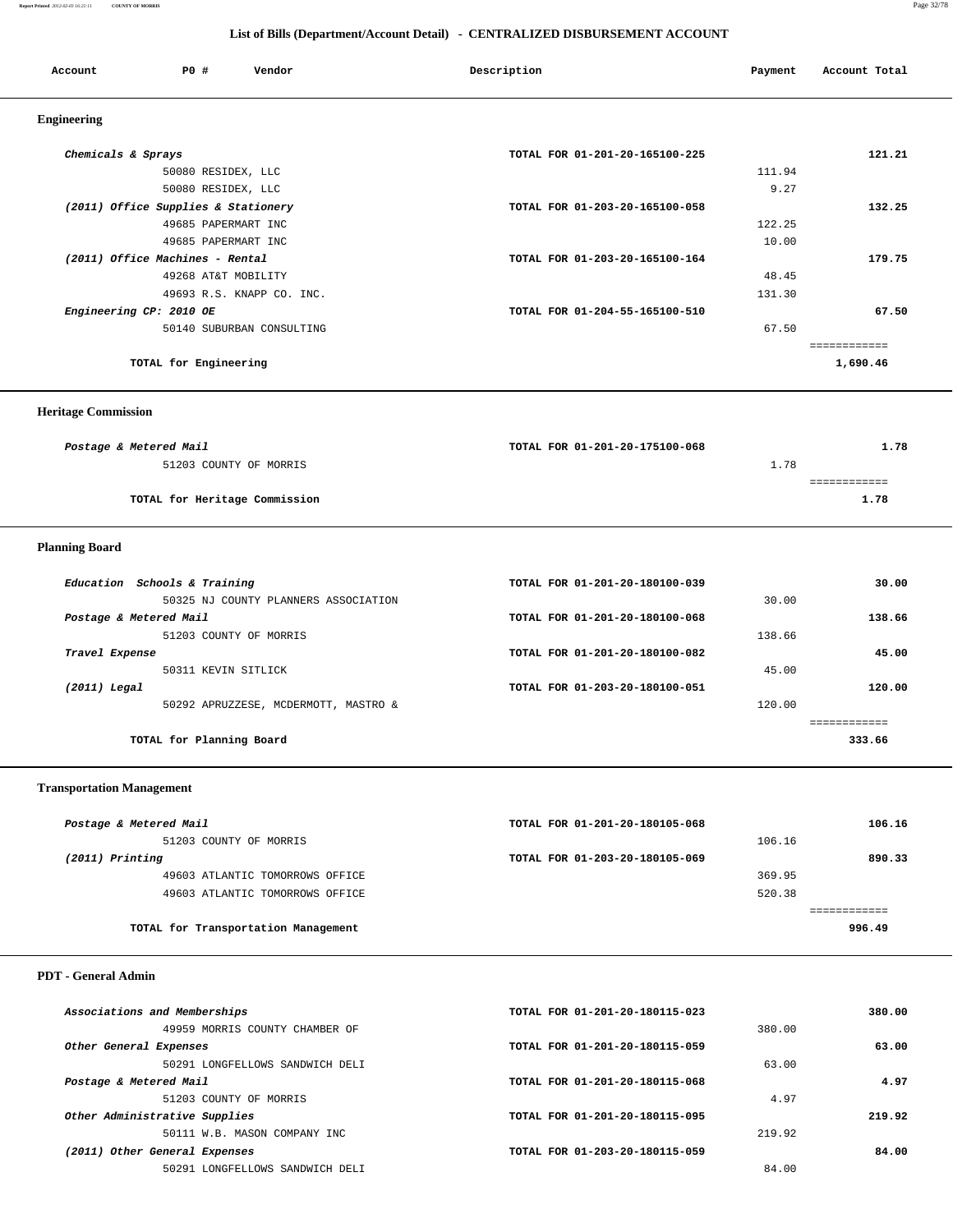#### **Report Printed** *2012-02-03 16:21:11* **COUNTY OF MORRIS** Page 32/78

 **List of Bills (Department/Account Detail) - CENTRALIZED DISBURSEMENT ACCOUNT**

| PO#<br>Vendor<br>Account            | Description                    | Payment | Account Total |
|-------------------------------------|--------------------------------|---------|---------------|
| <b>Engineering</b>                  |                                |         |               |
| Chemicals & Sprays                  | TOTAL FOR 01-201-20-165100-225 |         | 121.21        |
| 50080 RESIDEX, LLC                  |                                | 111.94  |               |
| 50080 RESIDEX, LLC                  |                                | 9.27    |               |
| (2011) Office Supplies & Stationery | TOTAL FOR 01-203-20-165100-058 |         | 132.25        |
| 49685 PAPERMART INC                 |                                | 122.25  |               |
| 49685 PAPERMART INC                 |                                | 10.00   |               |
| (2011) Office Machines - Rental     | TOTAL FOR 01-203-20-165100-164 |         | 179.75        |
| 49268 AT&T MOBILITY                 |                                | 48.45   |               |
| 49693 R.S. KNAPP CO. INC.           |                                | 131.30  |               |
| Engineering CP: 2010 OE             | TOTAL FOR 01-204-55-165100-510 |         | 67.50         |
| 50140 SUBURBAN CONSULTING           |                                | 67.50   |               |
|                                     |                                |         | ------------  |
| TOTAL for Engineering               |                                |         | 1,690.46      |

## **Heritage Commission**

| Postage & Metered Mail        | TOTAL FOR 01-201-20-175100-068 | 1.78 |
|-------------------------------|--------------------------------|------|
| 51203 COUNTY OF MORRIS        | 1.78                           |      |
|                               |                                |      |
| TOTAL for Heritage Commission |                                | 1.78 |

## **Planning Board**

| Education Schools & Training         | TOTAL FOR 01-201-20-180100-039 | 30.00  |
|--------------------------------------|--------------------------------|--------|
| 50325 NJ COUNTY PLANNERS ASSOCIATION | 30.00                          |        |
| Postage & Metered Mail               | TOTAL FOR 01-201-20-180100-068 | 138.66 |
| 51203 COUNTY OF MORRIS               | 138.66                         |        |
| Travel Expense                       | TOTAL FOR 01-201-20-180100-082 | 45.00  |
| 50311 KEVIN SITLICK                  | 45.00                          |        |
| (2011) Legal                         | TOTAL FOR 01-203-20-180100-051 | 120.00 |
| 50292 APRUZZESE, MCDERMOTT, MASTRO & | 120.00                         |        |
|                                      |                                |        |
| TOTAL for Planning Board             |                                | 333.66 |

## **Transportation Management**

| Postage & Metered Mail              | TOTAL FOR 01-201-20-180105-068 | 106.16 |
|-------------------------------------|--------------------------------|--------|
| 51203 COUNTY OF MORRIS              | 106.16                         |        |
| $(2011)$ Printing                   | TOTAL FOR 01-203-20-180105-069 | 890.33 |
| 49603 ATLANTIC TOMORROWS OFFICE     | 369.95                         |        |
| 49603 ATLANTIC TOMORROWS OFFICE     | 520.38                         |        |
|                                     |                                |        |
| TOTAL for Transportation Management |                                | 996.49 |

 **PDT - General Admin** 

| Associations and Memberships  |                                 | TOTAL FOR 01-201-20-180115-023 |        | 380.00 |
|-------------------------------|---------------------------------|--------------------------------|--------|--------|
|                               | 49959 MORRIS COUNTY CHAMBER OF  |                                | 380.00 |        |
| Other General Expenses        |                                 | TOTAL FOR 01-201-20-180115-059 |        | 63.00  |
|                               | 50291 LONGFELLOWS SANDWICH DELI |                                | 63.00  |        |
| Postage & Metered Mail        |                                 | TOTAL FOR 01-201-20-180115-068 |        | 4.97   |
|                               | 51203 COUNTY OF MORRIS          |                                | 4.97   |        |
| Other Administrative Supplies |                                 | TOTAL FOR 01-201-20-180115-095 |        | 219.92 |
|                               | 50111 W.B. MASON COMPANY INC    |                                | 219.92 |        |
| (2011) Other General Expenses |                                 | TOTAL FOR 01-203-20-180115-059 |        | 84.00  |
|                               | 50291 LONGFELLOWS SANDWICH DELI |                                | 84.00  |        |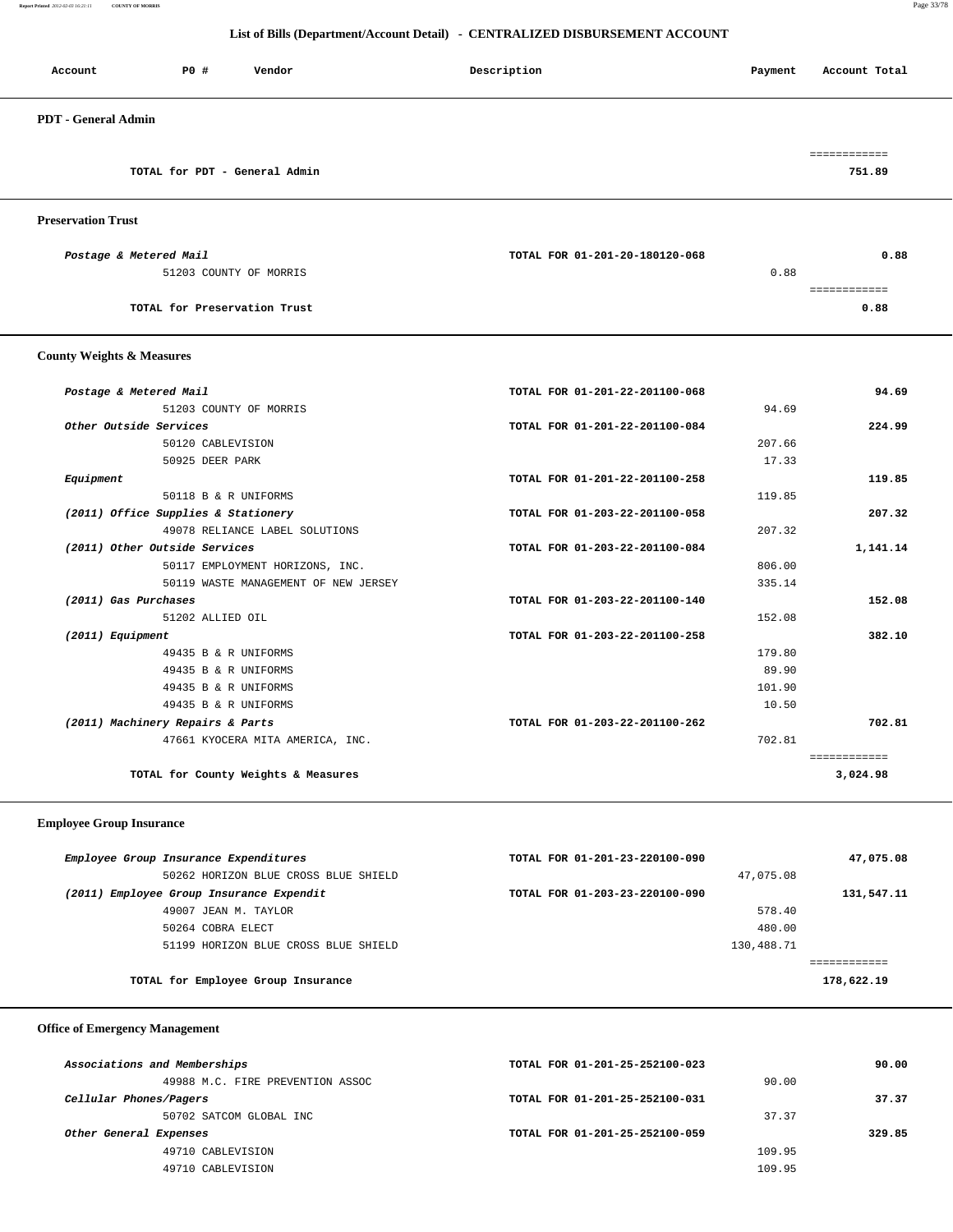**Report Printed** *2012-02-03 16:21:11* **COUNTY OF MORRIS** Page 33/78

# **List of Bills (Department/Account Detail) - CENTRALIZED DISBURSEMENT ACCOUNT**

| Account                    | P0 #                   | Vendor                        | Description                    | Account Total<br>Payment |
|----------------------------|------------------------|-------------------------------|--------------------------------|--------------------------|
| <b>PDT</b> - General Admin |                        |                               |                                |                          |
|                            |                        | TOTAL for PDT - General Admin |                                | ============<br>751.89   |
| <b>Preservation Trust</b>  |                        |                               |                                |                          |
|                            | Postage & Metered Mail |                               | TOTAL FOR 01-201-20-180120-068 | 0.88                     |

| 51203 COUNTY OF MORRIS       | 0.88 |
|------------------------------|------|
| TOTAL for Preservation Trust | 0.88 |
|                              |      |

## **County Weights & Measures**

| Postage & Metered Mail               | TOTAL FOR 01-201-22-201100-068 |        | 94.69        |
|--------------------------------------|--------------------------------|--------|--------------|
| 51203 COUNTY OF MORRIS               |                                | 94.69  |              |
| Other Outside Services               | TOTAL FOR 01-201-22-201100-084 |        | 224.99       |
| 50120 CABLEVISION                    |                                | 207.66 |              |
| 50925 DEER PARK                      |                                | 17.33  |              |
| Equipment                            | TOTAL FOR 01-201-22-201100-258 |        | 119.85       |
| 50118 B & R UNIFORMS                 |                                | 119.85 |              |
| (2011) Office Supplies & Stationery  | TOTAL FOR 01-203-22-201100-058 |        | 207.32       |
| 49078 RELIANCE LABEL SOLUTIONS       |                                | 207.32 |              |
| (2011) Other Outside Services        | TOTAL FOR 01-203-22-201100-084 |        | 1,141.14     |
| 50117 EMPLOYMENT HORIZONS, INC.      |                                | 806.00 |              |
| 50119 WASTE MANAGEMENT OF NEW JERSEY |                                | 335.14 |              |
| (2011) Gas Purchases                 | TOTAL FOR 01-203-22-201100-140 |        | 152.08       |
| 51202 ALLIED OIL                     |                                | 152.08 |              |
| (2011) Equipment                     | TOTAL FOR 01-203-22-201100-258 |        | 382.10       |
| 49435 B & R UNIFORMS                 |                                | 179.80 |              |
| 49435 B & R UNIFORMS                 |                                | 89.90  |              |
| 49435 B & R UNIFORMS                 |                                | 101.90 |              |
| 49435 B & R UNIFORMS                 |                                | 10.50  |              |
| (2011) Machinery Repairs & Parts     | TOTAL FOR 01-203-22-201100-262 |        | 702.81       |
| 47661 KYOCERA MITA AMERICA, INC.     |                                | 702.81 |              |
|                                      |                                |        | ============ |
| TOTAL for County Weights & Measures  |                                |        | 3,024.98     |

## **Employee Group Insurance**

| Employee Group Insurance Expenditures    | TOTAL FOR 01-201-23-220100-090 |            | 47,075.08  |
|------------------------------------------|--------------------------------|------------|------------|
| 50262 HORIZON BLUE CROSS BLUE SHIELD     |                                | 47,075.08  |            |
| (2011) Employee Group Insurance Expendit | TOTAL FOR 01-203-23-220100-090 |            | 131,547.11 |
| 49007 JEAN M. TAYLOR                     |                                | 578.40     |            |
| 50264 COBRA ELECT                        |                                | 480.00     |            |
| 51199 HORIZON BLUE CROSS BLUE SHIELD     |                                | 130,488.71 |            |
|                                          |                                |            |            |
| TOTAL for Employee Group Insurance       |                                |            | 178,622.19 |
|                                          |                                |            |            |

## **Office of Emergency Management**

| Associations and Memberships     | TOTAL FOR 01-201-25-252100-023 | 90.00  |
|----------------------------------|--------------------------------|--------|
| 49988 M.C. FIRE PREVENTION ASSOC | 90.00                          |        |
| Cellular Phones/Pagers           | TOTAL FOR 01-201-25-252100-031 | 37.37  |
| 50702 SATCOM GLOBAL INC          | 37.37                          |        |
| Other General Expenses           | TOTAL FOR 01-201-25-252100-059 | 329.85 |
| 49710 CABLEVISION                | 109.95                         |        |
| 49710 CABLEVISION                | 109.95                         |        |
|                                  |                                |        |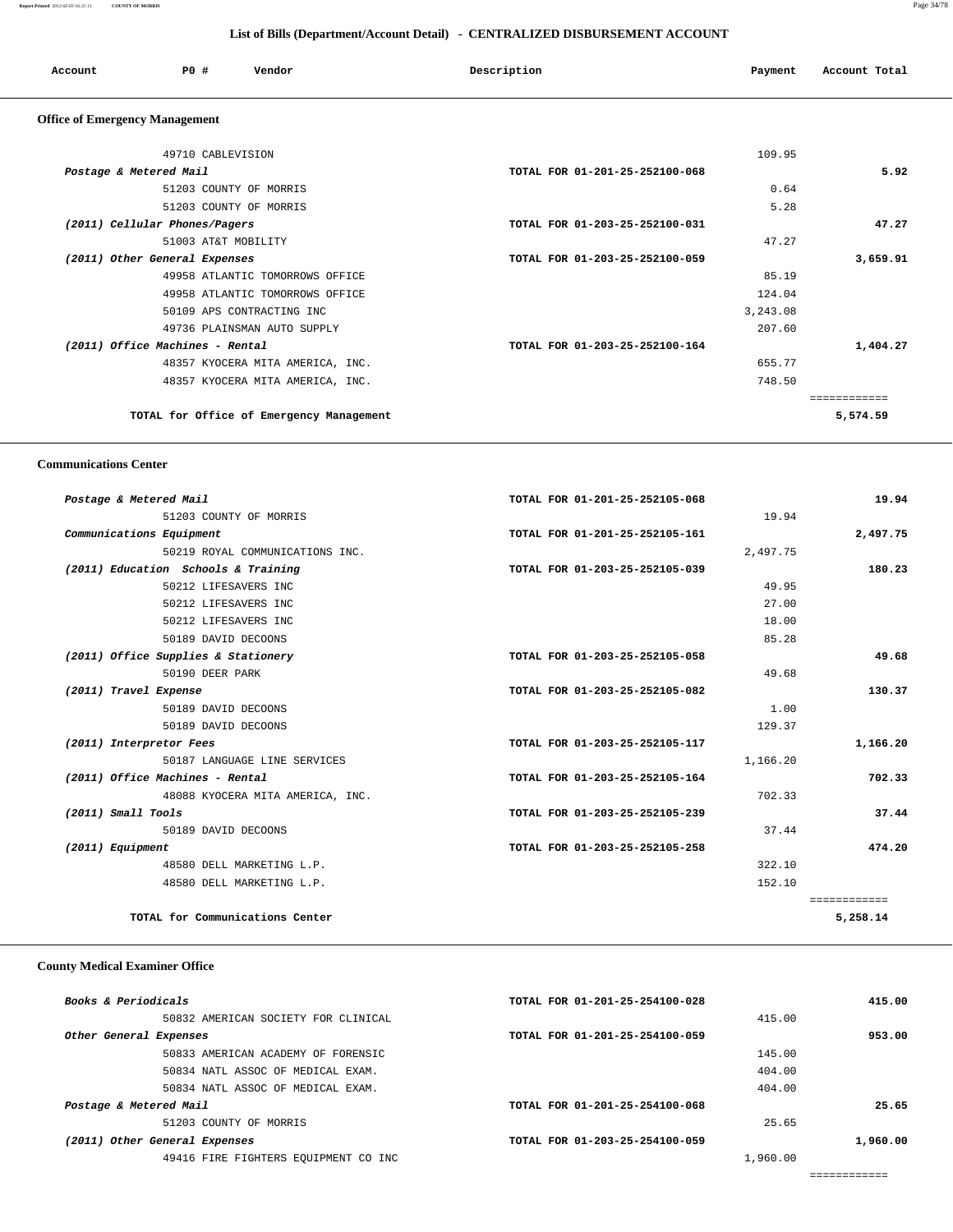|                                       |                                 |                                          | List of Dins (Department/Account Detail) - CENTRALIZED DISDORSEMENT ACCOUNT |          |               |
|---------------------------------------|---------------------------------|------------------------------------------|-----------------------------------------------------------------------------|----------|---------------|
| Account                               | PO#                             | Vendor                                   | Description                                                                 | Payment  | Account Total |
| <b>Office of Emergency Management</b> |                                 |                                          |                                                                             |          |               |
|                                       | 49710 CABLEVISION               |                                          |                                                                             | 109.95   |               |
| Postage & Metered Mail                |                                 |                                          | TOTAL FOR 01-201-25-252100-068                                              |          | 5.92          |
|                                       |                                 | 51203 COUNTY OF MORRIS                   |                                                                             | 0.64     |               |
|                                       |                                 | 51203 COUNTY OF MORRIS                   |                                                                             | 5.28     |               |
|                                       | (2011) Cellular Phones/Pagers   |                                          | TOTAL FOR 01-203-25-252100-031                                              |          | 47.27         |
|                                       | 51003 AT&T MOBILITY             |                                          |                                                                             | 47.27    |               |
|                                       | (2011) Other General Expenses   |                                          | TOTAL FOR 01-203-25-252100-059                                              |          | 3,659.91      |
|                                       |                                 | 49958 ATLANTIC TOMORROWS OFFICE          |                                                                             | 85.19    |               |
|                                       |                                 | 49958 ATLANTIC TOMORROWS OFFICE          |                                                                             | 124.04   |               |
|                                       |                                 | 50109 APS CONTRACTING INC                |                                                                             | 3,243.08 |               |
|                                       |                                 | 49736 PLAINSMAN AUTO SUPPLY              |                                                                             | 207.60   |               |
|                                       | (2011) Office Machines - Rental |                                          | TOTAL FOR 01-203-25-252100-164                                              |          | 1,404.27      |
|                                       |                                 | 48357 KYOCERA MITA AMERICA, INC.         |                                                                             | 655.77   |               |
|                                       |                                 | 48357 KYOCERA MITA AMERICA, INC.         |                                                                             | 748.50   |               |
|                                       |                                 |                                          |                                                                             |          | ============  |
|                                       |                                 | TOTAL for Office of Emergency Management |                                                                             |          | 5,574.59      |

 **Communications Center** 

| Postage & Metered Mail              | TOTAL FOR 01-201-25-252105-068 | 19.94        |
|-------------------------------------|--------------------------------|--------------|
| 51203 COUNTY OF MORRIS              |                                | 19.94        |
| Communications Equipment            | TOTAL FOR 01-201-25-252105-161 | 2,497.75     |
| 50219 ROYAL COMMUNICATIONS INC.     | 2,497.75                       |              |
| (2011) Education Schools & Training | TOTAL FOR 01-203-25-252105-039 | 180.23       |
| 50212 LIFESAVERS INC                |                                | 49.95        |
| 50212 LIFESAVERS INC                |                                | 27.00        |
| 50212 LIFESAVERS INC                |                                | 18.00        |
| 50189 DAVID DECOONS                 |                                | 85.28        |
| (2011) Office Supplies & Stationery | TOTAL FOR 01-203-25-252105-058 | 49.68        |
| 50190 DEER PARK                     |                                | 49.68        |
| (2011) Travel Expense               | TOTAL FOR 01-203-25-252105-082 | 130.37       |
| 50189 DAVID DECOONS                 |                                | 1.00         |
| 50189 DAVID DECOONS                 | 129.37                         |              |
| (2011) Interpretor Fees             | TOTAL FOR 01-203-25-252105-117 | 1,166.20     |
| 50187 LANGUAGE LINE SERVICES        | 1,166.20                       |              |
| (2011) Office Machines - Rental     | TOTAL FOR 01-203-25-252105-164 | 702.33       |
| 48088 KYOCERA MITA AMERICA, INC.    |                                | 702.33       |
| (2011) Small Tools                  | TOTAL FOR 01-203-25-252105-239 | 37.44        |
| 50189 DAVID DECOONS                 |                                | 37.44        |
| (2011) Equipment                    | TOTAL FOR 01-203-25-252105-258 | 474.20       |
| 48580 DELL MARKETING L.P.           |                                | 322.10       |
| 48580 DELL MARKETING L.P.           | 152.10                         |              |
|                                     |                                | ============ |
| TOTAL for Communications Center     |                                | 5,258.14     |

#### **County Medical Examiner Office**

| <b>Books &amp; Periodicals</b> |                                      | TOTAL FOR 01-201-25-254100-028 |          | 415.00   |
|--------------------------------|--------------------------------------|--------------------------------|----------|----------|
|                                | 50832 AMERICAN SOCIETY FOR CLINICAL  |                                | 415.00   |          |
| Other General Expenses         |                                      | TOTAL FOR 01-201-25-254100-059 |          | 953.00   |
|                                | 50833 AMERICAN ACADEMY OF FORENSIC   |                                | 145.00   |          |
|                                | 50834 NATL ASSOC OF MEDICAL EXAM.    |                                | 404.00   |          |
|                                | 50834 NATL ASSOC OF MEDICAL EXAM.    |                                | 404.00   |          |
| Postage & Metered Mail         |                                      | TOTAL FOR 01-201-25-254100-068 |          | 25.65    |
|                                | 51203 COUNTY OF MORRIS               |                                | 25.65    |          |
| (2011) Other General Expenses  |                                      | TOTAL FOR 01-203-25-254100-059 |          | 1,960.00 |
|                                | 49416 FIRE FIGHTERS EQUIPMENT CO INC |                                | 1,960.00 |          |

============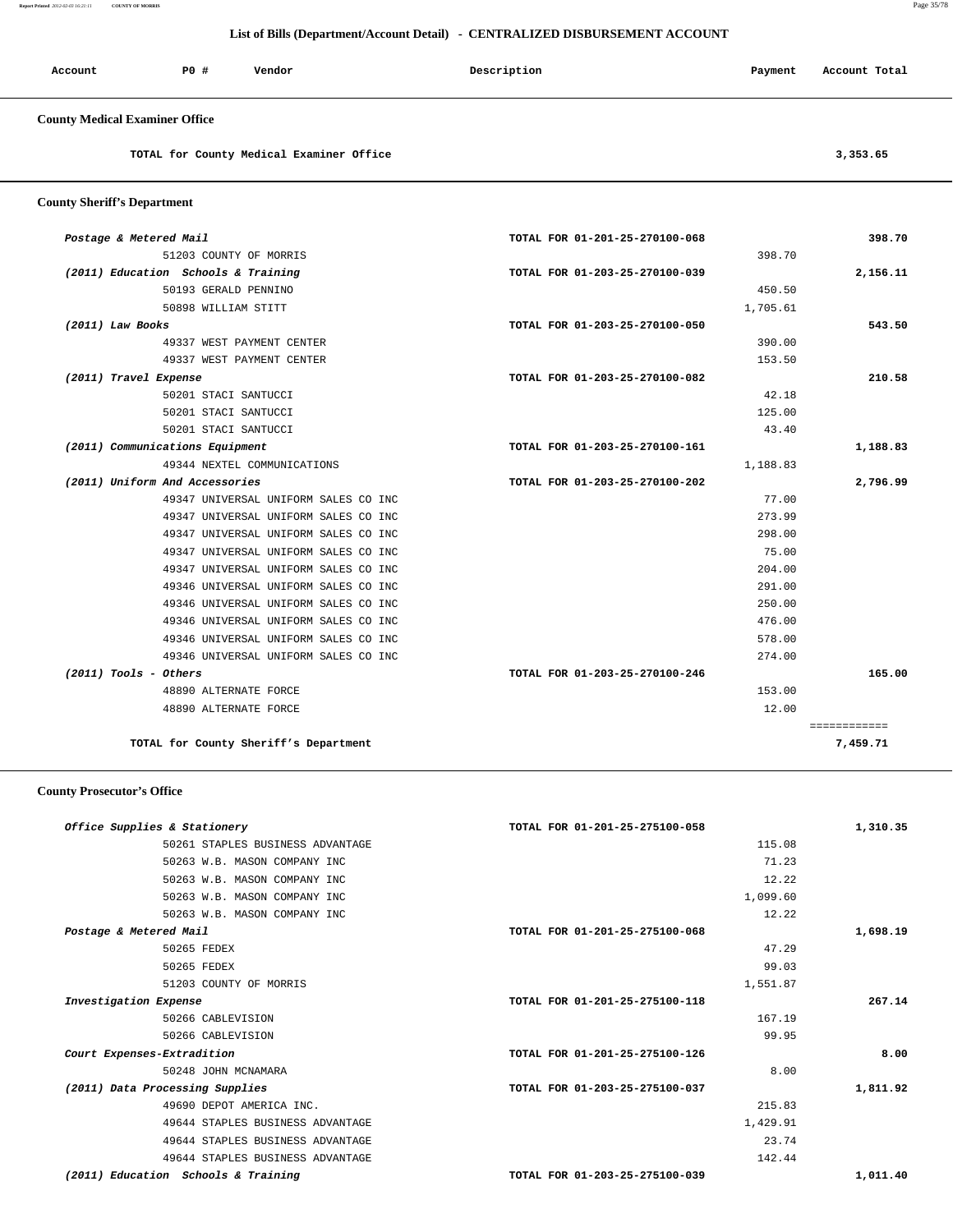**Report Printed** *2012-02-03 16:21:11* **COUNTY OF MORRIS** Page 35/78

 **List of Bills (Department/Account Detail) - CENTRALIZED DISBURSEMENT ACCOUNT**

| Account | P0 # | Vendor | Description | Payment | Account Total |
|---------|------|--------|-------------|---------|---------------|
|         |      |        |             |         |               |

# **County Medical Examiner Office**

**TOTAL for County Medical Examiner Office 3,353.65**

 **County Sheriff's Department**

|                                      | TOTAL FOR 01-201-25-270100-068 | 398.70   |
|--------------------------------------|--------------------------------|----------|
| 51203 COUNTY OF MORRIS               | 398.70                         |          |
| (2011) Education Schools & Training  | TOTAL FOR 01-203-25-270100-039 | 2,156.11 |
| 50193 GERALD PENNINO                 | 450.50                         |          |
| 50898 WILLIAM STITT                  | 1,705.61                       |          |
| (2011) Law Books                     | TOTAL FOR 01-203-25-270100-050 | 543.50   |
| 49337 WEST PAYMENT CENTER            | 390.00                         |          |
| 49337 WEST PAYMENT CENTER            | 153.50                         |          |
| (2011) Travel Expense                | TOTAL FOR 01-203-25-270100-082 | 210.58   |
| 50201 STACI SANTUCCI                 | 42.18                          |          |
| 50201 STACI SANTUCCI                 | 125.00                         |          |
| 50201 STACI SANTUCCI                 | 43.40                          |          |
| (2011) Communications Equipment      | TOTAL FOR 01-203-25-270100-161 | 1,188.83 |
| 49344 NEXTEL COMMUNICATIONS          | 1,188.83                       |          |
| (2011) Uniform And Accessories       | TOTAL FOR 01-203-25-270100-202 | 2,796.99 |
| 49347 UNIVERSAL UNIFORM SALES CO INC | 77.00                          |          |
| 49347 UNIVERSAL UNIFORM SALES CO INC | 273.99                         |          |
| 49347 UNIVERSAL UNIFORM SALES CO INC | 298.00                         |          |
| 49347 UNIVERSAL UNIFORM SALES CO INC | 75.00                          |          |
| 49347 UNIVERSAL UNIFORM SALES CO INC | 204.00                         |          |
| 49346 UNIVERSAL UNIFORM SALES CO INC | 291.00                         |          |
| 49346 UNIVERSAL UNIFORM SALES CO INC | 250.00                         |          |
| 49346 UNIVERSAL UNIFORM SALES CO INC | 476.00                         |          |
| 49346 UNIVERSAL UNIFORM SALES CO INC | 578.00                         |          |
| 49346 UNIVERSAL UNIFORM SALES CO INC | 274.00                         |          |
| $(2011)$ Tools - Others              | TOTAL FOR 01-203-25-270100-246 | 165.00   |
| 48890 ALTERNATE FORCE                | 153.00                         |          |
|                                      | 12.00                          |          |

## **County Prosecutor's Office**

| Office Supplies & Stationery        | TOTAL FOR 01-201-25-275100-058 | 1,310.35 |
|-------------------------------------|--------------------------------|----------|
| 50261 STAPLES BUSINESS ADVANTAGE    | 115.08                         |          |
| 50263 W.B. MASON COMPANY INC        | 71.23                          |          |
| 50263 W.B. MASON COMPANY INC        | 12.22                          |          |
| 50263 W.B. MASON COMPANY INC        | 1,099.60                       |          |
| 50263 W.B. MASON COMPANY INC        | 12.22                          |          |
| Postage & Metered Mail              | TOTAL FOR 01-201-25-275100-068 | 1,698.19 |
| 50265 FEDEX                         | 47.29                          |          |
| 50265 FEDEX                         | 99.03                          |          |
| 51203 COUNTY OF MORRIS              | 1,551.87                       |          |
| Investigation Expense               | TOTAL FOR 01-201-25-275100-118 | 267.14   |
| 50266 CABLEVISION                   | 167.19                         |          |
| 50266 CABLEVISION                   | 99.95                          |          |
| Court Expenses-Extradition          | TOTAL FOR 01-201-25-275100-126 | 8.00     |
| 50248 JOHN MCNAMARA                 | 8.00                           |          |
| (2011) Data Processing Supplies     | TOTAL FOR 01-203-25-275100-037 | 1,811.92 |
| 49690 DEPOT AMERICA INC.            | 215.83                         |          |
| 49644 STAPLES BUSINESS ADVANTAGE    | 1,429.91                       |          |
| 49644 STAPLES BUSINESS ADVANTAGE    | 23.74                          |          |
| 49644 STAPLES BUSINESS ADVANTAGE    | 142.44                         |          |
| (2011) Education Schools & Training | TOTAL FOR 01-203-25-275100-039 | 1,011.40 |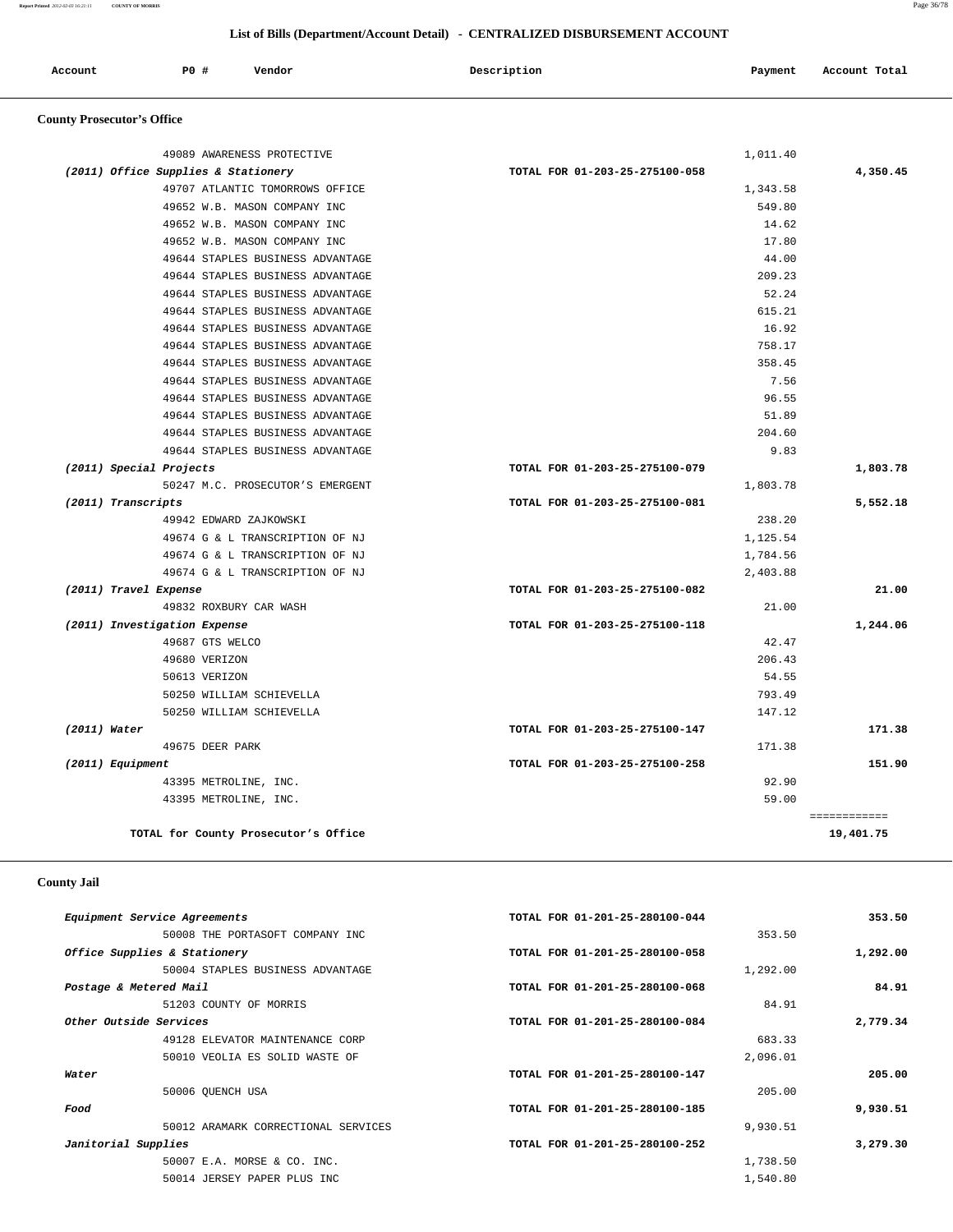| Account | P0 | Vendor | Description | Payment | Total<br>Account |
|---------|----|--------|-------------|---------|------------------|
|         |    |        |             |         |                  |

# **County Prosecutor's Office**

|                       | 49089 AWARENESS PROTECTIVE                     | 1,011.40                                 |                  |
|-----------------------|------------------------------------------------|------------------------------------------|------------------|
|                       | (2011) Office Supplies & Stationery            | TOTAL FOR 01-203-25-275100-058           | 4,350.45         |
|                       | 49707 ATLANTIC TOMORROWS OFFICE                | 1,343.58                                 |                  |
|                       | 49652 W.B. MASON COMPANY INC                   | 549.80                                   |                  |
|                       | 49652 W.B. MASON COMPANY INC                   | 14.62                                    |                  |
|                       | 49652 W.B. MASON COMPANY INC                   | 17.80                                    |                  |
|                       | 49644 STAPLES BUSINESS ADVANTAGE               | 44.00                                    |                  |
|                       | 49644 STAPLES BUSINESS ADVANTAGE               | 209.23                                   |                  |
|                       | 49644 STAPLES BUSINESS ADVANTAGE               | 52.24                                    |                  |
|                       | 49644 STAPLES BUSINESS ADVANTAGE               | 615.21                                   |                  |
|                       | 49644 STAPLES BUSINESS ADVANTAGE               | 16.92                                    |                  |
|                       | 49644 STAPLES BUSINESS ADVANTAGE               | 758.17                                   |                  |
|                       | 49644 STAPLES BUSINESS ADVANTAGE               | 358.45                                   |                  |
|                       | 49644 STAPLES BUSINESS ADVANTAGE               | 7.56                                     |                  |
|                       | 49644 STAPLES BUSINESS ADVANTAGE               | 96.55                                    |                  |
|                       | 49644 STAPLES BUSINESS ADVANTAGE               | 51.89                                    |                  |
|                       | 49644 STAPLES BUSINESS ADVANTAGE               | 204.60                                   |                  |
|                       | 49644 STAPLES BUSINESS ADVANTAGE               | 9.83                                     |                  |
|                       | (2011) Special Projects                        | TOTAL FOR 01-203-25-275100-079           | 1,803.78         |
|                       | 50247 M.C. PROSECUTOR'S EMERGENT               | 1,803.78                                 |                  |
| (2011) Transcripts    |                                                | TOTAL FOR 01-203-25-275100-081           | 5,552.18         |
|                       | 49942 EDWARD ZAJKOWSKI                         | 238.20                                   |                  |
|                       | 49674 G & L TRANSCRIPTION OF NJ                | 1,125.54                                 |                  |
|                       | 49674 G & L TRANSCRIPTION OF NJ                | 1,784.56                                 |                  |
|                       | 49674 G & L TRANSCRIPTION OF NJ                | 2,403.88                                 |                  |
| (2011) Travel Expense |                                                | TOTAL FOR 01-203-25-275100-082           | 21.00            |
|                       | 49832 ROXBURY CAR WASH                         | 21.00                                    |                  |
|                       | (2011) Investigation Expense                   | TOTAL FOR 01-203-25-275100-118           | 1,244.06         |
|                       |                                                |                                          |                  |
|                       | 49687 GTS WELCO                                | 42.47                                    |                  |
|                       | 49680 VERIZON                                  | 206.43                                   |                  |
|                       | 50613 VERIZON                                  | 54.55                                    |                  |
|                       | 50250 WILLIAM SCHIEVELLA                       | 793.49                                   |                  |
|                       |                                                |                                          |                  |
|                       | 50250 WILLIAM SCHIEVELLA                       | 147.12                                   |                  |
| $(2011)$ Water        | 49675 DEER PARK                                | TOTAL FOR 01-203-25-275100-147<br>171.38 |                  |
|                       |                                                |                                          |                  |
| (2011) Equipment      |                                                | TOTAL FOR 01-203-25-275100-258           |                  |
|                       | 43395 METROLINE, INC.<br>43395 METROLINE, INC. | 92.90<br>59.00                           | 171.38<br>151.90 |

# **County Jail**

| TOTAL FOR 01-201-25-280100-044 | 353.50                                                                                          |
|--------------------------------|-------------------------------------------------------------------------------------------------|
|                                |                                                                                                 |
| TOTAL FOR 01-201-25-280100-058 | 1,292.00                                                                                        |
|                                |                                                                                                 |
| TOTAL FOR 01-201-25-280100-068 | 84.91                                                                                           |
|                                |                                                                                                 |
| TOTAL FOR 01-201-25-280100-084 | 2,779.34                                                                                        |
|                                |                                                                                                 |
|                                |                                                                                                 |
| TOTAL FOR 01-201-25-280100-147 | 205.00                                                                                          |
|                                |                                                                                                 |
| TOTAL FOR 01-201-25-280100-185 | 9,930.51                                                                                        |
|                                |                                                                                                 |
| TOTAL FOR 01-201-25-280100-252 | 3,279.30                                                                                        |
|                                |                                                                                                 |
|                                |                                                                                                 |
|                                | 353.50<br>1,292.00<br>84.91<br>683.33<br>2,096.01<br>205.00<br>9,930.51<br>1,738.50<br>1,540.80 |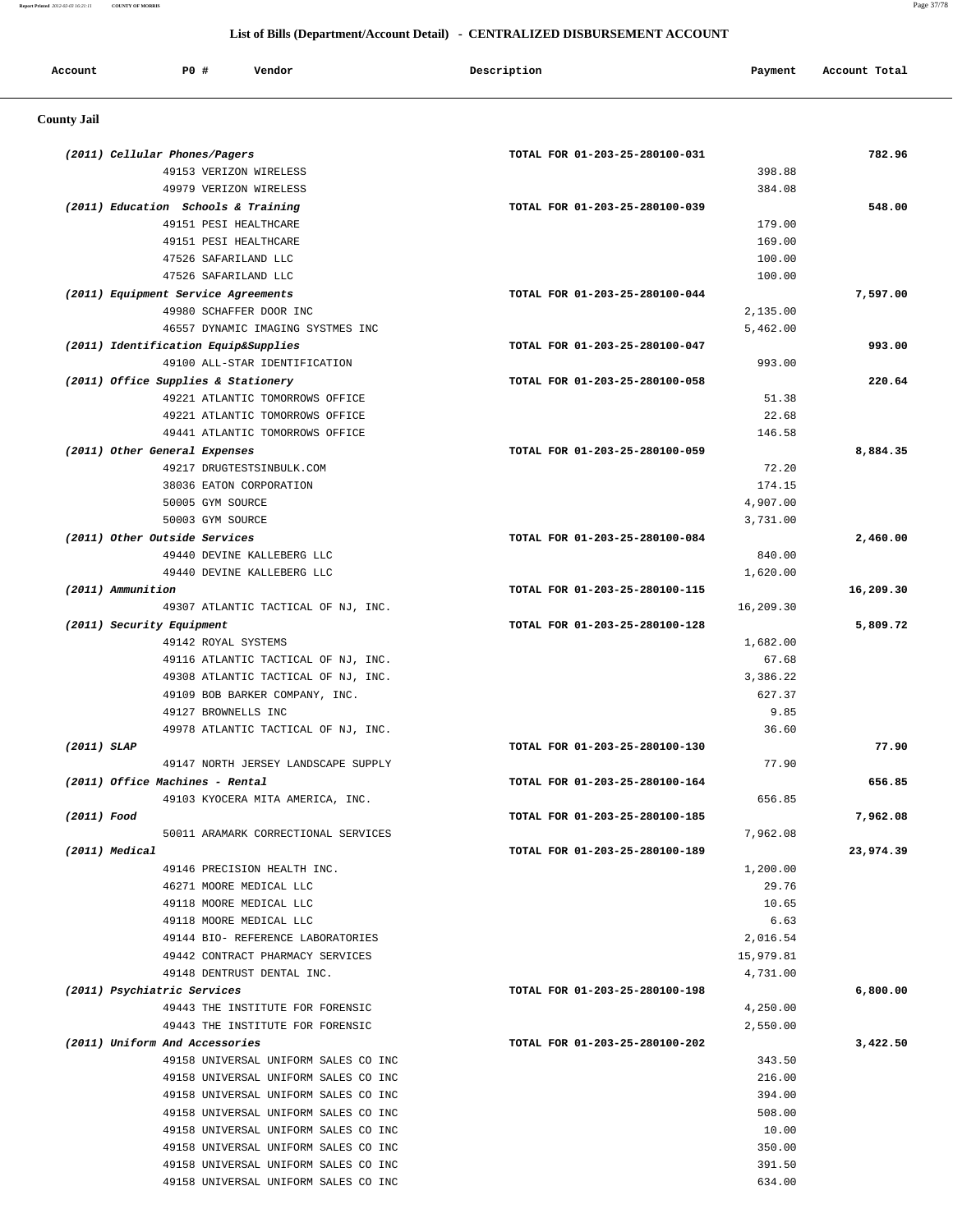**Report Printed** *2012-02-03 16:21:11* **COUNTY OF MORRIS** Page 37/78

# **List of Bills (Department/Account Detail) - CENTRALIZED DISBURSEMENT ACCOUNT**

| Account            | <b>PO #</b><br>Vendor                                                        | Description                    | Payment          | Account Total |
|--------------------|------------------------------------------------------------------------------|--------------------------------|------------------|---------------|
| <b>County Jail</b> |                                                                              |                                |                  |               |
|                    | (2011) Cellular Phones/Pagers                                                | TOTAL FOR 01-203-25-280100-031 |                  | 782.96        |
|                    | 49153 VERIZON WIRELESS                                                       |                                | 398.88           |               |
|                    | 49979 VERIZON WIRELESS                                                       |                                | 384.08           |               |
|                    | (2011) Education Schools & Training                                          | TOTAL FOR 01-203-25-280100-039 |                  | 548.00        |
|                    | 49151 PESI HEALTHCARE                                                        |                                | 179.00           |               |
|                    | 49151 PESI HEALTHCARE                                                        |                                | 169.00           |               |
|                    | 47526 SAFARILAND LLC                                                         |                                | 100.00           |               |
|                    | 47526 SAFARILAND LLC                                                         |                                | 100.00           |               |
|                    | (2011) Equipment Service Agreements                                          | TOTAL FOR 01-203-25-280100-044 |                  | 7,597.00      |
|                    | 49980 SCHAFFER DOOR INC                                                      |                                | 2,135.00         |               |
|                    | 46557 DYNAMIC IMAGING SYSTMES INC                                            |                                | 5,462.00         |               |
|                    | (2011) Identification Equip&Supplies                                         | TOTAL FOR 01-203-25-280100-047 |                  | 993.00        |
|                    | 49100 ALL-STAR IDENTIFICATION                                                |                                | 993.00           |               |
|                    | (2011) Office Supplies & Stationery                                          | TOTAL FOR 01-203-25-280100-058 |                  | 220.64        |
|                    | 49221 ATLANTIC TOMORROWS OFFICE                                              |                                | 51.38            |               |
|                    | 49221 ATLANTIC TOMORROWS OFFICE                                              |                                | 22.68            |               |
|                    | 49441 ATLANTIC TOMORROWS OFFICE                                              |                                | 146.58           |               |
|                    | (2011) Other General Expenses                                                | TOTAL FOR 01-203-25-280100-059 |                  | 8,884.35      |
|                    | 49217 DRUGTESTSINBULK.COM                                                    |                                | 72.20            |               |
|                    | 38036 EATON CORPORATION                                                      |                                | 174.15           |               |
|                    | 50005 GYM SOURCE                                                             |                                | 4,907.00         |               |
|                    | 50003 GYM SOURCE                                                             |                                | 3,731.00         |               |
|                    | (2011) Other Outside Services                                                | TOTAL FOR 01-203-25-280100-084 |                  | 2,460.00      |
|                    | 49440 DEVINE KALLEBERG LLC                                                   |                                | 840.00           |               |
|                    | 49440 DEVINE KALLEBERG LLC                                                   |                                | 1,620.00         |               |
|                    | (2011) Ammunition<br>49307 ATLANTIC TACTICAL OF NJ, INC.                     | TOTAL FOR 01-203-25-280100-115 | 16,209.30        | 16,209.30     |
|                    | (2011) Security Equipment                                                    | TOTAL FOR 01-203-25-280100-128 |                  | 5,809.72      |
|                    | 49142 ROYAL SYSTEMS                                                          |                                | 1,682.00         |               |
|                    | 49116 ATLANTIC TACTICAL OF NJ, INC.                                          |                                | 67.68            |               |
|                    | 49308 ATLANTIC TACTICAL OF NJ, INC.                                          |                                | 3,386.22         |               |
|                    | 49109 BOB BARKER COMPANY, INC.                                               |                                | 627.37           |               |
|                    | 49127 BROWNELLS INC                                                          |                                | 9.85             |               |
|                    | 49978 ATLANTIC TACTICAL OF NJ, INC.                                          |                                | 36.60            |               |
| $(2011)$ SLAP      |                                                                              | TOTAL FOR 01-203-25-280100-130 |                  | 77.90         |
|                    | 49147 NORTH JERSEY LANDSCAPE SUPPLY                                          |                                | 77.90            |               |
|                    | (2011) Office Machines - Rental                                              | TOTAL FOR 01-203-25-280100-164 |                  | 656.85        |
|                    | 49103 KYOCERA MITA AMERICA, INC.                                             |                                | 656.85           |               |
| (2011) Food        |                                                                              | TOTAL FOR 01-203-25-280100-185 |                  | 7,962.08      |
|                    | 50011 ARAMARK CORRECTIONAL SERVICES                                          |                                | 7,962.08         |               |
|                    | (2011) Medical                                                               | TOTAL FOR 01-203-25-280100-189 |                  | 23,974.39     |
|                    | 49146 PRECISION HEALTH INC.                                                  |                                | 1,200.00         |               |
|                    | 46271 MOORE MEDICAL LLC                                                      |                                | 29.76            |               |
|                    | 49118 MOORE MEDICAL LLC                                                      |                                | 10.65            |               |
|                    | 49118 MOORE MEDICAL LLC                                                      |                                | 6.63             |               |
|                    | 49144 BIO- REFERENCE LABORATORIES                                            |                                | 2,016.54         |               |
|                    | 49442 CONTRACT PHARMACY SERVICES                                             |                                | 15,979.81        |               |
|                    | 49148 DENTRUST DENTAL INC.                                                   |                                | 4,731.00         |               |
|                    | (2011) Psychiatric Services                                                  | TOTAL FOR 01-203-25-280100-198 |                  | 6,800.00      |
|                    | 49443 THE INSTITUTE FOR FORENSIC                                             |                                | 4,250.00         |               |
|                    | 49443 THE INSTITUTE FOR FORENSIC                                             |                                | 2,550.00         |               |
|                    | (2011) Uniform And Accessories                                               | TOTAL FOR 01-203-25-280100-202 |                  | 3,422.50      |
|                    | 49158 UNIVERSAL UNIFORM SALES CO INC                                         |                                | 343.50           |               |
|                    | 49158 UNIVERSAL UNIFORM SALES CO INC<br>49158 UNIVERSAL UNIFORM SALES CO INC |                                | 216.00<br>394.00 |               |
|                    | 49158 UNIVERSAL UNIFORM SALES CO INC                                         |                                | 508.00           |               |
|                    | 49158 UNIVERSAL UNIFORM SALES CO INC                                         |                                | 10.00            |               |
|                    | 49158 UNIVERSAL UNIFORM SALES CO INC                                         |                                | 350.00           |               |
|                    | 49158 UNIVERSAL UNIFORM SALES CO INC                                         |                                | 391.50           |               |
|                    | 49158 UNIVERSAL UNIFORM SALES CO INC                                         |                                | 634.00           |               |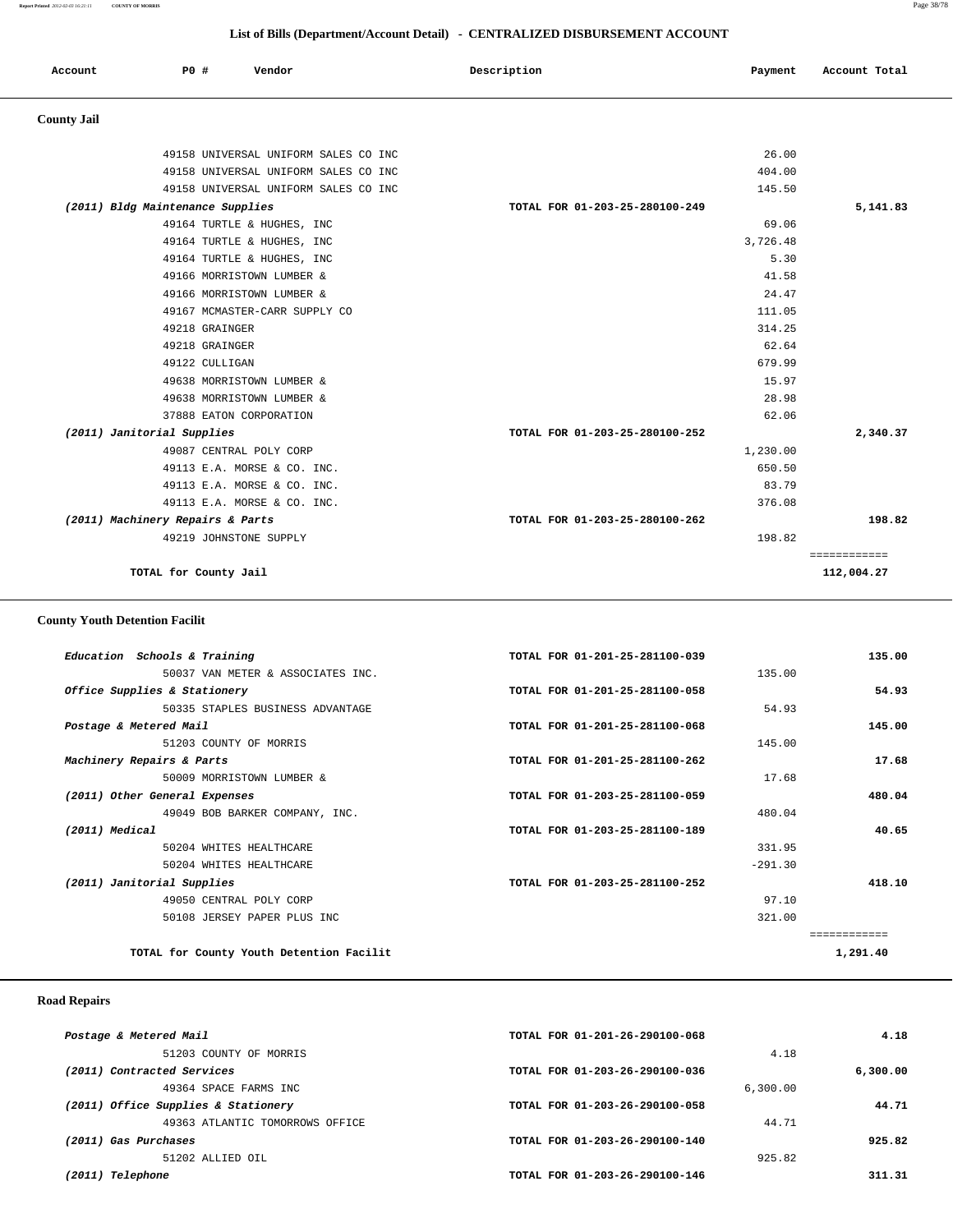#### **Report Printed** *2012-02-03 16:21:11* **COUNTY OF MORRIS** Page 38/78

## **List of Bills (Department/Account Detail) - CENTRALIZED DISBURSEMENT ACCOUNT**

| Account            | PO#                              | Vendor                               | Description                    | Payment  | Account Total |
|--------------------|----------------------------------|--------------------------------------|--------------------------------|----------|---------------|
| <b>County Jail</b> |                                  |                                      |                                |          |               |
|                    |                                  | 49158 UNIVERSAL UNIFORM SALES CO INC |                                | 26.00    |               |
|                    |                                  | 49158 UNIVERSAL UNIFORM SALES CO INC |                                | 404.00   |               |
|                    |                                  | 49158 UNIVERSAL UNIFORM SALES CO INC |                                | 145.50   |               |
|                    | (2011) Bldg Maintenance Supplies |                                      | TOTAL FOR 01-203-25-280100-249 |          | 5,141.83      |
|                    |                                  | 49164 TURTLE & HUGHES, INC           |                                | 69.06    |               |
|                    |                                  | 49164 TURTLE & HUGHES, INC           |                                | 3,726.48 |               |
|                    |                                  | 49164 TURTLE & HUGHES, INC           |                                | 5.30     |               |
|                    |                                  | 49166 MORRISTOWN LUMBER &            |                                | 41.58    |               |
|                    |                                  | 49166 MORRISTOWN LUMBER &            |                                | 24.47    |               |
|                    |                                  | 49167 MCMASTER-CARR SUPPLY CO        |                                | 111.05   |               |
|                    | 49218 GRAINGER                   |                                      |                                | 314.25   |               |
|                    | 49218 GRAINGER                   |                                      |                                | 62.64    |               |
|                    | 49122 CULLIGAN                   |                                      |                                | 679.99   |               |
|                    |                                  | 49638 MORRISTOWN LUMBER &            |                                | 15.97    |               |
|                    |                                  | 49638 MORRISTOWN LUMBER &            |                                | 28.98    |               |
|                    |                                  | 37888 EATON CORPORATION              |                                | 62.06    |               |
|                    | (2011) Janitorial Supplies       |                                      | TOTAL FOR 01-203-25-280100-252 |          | 2,340.37      |
|                    |                                  | 49087 CENTRAL POLY CORP              |                                | 1,230.00 |               |
|                    |                                  | 49113 E.A. MORSE & CO. INC.          |                                | 650.50   |               |
|                    |                                  | 49113 E.A. MORSE & CO. INC.          |                                | 83.79    |               |
|                    |                                  | 49113 E.A. MORSE & CO. INC.          |                                | 376.08   |               |
|                    | (2011) Machinery Repairs & Parts |                                      | TOTAL FOR 01-203-25-280100-262 |          | 198.82        |
|                    | 49219 JOHNSTONE SUPPLY           |                                      |                                | 198.82   |               |
|                    |                                  |                                      |                                |          | ============  |
|                    | TOTAL for County Jail            |                                      |                                |          | 112,004.27    |

# **County Youth Detention Facilit**

| Education Schools & Training             | TOTAL FOR 01-201-25-281100-039 | 135.00   |
|------------------------------------------|--------------------------------|----------|
| 50037 VAN METER & ASSOCIATES INC.        | 135.00                         |          |
| Office Supplies & Stationery             | TOTAL FOR 01-201-25-281100-058 | 54.93    |
| 50335 STAPLES BUSINESS ADVANTAGE         |                                | 54.93    |
| Postage & Metered Mail                   | TOTAL FOR 01-201-25-281100-068 | 145.00   |
| 51203 COUNTY OF MORRIS                   | 145.00                         |          |
| Machinery Repairs & Parts                | TOTAL FOR 01-201-25-281100-262 | 17.68    |
| 50009 MORRISTOWN LUMBER &                |                                | 17.68    |
| (2011) Other General Expenses            | TOTAL FOR 01-203-25-281100-059 | 480.04   |
| 49049 BOB BARKER COMPANY, INC.           | 480.04                         |          |
| (2011) Medical                           | TOTAL FOR 01-203-25-281100-189 | 40.65    |
| 50204 WHITES HEALTHCARE                  |                                | 331.95   |
| 50204 WHITES HEALTHCARE                  | $-291.30$                      |          |
| (2011) Janitorial Supplies               | TOTAL FOR 01-203-25-281100-252 | 418.10   |
| 49050 CENTRAL POLY CORP                  |                                | 97.10    |
| 50108 JERSEY PAPER PLUS INC              |                                | 321.00   |
|                                          |                                |          |
| TOTAL for County Youth Detention Facilit |                                | 1,291.40 |

# **Road Repairs**

| 4.18     |          | TOTAL FOR 01-201-26-290100-068 | Postage & Metered Mail              |
|----------|----------|--------------------------------|-------------------------------------|
|          | 4.18     |                                | 51203 COUNTY OF MORRIS              |
| 6,300.00 |          | TOTAL FOR 01-203-26-290100-036 | (2011) Contracted Services          |
|          | 6,300.00 |                                | 49364 SPACE FARMS INC               |
| 44.71    |          | TOTAL FOR 01-203-26-290100-058 | (2011) Office Supplies & Stationery |
|          | 44.71    |                                | 49363 ATLANTIC TOMORROWS OFFICE     |
| 925.82   |          | TOTAL FOR 01-203-26-290100-140 | (2011) Gas Purchases                |
|          | 925.82   |                                | 51202 ALLIED OIL                    |
| 311.31   |          | TOTAL FOR 01-203-26-290100-146 | (2011) Telephone                    |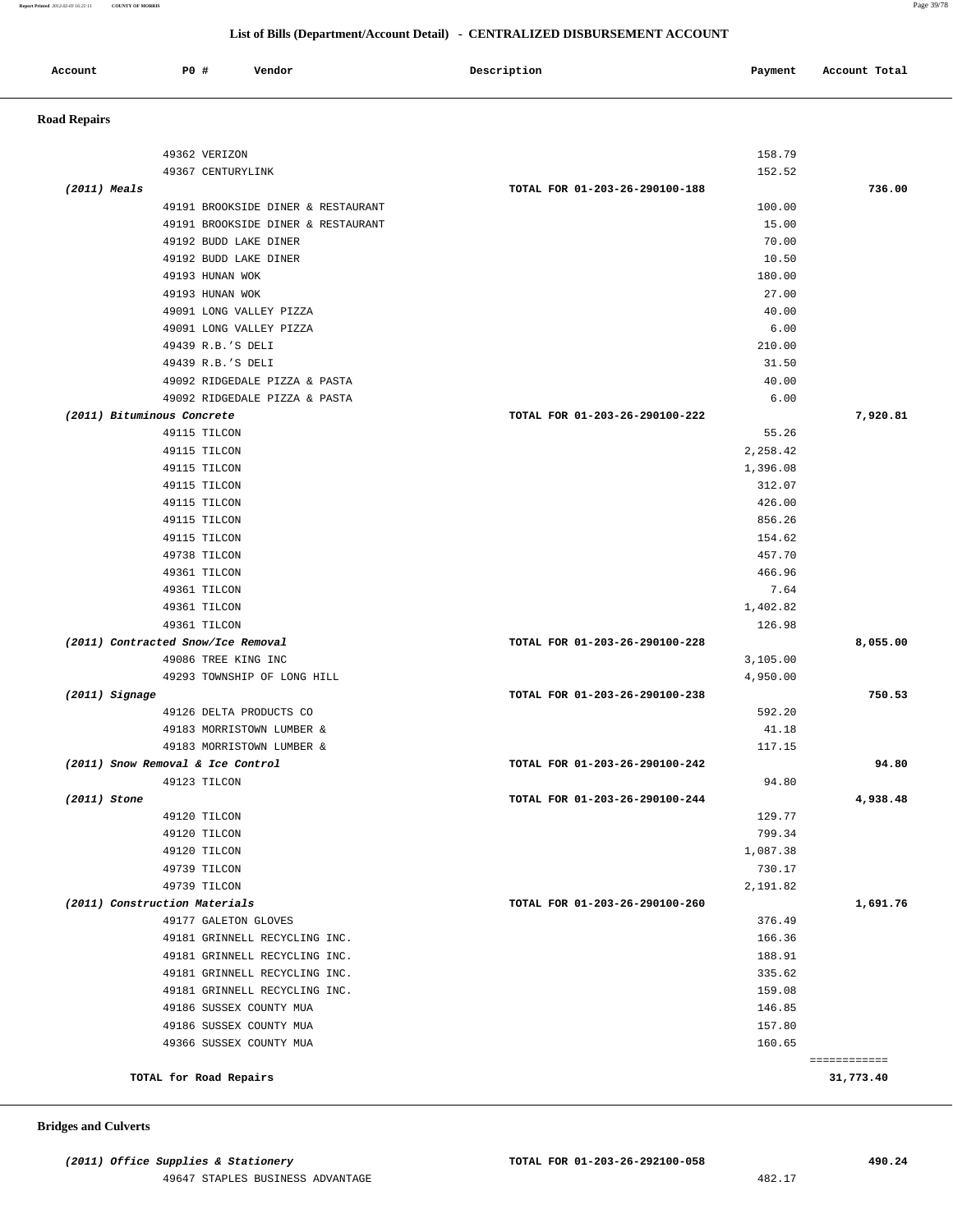| Account | P0 # | Vendor | Description | Payment<br>$\sim$ $\sim$ | Account Total |
|---------|------|--------|-------------|--------------------------|---------------|
|         |      |        |             |                          |               |

 **Road Repairs** 

| 49362 VERIZON                      | 158.79                         |              |
|------------------------------------|--------------------------------|--------------|
| 49367 CENTURYLINK                  | 152.52                         |              |
| $(2011)$ Meals                     | TOTAL FOR 01-203-26-290100-188 | 736.00       |
| 49191 BROOKSIDE DINER & RESTAURANT | 100.00                         |              |
| 49191 BROOKSIDE DINER & RESTAURANT | 15.00                          |              |
| 49192 BUDD LAKE DINER              | 70.00                          |              |
| 49192 BUDD LAKE DINER              | 10.50                          |              |
| 49193 HUNAN WOK                    | 180.00                         |              |
| 49193 HUNAN WOK                    | 27.00                          |              |
| 49091 LONG VALLEY PIZZA            | 40.00                          |              |
| 49091 LONG VALLEY PIZZA            | 6.00                           |              |
| 49439 R.B.'S DELI                  | 210.00                         |              |
| 49439 R.B.'S DELI                  | 31.50                          |              |
| 49092 RIDGEDALE PIZZA & PASTA      | 40.00                          |              |
| 49092 RIDGEDALE PIZZA & PASTA      | 6.00                           |              |
| (2011) Bituminous Concrete         | TOTAL FOR 01-203-26-290100-222 | 7,920.81     |
| 49115 TILCON                       | 55.26                          |              |
| 49115 TILCON                       | 2,258.42                       |              |
| 49115 TILCON                       | 1,396.08                       |              |
| 49115 TILCON                       | 312.07                         |              |
| 49115 TILCON                       | 426.00                         |              |
| 49115 TILCON                       | 856.26                         |              |
| 49115 TILCON                       | 154.62                         |              |
| 49738 TILCON                       | 457.70                         |              |
| 49361 TILCON                       | 466.96                         |              |
| 49361 TILCON                       | 7.64                           |              |
| 49361 TILCON                       | 1,402.82                       |              |
| 49361 TILCON                       | 126.98                         |              |
| (2011) Contracted Snow/Ice Removal | TOTAL FOR 01-203-26-290100-228 | 8,055.00     |
| 49086 TREE KING INC                | 3,105.00                       |              |
| 49293 TOWNSHIP OF LONG HILL        | 4,950.00                       |              |
| $(2011)$ Signage                   | TOTAL FOR 01-203-26-290100-238 | 750.53       |
| 49126 DELTA PRODUCTS CO            | 592.20                         |              |
| 49183 MORRISTOWN LUMBER &          | 41.18                          |              |
| 49183 MORRISTOWN LUMBER &          | 117.15                         |              |
| (2011) Snow Removal & Ice Control  | TOTAL FOR 01-203-26-290100-242 | 94.80        |
| 49123 TILCON                       | 94.80                          |              |
| (2011) Stone                       | TOTAL FOR 01-203-26-290100-244 | 4,938.48     |
| 49120 TILCON                       | 129.77                         |              |
| 49120 TILCON                       | 799.34                         |              |
| 49120 TILCON                       | 1,087.38                       |              |
| 49739 TILCON                       | 730.17                         |              |
| 49739 TILCON                       | 2,191.82                       |              |
| (2011) Construction Materials      | TOTAL FOR 01-203-26-290100-260 | 1,691.76     |
| 49177 GALETON GLOVES               | 376.49                         |              |
| 49181 GRINNELL RECYCLING INC.      | 166.36                         |              |
| 49181 GRINNELL RECYCLING INC.      | 188.91                         |              |
| 49181 GRINNELL RECYCLING INC.      | 335.62                         |              |
| 49181 GRINNELL RECYCLING INC.      | 159.08<br>146.85               |              |
| 49186 SUSSEX COUNTY MUA            |                                |              |
| 49186 SUSSEX COUNTY MUA            | 157.80                         |              |
| 49366 SUSSEX COUNTY MUA            | 160.65                         | ============ |
| TOTAL for Road Repairs             |                                | 31,773.40    |
|                                    |                                |              |

 **Bridges and Culverts**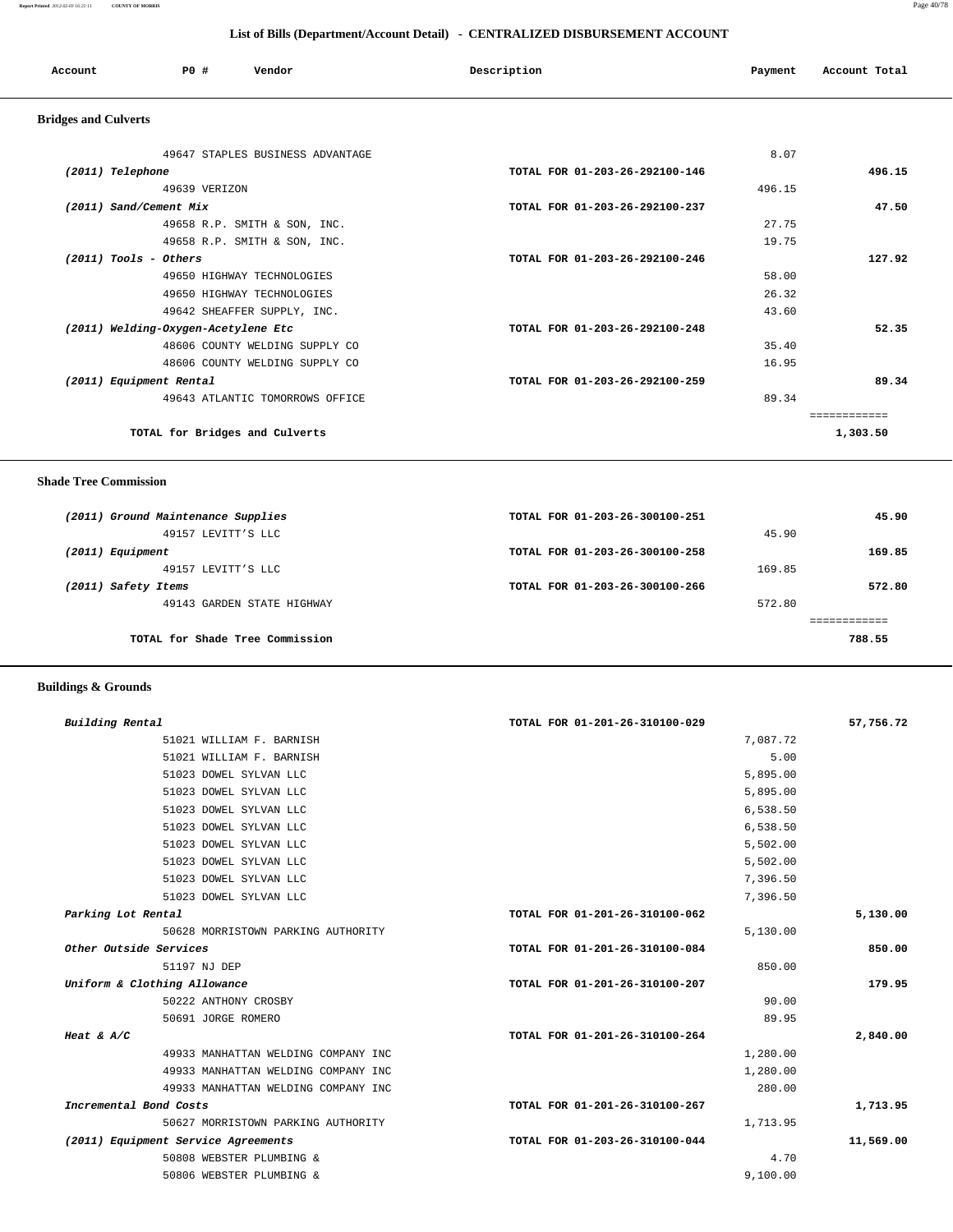#### **Report Printed** *2012-02-03 16:21:11* **COUNTY OF MORRIS** Page 40/78

 **List of Bills (Department/Account Detail) - CENTRALIZED DISBURSEMENT ACCOUNT**

| Account | PO# | Vendor | Description | Payment | Account Total<br>.<br>. |
|---------|-----|--------|-------------|---------|-------------------------|
|         |     |        |             |         |                         |

# **Bridges and Culverts**

|                                | 8.07   |              |
|--------------------------------|--------|--------------|
| TOTAL FOR 01-203-26-292100-146 |        | 496.15       |
|                                | 496.15 |              |
| TOTAL FOR 01-203-26-292100-237 |        | 47.50        |
|                                | 27.75  |              |
|                                | 19.75  |              |
| TOTAL FOR 01-203-26-292100-246 |        | 127.92       |
|                                | 58.00  |              |
|                                | 26.32  |              |
|                                | 43.60  |              |
| TOTAL FOR 01-203-26-292100-248 |        | 52.35        |
|                                | 35.40  |              |
|                                | 16.95  |              |
| TOTAL FOR 01-203-26-292100-259 |        | 89.34        |
|                                | 89.34  |              |
|                                |        | ============ |
|                                |        | 1,303.50     |
|                                |        |              |

# **Shade Tree Commission**

| (2011) Ground Maintenance Supplies | TOTAL FOR 01-203-26-300100-251 |        | 45.90  |
|------------------------------------|--------------------------------|--------|--------|
| 49157 LEVITT'S LLC                 |                                | 45.90  |        |
| (2011) Equipment                   | TOTAL FOR 01-203-26-300100-258 |        | 169.85 |
| 49157 LEVITT'S LLC                 |                                | 169.85 |        |
| (2011) Safety Items                | TOTAL FOR 01-203-26-300100-266 |        | 572.80 |
| 49143 GARDEN STATE HIGHWAY         |                                | 572.80 |        |
|                                    |                                |        |        |
| TOTAL for Shade Tree Commission    |                                |        | 788.55 |
|                                    |                                |        |        |

## **Buildings & Grounds**

| 57,756.72 | TOTAL FOR 01-201-26-310100-029 | Building Rental                     |
|-----------|--------------------------------|-------------------------------------|
|           | 7,087.72                       | 51021 WILLIAM F. BARNISH            |
|           | 5.00                           | 51021 WILLIAM F. BARNISH            |
|           | 5,895.00                       | 51023 DOWEL SYLVAN LLC              |
|           | 5,895.00                       | 51023 DOWEL SYLVAN LLC              |
|           | 6,538.50                       | 51023 DOWEL SYLVAN LLC              |
|           | 6,538.50                       | 51023 DOWEL SYLVAN LLC              |
|           | 5,502.00                       | 51023 DOWEL SYLVAN LLC              |
|           | 5,502.00                       | 51023 DOWEL SYLVAN LLC              |
|           | 7,396.50                       | 51023 DOWEL SYLVAN LLC              |
|           | 7,396.50                       | 51023 DOWEL SYLVAN LLC              |
| 5,130.00  | TOTAL FOR 01-201-26-310100-062 | Parking Lot Rental                  |
|           | 5,130.00                       | 50628 MORRISTOWN PARKING AUTHORITY  |
| 850.00    | TOTAL FOR 01-201-26-310100-084 | Other Outside Services              |
|           | 850.00                         | 51197 NJ DEP                        |
| 179.95    | TOTAL FOR 01-201-26-310100-207 | Uniform & Clothing Allowance        |
|           | 90.00                          | 50222 ANTHONY CROSBY                |
|           | 89.95                          | 50691 JORGE ROMERO                  |
| 2,840.00  | TOTAL FOR 01-201-26-310100-264 | Heat & $A/C$                        |
|           | 1,280.00                       | 49933 MANHATTAN WELDING COMPANY INC |
|           | 1,280.00                       | 49933 MANHATTAN WELDING COMPANY INC |
|           | 280.00                         | 49933 MANHATTAN WELDING COMPANY INC |
| 1,713.95  | TOTAL FOR 01-201-26-310100-267 | Incremental Bond Costs              |
|           | 1,713.95                       | 50627 MORRISTOWN PARKING AUTHORITY  |
| 11,569.00 | TOTAL FOR 01-203-26-310100-044 | (2011) Equipment Service Agreements |
|           | 4.70                           | 50808 WEBSTER PLUMBING &            |
|           | 9,100.00                       | 50806 WEBSTER PLUMBING &            |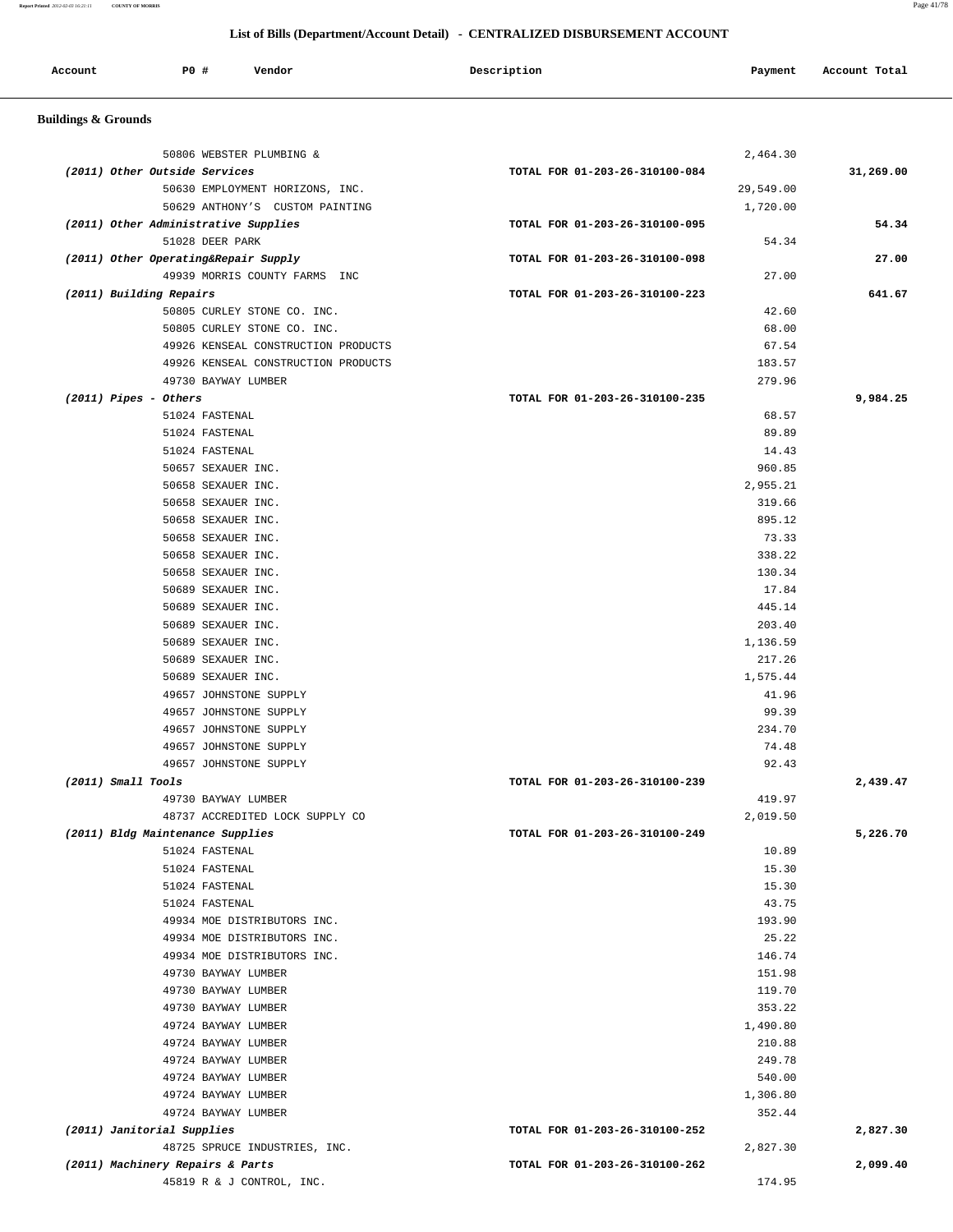**Report Printed** *2012-02-03 16:21:11* **COUNTY OF MORRIS** Page 41/78

## **List of Bills (Department/Account Detail) - CENTRALIZED DISBURSEMENT ACCOUNT**

| Account | PO# | Vendor | Description | Payment | Account Total |
|---------|-----|--------|-------------|---------|---------------|
|         |     |        |             |         |               |

# **Buildings & Grounds**

| TOTAL FOR 01-203-26-310100-084 | 31,269.00                                                                                                                                                                                                                                                                                                               |
|--------------------------------|-------------------------------------------------------------------------------------------------------------------------------------------------------------------------------------------------------------------------------------------------------------------------------------------------------------------------|
| 29,549.00                      |                                                                                                                                                                                                                                                                                                                         |
| 1,720.00                       |                                                                                                                                                                                                                                                                                                                         |
| TOTAL FOR 01-203-26-310100-095 |                                                                                                                                                                                                                                                                                                                         |
| 54.34                          |                                                                                                                                                                                                                                                                                                                         |
| TOTAL FOR 01-203-26-310100-098 |                                                                                                                                                                                                                                                                                                                         |
| 27.00                          |                                                                                                                                                                                                                                                                                                                         |
| TOTAL FOR 01-203-26-310100-223 | 641.67                                                                                                                                                                                                                                                                                                                  |
| 42.60                          |                                                                                                                                                                                                                                                                                                                         |
| 68.00                          |                                                                                                                                                                                                                                                                                                                         |
| 67.54                          |                                                                                                                                                                                                                                                                                                                         |
| 183.57                         |                                                                                                                                                                                                                                                                                                                         |
| 279.96                         |                                                                                                                                                                                                                                                                                                                         |
| TOTAL FOR 01-203-26-310100-235 | 9,984.25                                                                                                                                                                                                                                                                                                                |
|                                |                                                                                                                                                                                                                                                                                                                         |
|                                |                                                                                                                                                                                                                                                                                                                         |
|                                |                                                                                                                                                                                                                                                                                                                         |
|                                |                                                                                                                                                                                                                                                                                                                         |
|                                |                                                                                                                                                                                                                                                                                                                         |
|                                |                                                                                                                                                                                                                                                                                                                         |
|                                |                                                                                                                                                                                                                                                                                                                         |
|                                |                                                                                                                                                                                                                                                                                                                         |
|                                |                                                                                                                                                                                                                                                                                                                         |
|                                |                                                                                                                                                                                                                                                                                                                         |
|                                |                                                                                                                                                                                                                                                                                                                         |
|                                |                                                                                                                                                                                                                                                                                                                         |
|                                |                                                                                                                                                                                                                                                                                                                         |
|                                |                                                                                                                                                                                                                                                                                                                         |
|                                |                                                                                                                                                                                                                                                                                                                         |
|                                |                                                                                                                                                                                                                                                                                                                         |
|                                |                                                                                                                                                                                                                                                                                                                         |
|                                |                                                                                                                                                                                                                                                                                                                         |
|                                |                                                                                                                                                                                                                                                                                                                         |
|                                |                                                                                                                                                                                                                                                                                                                         |
|                                |                                                                                                                                                                                                                                                                                                                         |
|                                |                                                                                                                                                                                                                                                                                                                         |
|                                | 2,439.47                                                                                                                                                                                                                                                                                                                |
|                                |                                                                                                                                                                                                                                                                                                                         |
|                                |                                                                                                                                                                                                                                                                                                                         |
|                                | 5,226.70                                                                                                                                                                                                                                                                                                                |
|                                |                                                                                                                                                                                                                                                                                                                         |
|                                |                                                                                                                                                                                                                                                                                                                         |
| 15.30                          |                                                                                                                                                                                                                                                                                                                         |
| 43.75                          |                                                                                                                                                                                                                                                                                                                         |
| 193.90                         |                                                                                                                                                                                                                                                                                                                         |
| 25.22                          |                                                                                                                                                                                                                                                                                                                         |
| 146.74                         |                                                                                                                                                                                                                                                                                                                         |
| 151.98                         |                                                                                                                                                                                                                                                                                                                         |
| 119.70                         |                                                                                                                                                                                                                                                                                                                         |
| 353.22                         |                                                                                                                                                                                                                                                                                                                         |
| 1,490.80                       |                                                                                                                                                                                                                                                                                                                         |
| 210.88                         |                                                                                                                                                                                                                                                                                                                         |
| 249.78                         |                                                                                                                                                                                                                                                                                                                         |
| 540.00                         |                                                                                                                                                                                                                                                                                                                         |
| 1,306.80                       |                                                                                                                                                                                                                                                                                                                         |
|                                |                                                                                                                                                                                                                                                                                                                         |
| 352.44                         |                                                                                                                                                                                                                                                                                                                         |
| TOTAL FOR 01-203-26-310100-252 | 2,827.30                                                                                                                                                                                                                                                                                                                |
| 2,827.30                       |                                                                                                                                                                                                                                                                                                                         |
|                                | 68.57<br>89.89<br>14.43<br>960.85<br>2,955.21<br>319.66<br>895.12<br>73.33<br>338.22<br>130.34<br>17.84<br>445.14<br>203.40<br>1,136.59<br>217.26<br>1,575.44<br>41.96<br>99.39<br>234.70<br>74.48<br>92.43<br>TOTAL FOR 01-203-26-310100-239<br>419.97<br>2,019.50<br>TOTAL FOR 01-203-26-310100-249<br>10.89<br>15.30 |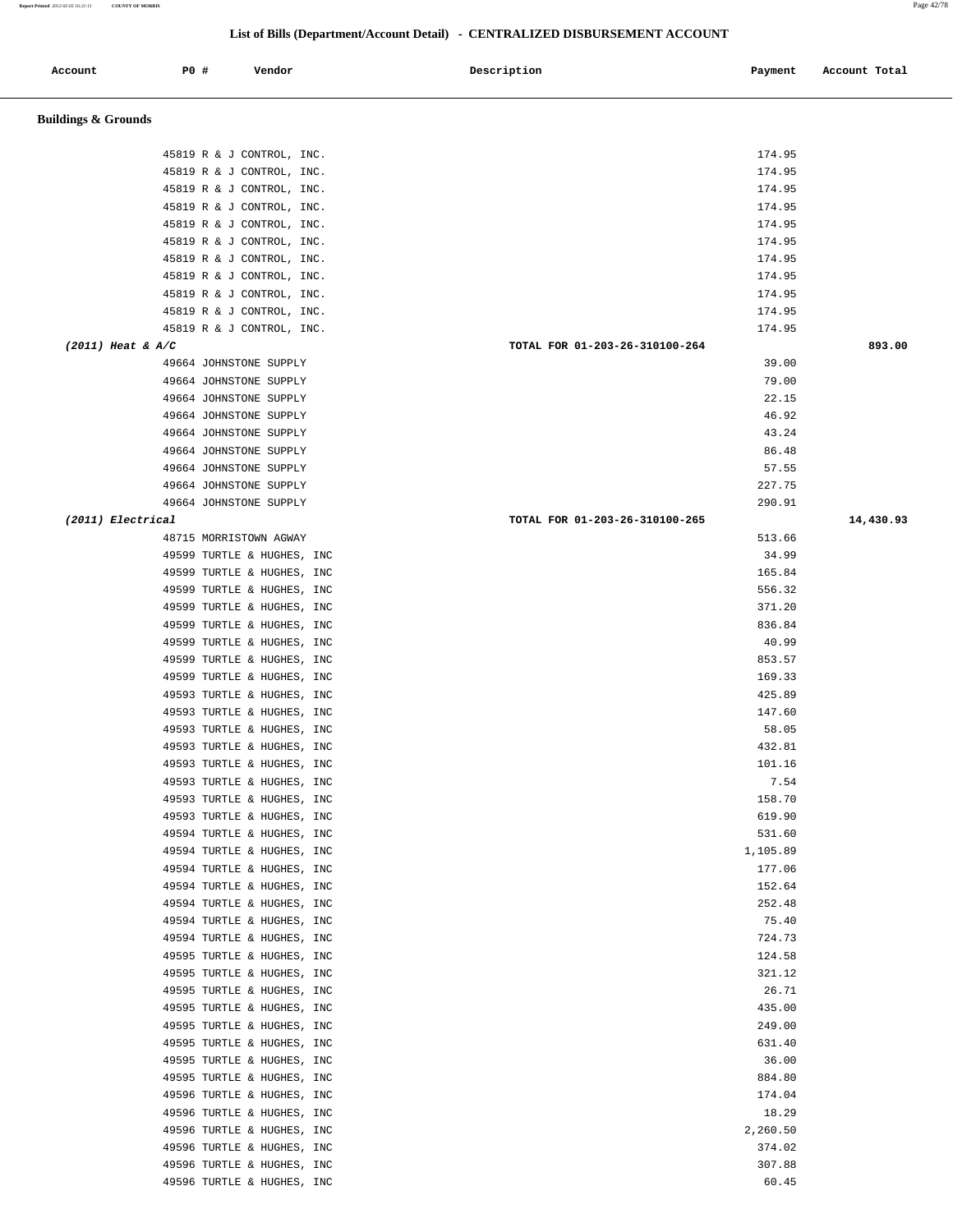| Account                        | P0 # | Vendor                                                   | Description<br>Payment                   | Account Total |
|--------------------------------|------|----------------------------------------------------------|------------------------------------------|---------------|
| <b>Buildings &amp; Grounds</b> |      |                                                          |                                          |               |
|                                |      |                                                          |                                          |               |
|                                |      | 45819 R & J CONTROL, INC.<br>45819 R & J CONTROL, INC.   | 174.95<br>174.95                         |               |
|                                |      | 45819 R & J CONTROL, INC.                                | 174.95                                   |               |
|                                |      | 45819 R & J CONTROL, INC.                                | 174.95                                   |               |
|                                |      | 45819 R & J CONTROL, INC.                                | 174.95                                   |               |
|                                |      | 45819 R & J CONTROL, INC.                                | 174.95                                   |               |
|                                |      | 45819 R & J CONTROL, INC.                                | 174.95                                   |               |
|                                |      | 45819 R & J CONTROL, INC.                                | 174.95                                   |               |
|                                |      | 45819 R & J CONTROL, INC.                                | 174.95                                   |               |
|                                |      | 45819 R & J CONTROL, INC.                                | 174.95                                   |               |
| $(2011)$ Heat & A/C            |      | 45819 R & J CONTROL, INC.                                | 174.95<br>TOTAL FOR 01-203-26-310100-264 | 893.00        |
|                                |      | 49664 JOHNSTONE SUPPLY                                   | 39.00                                    |               |
|                                |      | 49664 JOHNSTONE SUPPLY                                   | 79.00                                    |               |
|                                |      | 49664 JOHNSTONE SUPPLY                                   | 22.15                                    |               |
|                                |      | 49664 JOHNSTONE SUPPLY                                   | 46.92                                    |               |
|                                |      | 49664 JOHNSTONE SUPPLY                                   | 43.24                                    |               |
|                                |      | 49664 JOHNSTONE SUPPLY                                   | 86.48                                    |               |
|                                |      | 49664 JOHNSTONE SUPPLY                                   | 57.55                                    |               |
|                                |      | 49664 JOHNSTONE SUPPLY                                   | 227.75                                   |               |
|                                |      | 49664 JOHNSTONE SUPPLY                                   | 290.91                                   |               |
| (2011) Electrical              |      |                                                          | TOTAL FOR 01-203-26-310100-265<br>513.66 | 14,430.93     |
|                                |      | 48715 MORRISTOWN AGWAY<br>49599 TURTLE & HUGHES, INC     | 34.99                                    |               |
|                                |      | 49599 TURTLE & HUGHES, INC                               | 165.84                                   |               |
|                                |      | 49599 TURTLE & HUGHES, INC                               | 556.32                                   |               |
|                                |      | 49599 TURTLE & HUGHES, INC                               | 371.20                                   |               |
|                                |      | 49599 TURTLE & HUGHES, INC                               | 836.84                                   |               |
|                                |      | 49599 TURTLE & HUGHES, INC                               | 40.99                                    |               |
|                                |      | 49599 TURTLE & HUGHES, INC                               | 853.57                                   |               |
|                                |      | 49599 TURTLE & HUGHES, INC                               | 169.33                                   |               |
|                                |      | 49593 TURTLE & HUGHES, INC                               | 425.89                                   |               |
|                                |      | 49593 TURTLE & HUGHES, INC<br>49593 TURTLE & HUGHES, INC | 147.60                                   |               |
|                                |      | 49593 TURTLE & HUGHES, INC                               | 58.05<br>432.81                          |               |
|                                |      | 49593 TURTLE & HUGHES, INC                               | 101.16                                   |               |
|                                |      | 49593 TURTLE & HUGHES, INC                               | 7.54                                     |               |
|                                |      | 49593 TURTLE & HUGHES, INC                               | 158.70                                   |               |
|                                |      | 49593 TURTLE & HUGHES, INC                               | 619.90                                   |               |
|                                |      | 49594 TURTLE & HUGHES, INC                               | 531.60                                   |               |
|                                |      | 49594 TURTLE & HUGHES, INC                               | 1,105.89                                 |               |
|                                |      | 49594 TURTLE & HUGHES, INC                               | 177.06                                   |               |
|                                |      | 49594 TURTLE & HUGHES, INC                               | 152.64                                   |               |
|                                |      | 49594 TURTLE & HUGHES, INC<br>49594 TURTLE & HUGHES, INC | 252.48<br>75.40                          |               |
|                                |      | 49594 TURTLE & HUGHES, INC                               | 724.73                                   |               |
|                                |      | 49595 TURTLE & HUGHES, INC                               | 124.58                                   |               |
|                                |      | 49595 TURTLE & HUGHES, INC                               | 321.12                                   |               |
|                                |      | 49595 TURTLE & HUGHES, INC                               | 26.71                                    |               |
|                                |      | 49595 TURTLE & HUGHES, INC                               | 435.00                                   |               |
|                                |      | 49595 TURTLE & HUGHES, INC                               | 249.00                                   |               |
|                                |      | 49595 TURTLE & HUGHES, INC                               | 631.40                                   |               |
|                                |      | 49595 TURTLE & HUGHES, INC                               | 36.00                                    |               |
|                                |      | 49595 TURTLE & HUGHES, INC                               | 884.80<br>174.04                         |               |
|                                |      | 49596 TURTLE & HUGHES, INC<br>49596 TURTLE & HUGHES, INC | 18.29                                    |               |
|                                |      | 49596 TURTLE & HUGHES, INC                               | 2,260.50                                 |               |
|                                |      | 49596 TURTLE & HUGHES, INC                               | 374.02                                   |               |
|                                |      | 49596 TURTLE & HUGHES, INC                               | 307.88                                   |               |
|                                |      | 49596 TURTLE & HUGHES, INC                               | 60.45                                    |               |

**Report Printed** *2012-02-03 16:21:11* **COUNTY OF MORRIS** Page 42/78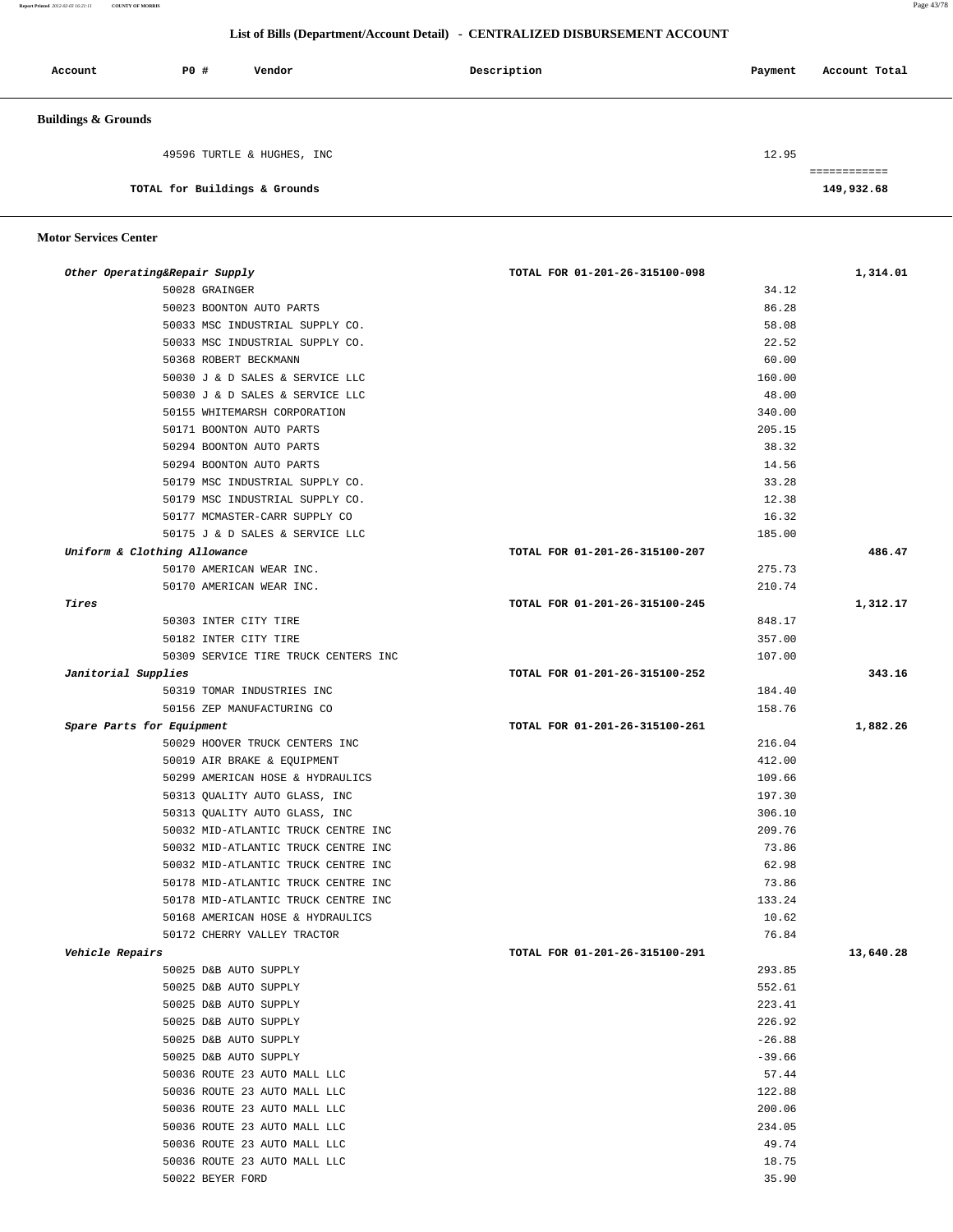**Report Printed** *2012-02-03 16:21:11* **COUNTY OF MORRIS** Page 43/78

## **List of Bills (Department/Account Detail) - CENTRALIZED DISBURSEMENT ACCOUNT**

| Account                        | P0 #                          | Vendor                     | Description | Payment<br>Account Total |
|--------------------------------|-------------------------------|----------------------------|-------------|--------------------------|
| <b>Buildings &amp; Grounds</b> |                               |                            |             |                          |
|                                |                               | 49596 TURTLE & HUGHES, INC |             | 12.95                    |
|                                | TOTAL for Buildings & Grounds |                            |             | 149,932.68               |

 **Motor Services Center** 

|                     | Other Operating&Repair Supply                                | TOTAL FOR 01-201-26-315100-098 | 1,314.01  |
|---------------------|--------------------------------------------------------------|--------------------------------|-----------|
|                     | 50028 GRAINGER                                               | 34.12                          |           |
|                     | 50023 BOONTON AUTO PARTS                                     | 86.28                          |           |
|                     | 50033 MSC INDUSTRIAL SUPPLY CO.                              | 58.08                          |           |
|                     | 50033 MSC INDUSTRIAL SUPPLY CO.                              | 22.52                          |           |
|                     | 50368 ROBERT BECKMANN                                        | 60.00                          |           |
|                     | 50030 J & D SALES & SERVICE LLC                              | 160.00                         |           |
|                     | 50030 J & D SALES & SERVICE LLC                              | 48.00                          |           |
|                     | 50155 WHITEMARSH CORPORATION                                 | 340.00                         |           |
|                     | 50171 BOONTON AUTO PARTS                                     | 205.15                         |           |
|                     | 50294 BOONTON AUTO PARTS                                     | 38.32                          |           |
|                     | 50294 BOONTON AUTO PARTS                                     | 14.56                          |           |
|                     | 50179 MSC INDUSTRIAL SUPPLY CO.                              | 33.28                          |           |
|                     | 50179 MSC INDUSTRIAL SUPPLY CO.                              | 12.38                          |           |
|                     | 50177 MCMASTER-CARR SUPPLY CO                                | 16.32                          |           |
|                     | 50175 J & D SALES & SERVICE LLC                              | 185.00                         |           |
|                     | Uniform & Clothing Allowance                                 | TOTAL FOR 01-201-26-315100-207 | 486.47    |
|                     | 50170 AMERICAN WEAR INC.                                     | 275.73                         |           |
|                     | 50170 AMERICAN WEAR INC.                                     | 210.74                         |           |
| Tires               |                                                              | TOTAL FOR 01-201-26-315100-245 | 1,312.17  |
|                     | 50303 INTER CITY TIRE                                        | 848.17                         |           |
|                     | 50182 INTER CITY TIRE                                        | 357.00                         |           |
|                     | 50309 SERVICE TIRE TRUCK CENTERS INC                         | 107.00                         |           |
| Janitorial Supplies |                                                              | TOTAL FOR 01-201-26-315100-252 | 343.16    |
|                     | 50319 TOMAR INDUSTRIES INC                                   | 184.40                         |           |
|                     | 50156 ZEP MANUFACTURING CO                                   | 158.76                         |           |
|                     | Spare Parts for Equipment                                    | TOTAL FOR 01-201-26-315100-261 | 1,882.26  |
|                     | 50029 HOOVER TRUCK CENTERS INC                               | 216.04                         |           |
|                     | 50019 AIR BRAKE & EQUIPMENT                                  | 412.00                         |           |
|                     | 50299 AMERICAN HOSE & HYDRAULICS                             | 109.66                         |           |
|                     | 50313 QUALITY AUTO GLASS, INC                                | 197.30                         |           |
|                     | 50313 QUALITY AUTO GLASS, INC                                | 306.10                         |           |
|                     | 50032 MID-ATLANTIC TRUCK CENTRE INC                          | 209.76                         |           |
|                     | 50032 MID-ATLANTIC TRUCK CENTRE INC                          | 73.86                          |           |
|                     | 50032 MID-ATLANTIC TRUCK CENTRE INC                          | 62.98                          |           |
|                     | 50178 MID-ATLANTIC TRUCK CENTRE INC                          | 73.86                          |           |
|                     | 50178 MID-ATLANTIC TRUCK CENTRE INC                          | 133.24                         |           |
|                     | 50168 AMERICAN HOSE & HYDRAULICS                             | 10.62                          |           |
|                     | 50172 CHERRY VALLEY TRACTOR                                  | 76.84                          |           |
| Vehicle Repairs     |                                                              | TOTAL FOR 01-201-26-315100-291 | 13,640.28 |
|                     | 50025 D&B AUTO SUPPLY                                        | 293.85                         |           |
|                     | 50025 D&B AUTO SUPPLY                                        | 552.61                         |           |
|                     | 50025 D&B AUTO SUPPLY                                        | 223.41                         |           |
|                     | 50025 D&B AUTO SUPPLY                                        | 226.92                         |           |
|                     | 50025 D&B AUTO SUPPLY                                        | $-26.88$                       |           |
|                     | 50025 D&B AUTO SUPPLY                                        | $-39.66$                       |           |
|                     | 50036 ROUTE 23 AUTO MALL LLC                                 | 57.44                          |           |
|                     | 50036 ROUTE 23 AUTO MALL LLC                                 | 122.88                         |           |
|                     | 50036 ROUTE 23 AUTO MALL LLC                                 | 200.06                         |           |
|                     | 50036 ROUTE 23 AUTO MALL LLC                                 | 234.05                         |           |
|                     |                                                              |                                |           |
|                     |                                                              |                                |           |
|                     | 50036 ROUTE 23 AUTO MALL LLC<br>50036 ROUTE 23 AUTO MALL LLC | 49.74<br>18.75                 |           |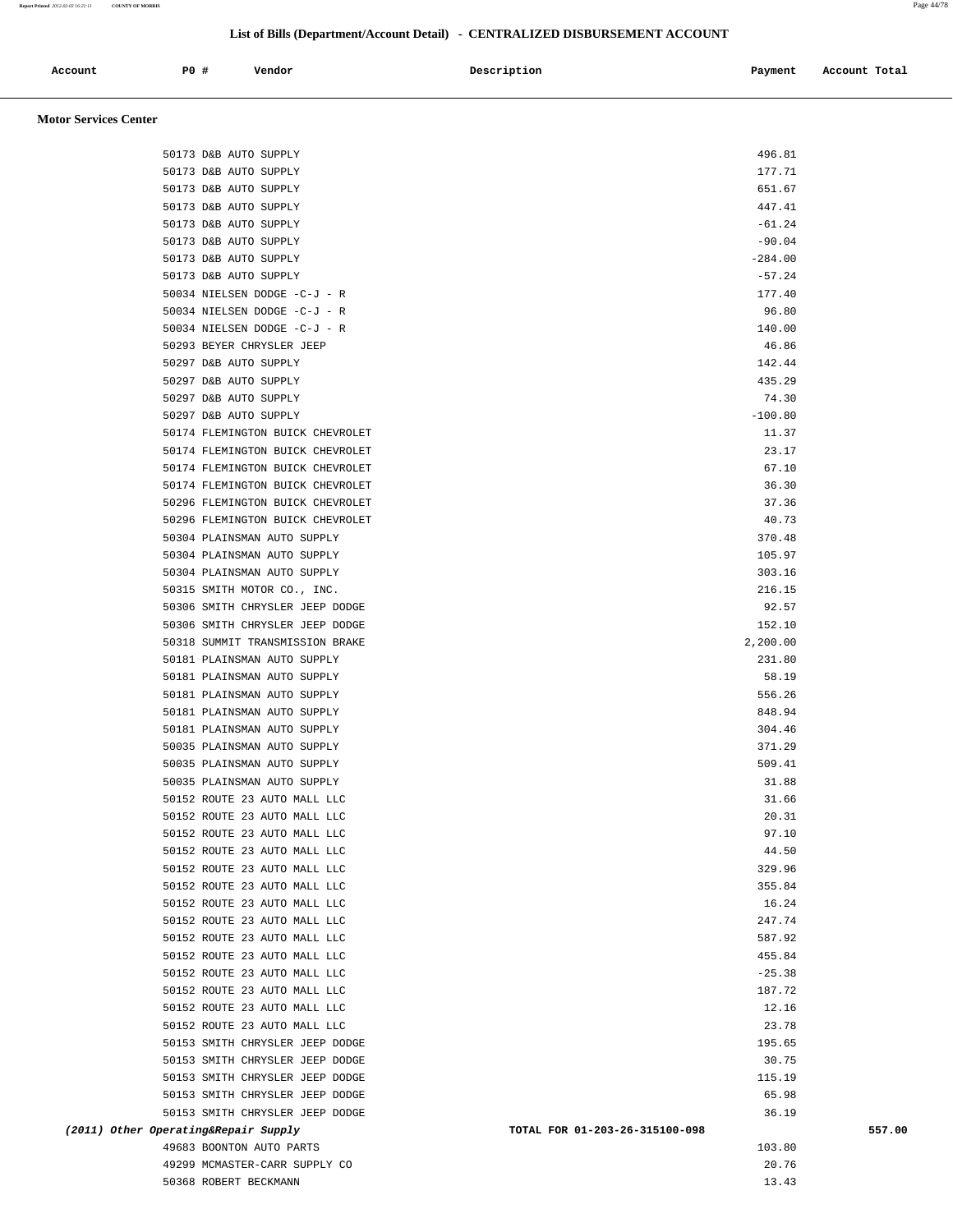| Account<br>. | P0 # | Vendor | Description | Payment | Total<br>Account |
|--------------|------|--------|-------------|---------|------------------|
|              |      |        |             |         |                  |

 **Motor Services Center** 

|                                      | 50173 D&B AUTO SUPPLY            | 496.81                         |        |
|--------------------------------------|----------------------------------|--------------------------------|--------|
|                                      | 50173 D&B AUTO SUPPLY            | 177.71                         |        |
|                                      | 50173 D&B AUTO SUPPLY            | 651.67                         |        |
|                                      | 50173 D&B AUTO SUPPLY            | 447.41                         |        |
|                                      | 50173 D&B AUTO SUPPLY            | $-61.24$                       |        |
|                                      | 50173 D&B AUTO SUPPLY            | $-90.04$                       |        |
|                                      | 50173 D&B AUTO SUPPLY            | $-284.00$                      |        |
|                                      | 50173 D&B AUTO SUPPLY            | $-57.24$                       |        |
|                                      | 50034 NIELSEN DODGE -C-J - R     | 177.40                         |        |
|                                      | 50034 NIELSEN DODGE -C-J - R     | 96.80                          |        |
|                                      | 50034 NIELSEN DODGE -C-J - R     | 140.00                         |        |
|                                      | 50293 BEYER CHRYSLER JEEP        | 46.86                          |        |
|                                      | 50297 D&B AUTO SUPPLY            | 142.44                         |        |
|                                      | 50297 D&B AUTO SUPPLY            | 435.29                         |        |
|                                      | 50297 D&B AUTO SUPPLY            | 74.30                          |        |
|                                      | 50297 D&B AUTO SUPPLY            | $-100.80$                      |        |
|                                      | 50174 FLEMINGTON BUICK CHEVROLET | 11.37                          |        |
|                                      | 50174 FLEMINGTON BUICK CHEVROLET | 23.17                          |        |
|                                      | 50174 FLEMINGTON BUICK CHEVROLET | 67.10                          |        |
|                                      | 50174 FLEMINGTON BUICK CHEVROLET | 36.30                          |        |
|                                      | 50296 FLEMINGTON BUICK CHEVROLET | 37.36                          |        |
|                                      | 50296 FLEMINGTON BUICK CHEVROLET | 40.73                          |        |
|                                      | 50304 PLAINSMAN AUTO SUPPLY      | 370.48                         |        |
|                                      | 50304 PLAINSMAN AUTO SUPPLY      | 105.97                         |        |
|                                      | 50304 PLAINSMAN AUTO SUPPLY      | 303.16                         |        |
|                                      | 50315 SMITH MOTOR CO., INC.      | 216.15                         |        |
|                                      | 50306 SMITH CHRYSLER JEEP DODGE  | 92.57                          |        |
|                                      | 50306 SMITH CHRYSLER JEEP DODGE  | 152.10                         |        |
|                                      | 50318 SUMMIT TRANSMISSION BRAKE  | 2,200.00                       |        |
|                                      | 50181 PLAINSMAN AUTO SUPPLY      | 231.80                         |        |
|                                      | 50181 PLAINSMAN AUTO SUPPLY      | 58.19                          |        |
|                                      | 50181 PLAINSMAN AUTO SUPPLY      | 556.26                         |        |
|                                      | 50181 PLAINSMAN AUTO SUPPLY      | 848.94                         |        |
|                                      | 50181 PLAINSMAN AUTO SUPPLY      | 304.46                         |        |
|                                      | 50035 PLAINSMAN AUTO SUPPLY      | 371.29                         |        |
|                                      | 50035 PLAINSMAN AUTO SUPPLY      | 509.41                         |        |
|                                      | 50035 PLAINSMAN AUTO SUPPLY      | 31.88                          |        |
|                                      | 50152 ROUTE 23 AUTO MALL LLC     | 31.66                          |        |
|                                      | 50152 ROUTE 23 AUTO MALL LLC     | 20.31                          |        |
|                                      | 50152 ROUTE 23 AUTO MALL LLC     | 97.10                          |        |
|                                      | 50152 ROUTE 23 AUTO MALL LLC     | 44.50                          |        |
|                                      | 50152 ROUTE 23 AUTO MALL LLC     | 329.96                         |        |
|                                      | 50152 ROUTE 23 AUTO MALL LLC     | 355.84                         |        |
|                                      | 50152 ROUTE 23 AUTO MALL LLC     | 16.24                          |        |
|                                      | 50152 ROUTE 23 AUTO MALL LLC     | 247.74                         |        |
|                                      | 50152 ROUTE 23 AUTO MALL LLC     | 587.92                         |        |
|                                      | 50152 ROUTE 23 AUTO MALL LLC     | 455.84                         |        |
|                                      | 50152 ROUTE 23 AUTO MALL LLC     | $-25.38$                       |        |
|                                      | 50152 ROUTE 23 AUTO MALL LLC     | 187.72                         |        |
|                                      | 50152 ROUTE 23 AUTO MALL LLC     | 12.16                          |        |
|                                      | 50152 ROUTE 23 AUTO MALL LLC     | 23.78                          |        |
|                                      | 50153 SMITH CHRYSLER JEEP DODGE  | 195.65                         |        |
|                                      | 50153 SMITH CHRYSLER JEEP DODGE  | 30.75                          |        |
|                                      | 50153 SMITH CHRYSLER JEEP DODGE  | 115.19                         |        |
|                                      | 50153 SMITH CHRYSLER JEEP DODGE  | 65.98                          |        |
|                                      | 50153 SMITH CHRYSLER JEEP DODGE  | 36.19                          |        |
| (2011) Other Operating&Repair Supply |                                  | TOTAL FOR 01-203-26-315100-098 | 557.00 |
|                                      | 49683 BOONTON AUTO PARTS         | 103.80                         |        |
|                                      | 49299 MCMASTER-CARR SUPPLY CO    | 20.76                          |        |
|                                      | 50368 ROBERT BECKMANN            | 13.43                          |        |
|                                      |                                  |                                |        |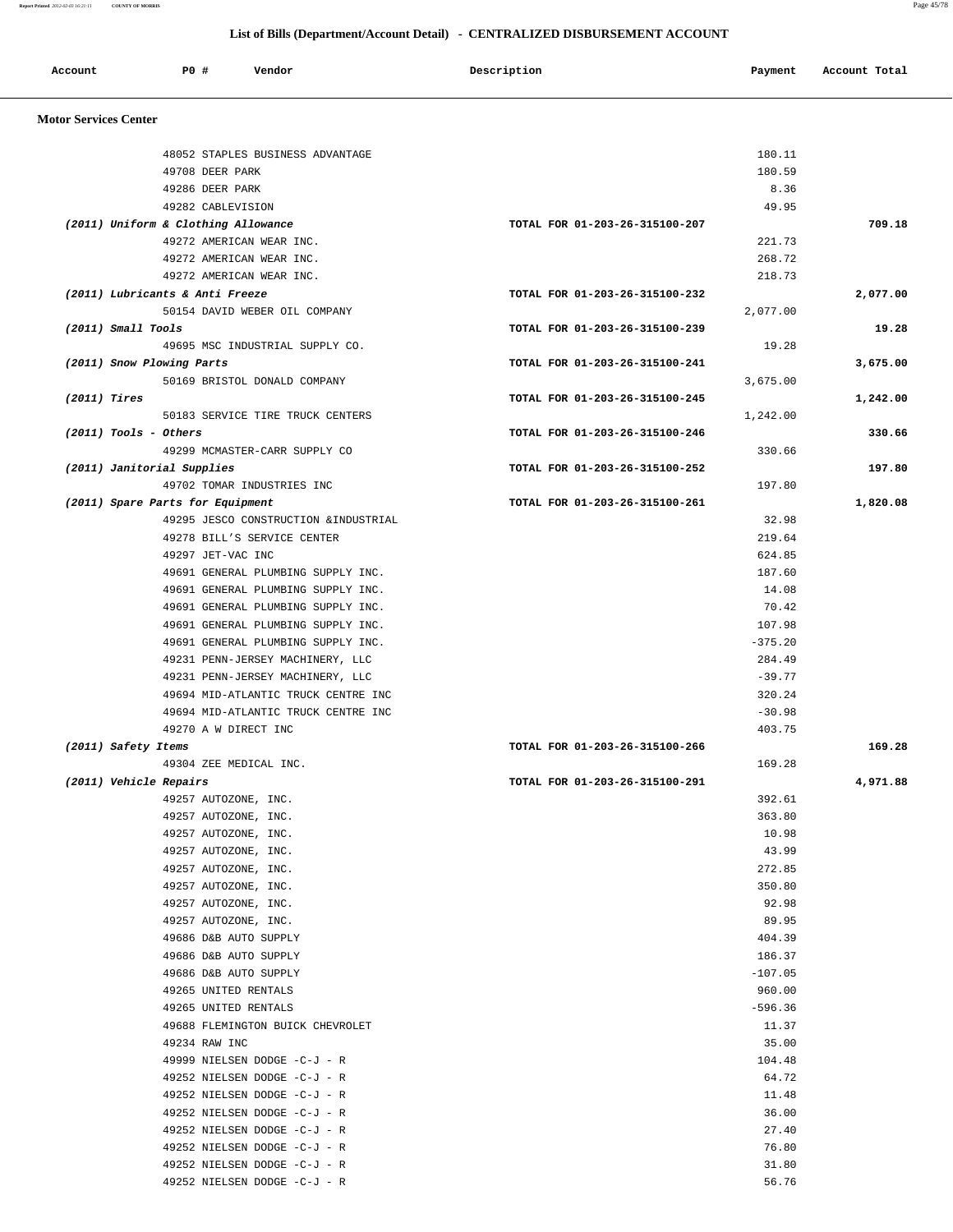| Account                      | <b>PO #</b><br>Vendor                                                    | Description                    | Payment         | Account Total |
|------------------------------|--------------------------------------------------------------------------|--------------------------------|-----------------|---------------|
| <b>Motor Services Center</b> |                                                                          |                                |                 |               |
|                              | 48052 STAPLES BUSINESS ADVANTAGE                                         |                                | 180.11          |               |
|                              | 49708 DEER PARK                                                          |                                | 180.59          |               |
|                              | 49286 DEER PARK                                                          |                                | 8.36            |               |
|                              | 49282 CABLEVISION                                                        |                                | 49.95           |               |
|                              | (2011) Uniform & Clothing Allowance                                      | TOTAL FOR 01-203-26-315100-207 |                 | 709.18        |
|                              | 49272 AMERICAN WEAR INC.                                                 |                                | 221.73          |               |
|                              | 49272 AMERICAN WEAR INC.                                                 |                                | 268.72          |               |
|                              | 49272 AMERICAN WEAR INC.                                                 |                                | 218.73          |               |
|                              | (2011) Lubricants & Anti Freeze                                          | TOTAL FOR 01-203-26-315100-232 |                 | 2,077.00      |
|                              | 50154 DAVID WEBER OIL COMPANY                                            |                                | 2,077.00        | 19.28         |
| $(2011)$ Small Tools         | 49695 MSC INDUSTRIAL SUPPLY CO.                                          | TOTAL FOR 01-203-26-315100-239 | 19.28           |               |
|                              | (2011) Snow Plowing Parts                                                | TOTAL FOR 01-203-26-315100-241 |                 | 3,675.00      |
|                              | 50169 BRISTOL DONALD COMPANY                                             |                                | 3,675.00        |               |
| (2011) Tires                 |                                                                          | TOTAL FOR 01-203-26-315100-245 |                 | 1,242.00      |
|                              | 50183 SERVICE TIRE TRUCK CENTERS                                         |                                | 1,242.00        |               |
| $(2011)$ Tools - Others      |                                                                          | TOTAL FOR 01-203-26-315100-246 |                 | 330.66        |
|                              | 49299 MCMASTER-CARR SUPPLY CO                                            |                                | 330.66          |               |
|                              | (2011) Janitorial Supplies                                               | TOTAL FOR 01-203-26-315100-252 |                 | 197.80        |
|                              | 49702 TOMAR INDUSTRIES INC                                               |                                | 197.80          |               |
|                              | (2011) Spare Parts for Equipment                                         | TOTAL FOR 01-203-26-315100-261 |                 | 1,820.08      |
|                              | 49295 JESCO CONSTRUCTION & INDUSTRIAL                                    |                                | 32.98           |               |
|                              | 49278 BILL'S SERVICE CENTER                                              |                                | 219.64          |               |
|                              | 49297 JET-VAC INC                                                        |                                | 624.85          |               |
|                              | 49691 GENERAL PLUMBING SUPPLY INC.                                       |                                | 187.60          |               |
|                              | 49691 GENERAL PLUMBING SUPPLY INC.                                       |                                | 14.08           |               |
|                              | 49691 GENERAL PLUMBING SUPPLY INC.                                       |                                | 70.42<br>107.98 |               |
|                              | 49691 GENERAL PLUMBING SUPPLY INC.<br>49691 GENERAL PLUMBING SUPPLY INC. |                                | $-375.20$       |               |
|                              | 49231 PENN-JERSEY MACHINERY, LLC                                         |                                | 284.49          |               |
|                              | 49231 PENN-JERSEY MACHINERY, LLC                                         |                                | $-39.77$        |               |
|                              | 49694 MID-ATLANTIC TRUCK CENTRE INC                                      |                                | 320.24          |               |
|                              | 49694 MID-ATLANTIC TRUCK CENTRE INC                                      |                                | $-30.98$        |               |
|                              | 49270 A W DIRECT INC                                                     |                                | 403.75          |               |
| (2011) Safety Items          |                                                                          | TOTAL FOR 01-203-26-315100-266 |                 | 169.28        |
|                              | 49304 ZEE MEDICAL INC.                                                   |                                | 169.28          |               |
|                              | (2011) Vehicle Repairs                                                   | TOTAL FOR 01-203-26-315100-291 |                 | 4,971.88      |
|                              | 49257 AUTOZONE, INC.                                                     |                                | 392.61          |               |
|                              | 49257 AUTOZONE, INC.                                                     |                                | 363.80          |               |
|                              | 49257 AUTOZONE, INC.                                                     |                                | 10.98           |               |
|                              | 49257 AUTOZONE, INC.                                                     |                                | 43.99           |               |
|                              | 49257 AUTOZONE, INC.                                                     |                                | 272.85          |               |
|                              | 49257 AUTOZONE, INC.                                                     |                                | 350.80          |               |
|                              | 49257 AUTOZONE, INC.<br>49257 AUTOZONE, INC.                             |                                | 92.98<br>89.95  |               |
|                              | 49686 D&B AUTO SUPPLY                                                    |                                | 404.39          |               |
|                              | 49686 D&B AUTO SUPPLY                                                    |                                | 186.37          |               |
|                              | 49686 D&B AUTO SUPPLY                                                    |                                | $-107.05$       |               |
|                              | 49265 UNITED RENTALS                                                     |                                | 960.00          |               |
|                              | 49265 UNITED RENTALS                                                     |                                | $-596.36$       |               |
|                              | 49688 FLEMINGTON BUICK CHEVROLET                                         |                                | 11.37           |               |
|                              | 49234 RAW INC                                                            |                                | 35.00           |               |
|                              | 49999 NIELSEN DODGE -C-J - R                                             |                                | 104.48          |               |
|                              | 49252 NIELSEN DODGE -C-J - R                                             |                                | 64.72           |               |
|                              | 49252 NIELSEN DODGE -C-J - R                                             |                                | 11.48           |               |
|                              | 49252 NIELSEN DODGE -C-J - R                                             |                                | 36.00           |               |
|                              | 49252 NIELSEN DODGE -C-J - R                                             |                                | 27.40           |               |
|                              | 49252 NIELSEN DODGE -C-J - R                                             |                                | 76.80           |               |
|                              | 49252 NIELSEN DODGE -C-J - R                                             |                                | 31.80           |               |
|                              | 49252 NIELSEN DODGE -C-J - R                                             |                                | 56.76           |               |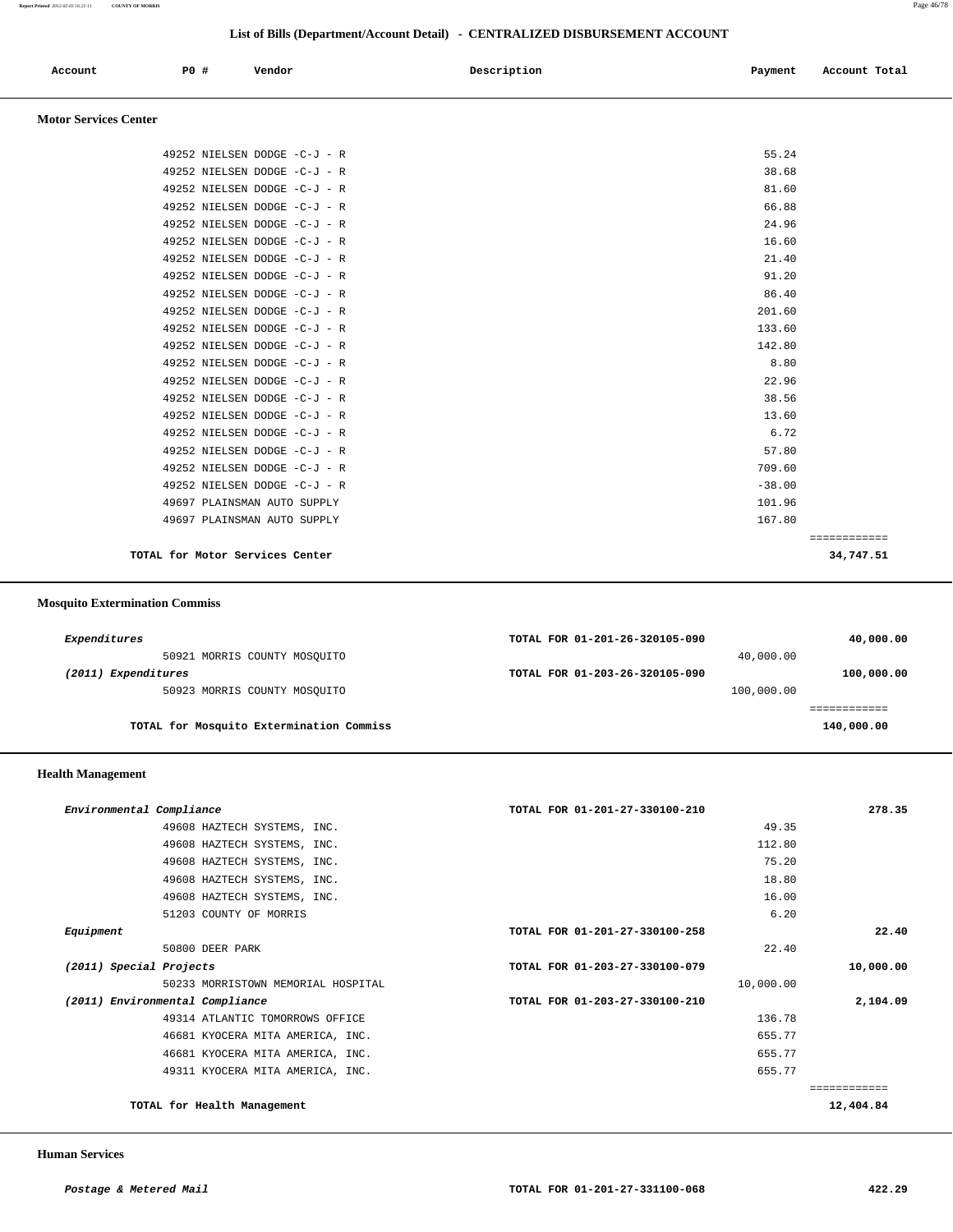|                              |      |                              | List of Bills (Department/Account Detail) - CENTRALIZED DISBURSEMENT ACCOUNT |                          |  |
|------------------------------|------|------------------------------|------------------------------------------------------------------------------|--------------------------|--|
| Account                      | P0 # | Vendor                       | Description                                                                  | Account Total<br>Payment |  |
| <b>Motor Services Center</b> |      |                              |                                                                              |                          |  |
|                              |      | 49252 NIELSEN DODGE -C-J - R |                                                                              | 55.24                    |  |
|                              |      | 49252 NIELSEN DODGE -C-J - R |                                                                              | 38.68                    |  |
|                              |      | 49252 NIELSEN DODGE -C-J - R |                                                                              | 81.60                    |  |
|                              |      | 49252 NIELSEN DODGE -C-J - R |                                                                              | 66.88                    |  |
|                              |      | 49252 NIELSEN DODGE -C-J - R |                                                                              | 24.96                    |  |
|                              |      | 49252 NIELSEN DODGE -C-J - R |                                                                              | 16.60                    |  |
|                              |      | 49252 NIELSEN DODGE -C-J - R |                                                                              | 21.40                    |  |
|                              |      | 49252 NIELSEN DODGE -C-J - R |                                                                              | 91.20                    |  |
|                              |      | 49252 NIELSEN DODGE -C-J - R |                                                                              | 86.40                    |  |
|                              |      | 49252 NIELSEN DODGE -C-J - R |                                                                              | 201.60                   |  |
|                              |      | 49252 NIELSEN DODGE -C-J - R |                                                                              | 133.60                   |  |
|                              |      | 49252 NIELSEN DODGE -C-J - R |                                                                              | 142.80                   |  |
|                              |      | 49252 NIELSEN DODGE -C-J - R |                                                                              | 8.80                     |  |
|                              |      | 49252 NIELSEN DODGE -C-J - R |                                                                              | 22.96                    |  |
|                              |      | 49252 NIELSEN DODGE -C-J - R |                                                                              | 38.56                    |  |
|                              |      | 49252 NIELSEN DODGE -C-J - R |                                                                              | 13.60                    |  |
|                              |      | 49252 NIELSEN DODGE -C-J - R |                                                                              | 6.72                     |  |
|                              |      | 49252 NIELSEN DODGE -C-J - R |                                                                              | 57.80                    |  |
|                              |      | 49252 NIELSEN DODGE -C-J - R |                                                                              | 709.60                   |  |

**TOTAL for Motor Services Center 34,747.51**

 **Mosquito Extermination Commiss**

| Expenditures        |                                          | TOTAL FOR 01-201-26-320105-090 |            | 40,000.00  |
|---------------------|------------------------------------------|--------------------------------|------------|------------|
|                     | 50921 MORRIS COUNTY MOSOUITO             |                                | 40,000.00  |            |
| (2011) Expenditures |                                          | TOTAL FOR 01-203-26-320105-090 |            | 100,000.00 |
|                     | 50923 MORRIS COUNTY MOSOUITO             |                                | 100,000.00 |            |
|                     |                                          |                                |            |            |
|                     | TOTAL for Mosquito Extermination Commiss |                                |            | 140,000.00 |
|                     |                                          |                                |            |            |

 49252 NIELSEN DODGE -C-J - R -38.00 49697 PLAINSMAN AUTO SUPPLY 101.96 49697 PLAINSMAN AUTO SUPPLY 167.80

============

## **Health Management**

| Environmental Compliance        |                                    | TOTAL FOR 01-201-27-330100-210 | 278.35       |
|---------------------------------|------------------------------------|--------------------------------|--------------|
|                                 | 49608 HAZTECH SYSTEMS, INC.        | 49.35                          |              |
|                                 | 49608 HAZTECH SYSTEMS, INC.        | 112.80                         |              |
|                                 | 49608 HAZTECH SYSTEMS, INC.        | 75.20                          |              |
|                                 | 49608 HAZTECH SYSTEMS, INC.        | 18.80                          |              |
|                                 | 49608 HAZTECH SYSTEMS, INC.        | 16.00                          |              |
|                                 | 51203 COUNTY OF MORRIS             | 6.20                           |              |
| Equipment                       |                                    | TOTAL FOR 01-201-27-330100-258 | 22.40        |
| 50800 DEER PARK                 |                                    | 22.40                          |              |
| (2011) Special Projects         |                                    | TOTAL FOR 01-203-27-330100-079 | 10,000.00    |
|                                 | 50233 MORRISTOWN MEMORIAL HOSPITAL | 10,000.00                      |              |
| (2011) Environmental Compliance |                                    | TOTAL FOR 01-203-27-330100-210 | 2,104.09     |
|                                 | 49314 ATLANTIC TOMORROWS OFFICE    | 136.78                         |              |
|                                 | 46681 KYOCERA MITA AMERICA, INC.   | 655.77                         |              |
|                                 | 46681 KYOCERA MITA AMERICA, INC.   | 655.77                         |              |
|                                 | 49311 KYOCERA MITA AMERICA, INC.   | 655.77                         |              |
|                                 |                                    |                                | ------------ |
| TOTAL for Health Management     |                                    |                                | 12,404.84    |

 **Human Services**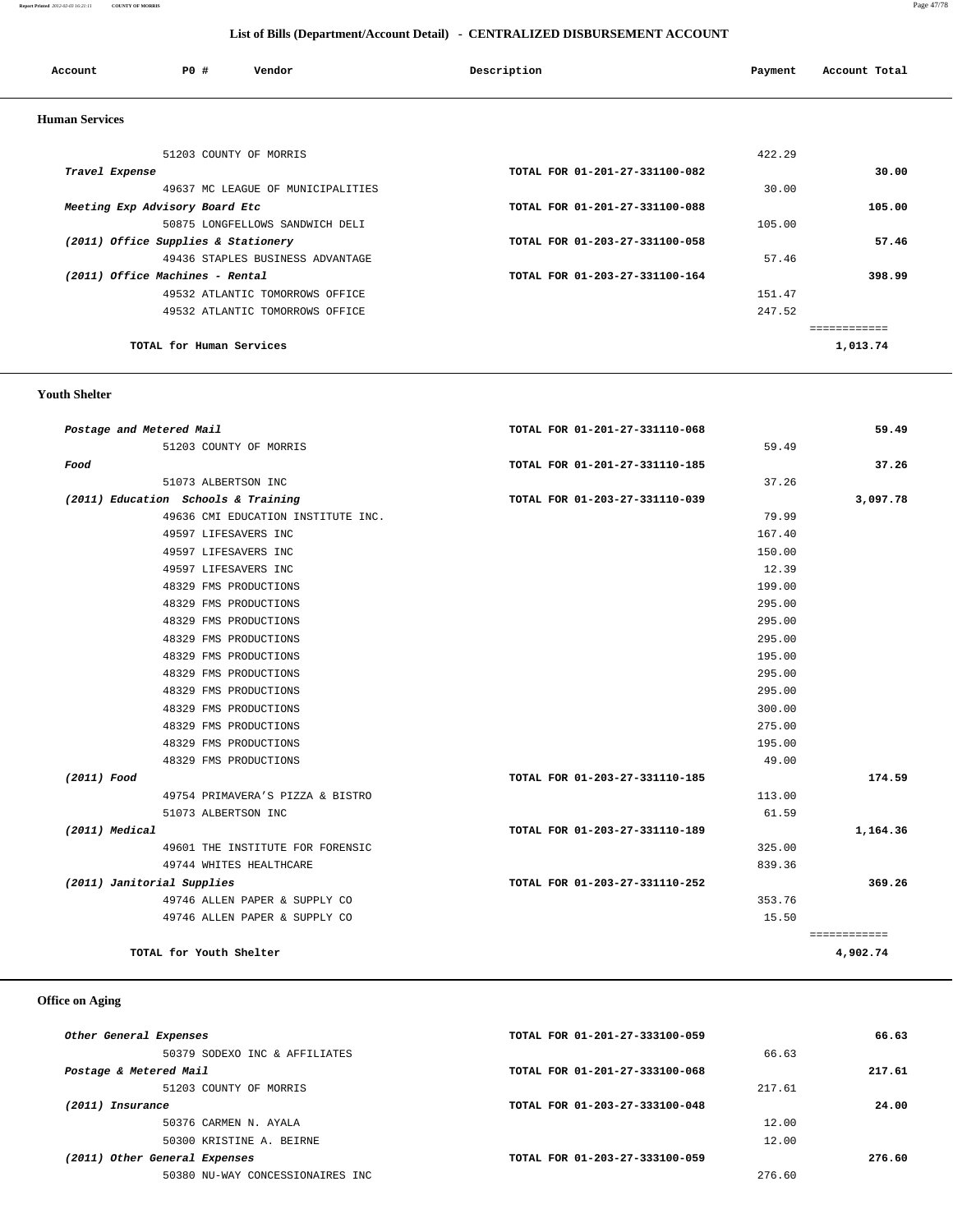#### **Report Printed** *2012-02-03 16:21:11* **COUNTY OF MORRIS** Page 47/78

## **List of Bills (Department/Account Detail) - CENTRALIZED DISBURSEMENT ACCOUNT**

| Account               | PO#                                 | Vendor                            | Description                    | Payment | Account Total |
|-----------------------|-------------------------------------|-----------------------------------|--------------------------------|---------|---------------|
| <b>Human Services</b> |                                     |                                   |                                |         |               |
|                       | 51203 COUNTY OF MORRIS              |                                   |                                | 422.29  |               |
| Travel Expense        |                                     |                                   | TOTAL FOR 01-201-27-331100-082 |         | 30.00         |
|                       |                                     | 49637 MC LEAGUE OF MUNICIPALITIES |                                | 30.00   |               |
|                       | Meeting Exp Advisory Board Etc      |                                   | TOTAL FOR 01-201-27-331100-088 |         | 105.00        |
|                       |                                     | 50875 LONGFELLOWS SANDWICH DELI   |                                | 105.00  |               |
|                       | (2011) Office Supplies & Stationery |                                   | TOTAL FOR 01-203-27-331100-058 |         | 57.46         |
|                       |                                     | 49436 STAPLES BUSINESS ADVANTAGE  |                                | 57.46   |               |
|                       | (2011) Office Machines - Rental     |                                   | TOTAL FOR 01-203-27-331100-164 |         | 398.99        |
|                       |                                     | 49532 ATLANTIC TOMORROWS OFFICE   |                                | 151.47  |               |
|                       |                                     | 49532 ATLANTIC TOMORROWS OFFICE   |                                | 247.52  |               |
|                       |                                     |                                   |                                |         | ------------  |
|                       | TOTAL for Human Services            |                                   |                                |         | 1,013.74      |

 **Youth Shelter** 

| TOTAL FOR 01-201-27-331110-068 | 59.49    |
|--------------------------------|----------|
| 59.49                          |          |
| TOTAL FOR 01-201-27-331110-185 | 37.26    |
| 37.26                          |          |
| TOTAL FOR 01-203-27-331110-039 | 3,097.78 |
| 79.99                          |          |
| 167.40                         |          |
| 150.00                         |          |
| 12.39                          |          |
| 199.00                         |          |
| 295.00                         |          |
| 295.00                         |          |
| 295.00                         |          |
| 195.00                         |          |
| 295.00                         |          |
| 295.00                         |          |
| 300.00                         |          |
| 275.00                         |          |
| 195.00                         |          |
| 49.00                          |          |
| TOTAL FOR 01-203-27-331110-185 | 174.59   |
| 113.00                         |          |
| 61.59                          |          |
| TOTAL FOR 01-203-27-331110-189 | 1,164.36 |
| 325.00                         |          |
| 839.36                         |          |
| TOTAL FOR 01-203-27-331110-252 | 369.26   |
| 353.76                         |          |
| 15.50                          |          |
|                                |          |

# **Office on Aging**

| Other General Expenses        |                                  | TOTAL FOR 01-201-27-333100-059 |        | 66.63  |
|-------------------------------|----------------------------------|--------------------------------|--------|--------|
|                               | 50379 SODEXO INC & AFFILIATES    |                                | 66.63  |        |
| Postage & Metered Mail        |                                  | TOTAL FOR 01-201-27-333100-068 |        | 217.61 |
|                               | 51203 COUNTY OF MORRIS           |                                | 217.61 |        |
| (2011) Insurance              |                                  | TOTAL FOR 01-203-27-333100-048 |        | 24.00  |
|                               | 50376 CARMEN N. AYALA            |                                | 12.00  |        |
|                               | 50300 KRISTINE A. BEIRNE         |                                | 12.00  |        |
| (2011) Other General Expenses |                                  | TOTAL FOR 01-203-27-333100-059 |        | 276.60 |
|                               | 50380 NU-WAY CONCESSIONAIRES INC |                                | 276.60 |        |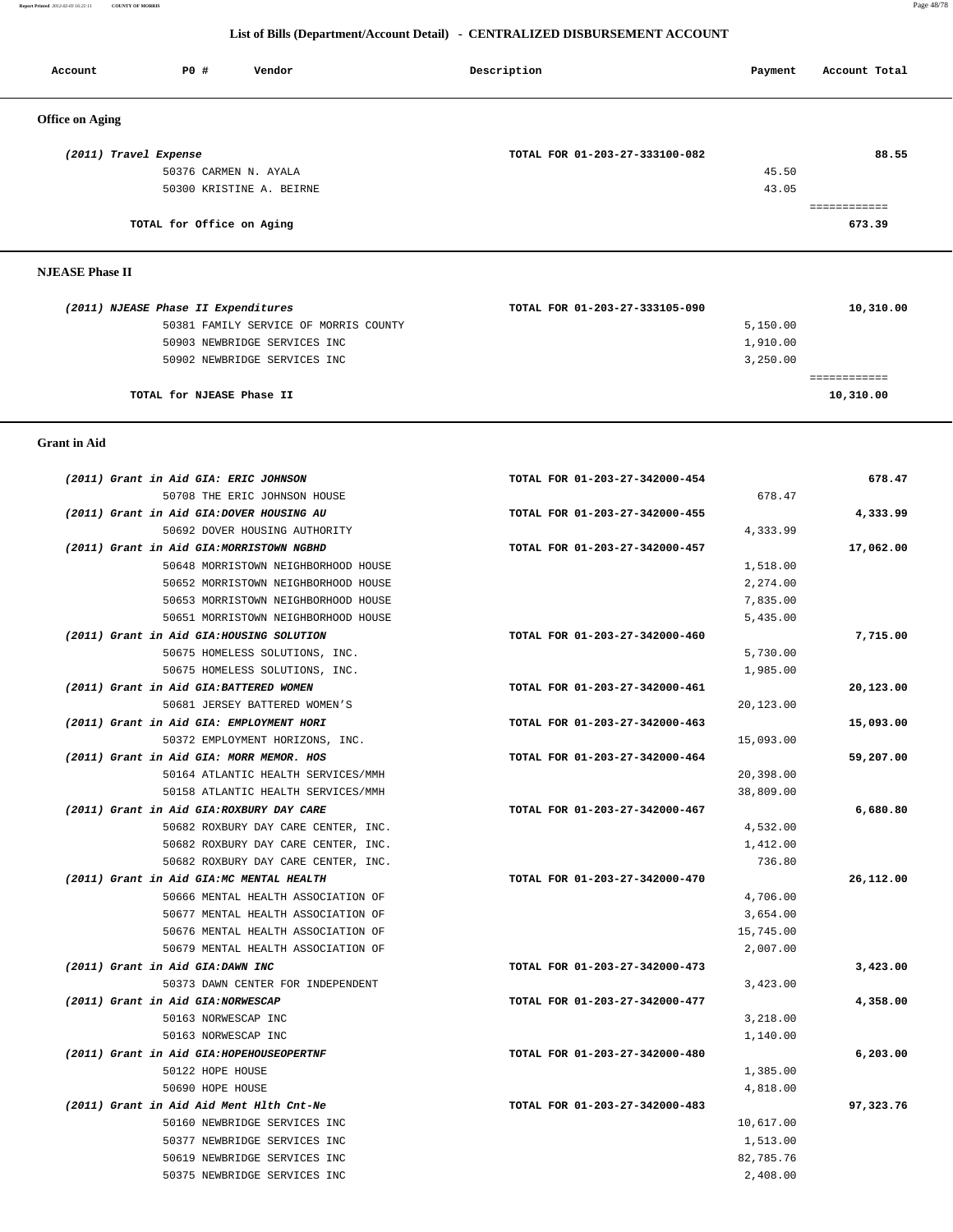**Report Printed** *2012-02-03 16:21:11* **COUNTY OF MORRIS** Page 48/78

## **List of Bills (Department/Account Detail) - CENTRALIZED DISBURSEMENT ACCOUNT**

| Account                | PO#                       | Vendor                   | Description                    | Payment | Account Total |
|------------------------|---------------------------|--------------------------|--------------------------------|---------|---------------|
| <b>Office on Aging</b> |                           |                          |                                |         |               |
| (2011) Travel Expense  |                           |                          | TOTAL FOR 01-203-27-333100-082 |         | 88.55         |
|                        | 50376 CARMEN N. AYALA     |                          |                                | 45.50   |               |
|                        |                           | 50300 KRISTINE A. BEIRNE |                                | 43.05   |               |
|                        |                           |                          |                                |         |               |
|                        | TOTAL for Office on Aging |                          |                                |         | 673.39        |

## **NJEASE Phase II**

| (2011) NJEASE Phase II Expenditures   | TOTAL FOR 01-203-27-333105-090 | 10,310.00 |
|---------------------------------------|--------------------------------|-----------|
| 50381 FAMILY SERVICE OF MORRIS COUNTY | 5,150.00                       |           |
| 50903 NEWBRIDGE SERVICES INC          | 1,910.00                       |           |
| 50902 NEWBRIDGE SERVICES INC          | 3,250.00                       |           |
|                                       |                                |           |
| TOTAL for NJEASE Phase II             |                                | 10,310.00 |

#### **Grant in Aid**

| 678.47    |           | TOTAL FOR 01-203-27-342000-454 | (2011) Grant in Aid GIA: ERIC JOHNSON     |
|-----------|-----------|--------------------------------|-------------------------------------------|
|           | 678.47    |                                | 50708 THE ERIC JOHNSON HOUSE              |
| 4,333.99  |           | TOTAL FOR 01-203-27-342000-455 | (2011) Grant in Aid GIA: DOVER HOUSING AU |
|           | 4,333.99  |                                | 50692 DOVER HOUSING AUTHORITY             |
| 17,062.00 |           | TOTAL FOR 01-203-27-342000-457 | (2011) Grant in Aid GIA: MORRISTOWN NGBHD |
|           | 1,518.00  |                                | 50648 MORRISTOWN NEIGHBORHOOD HOUSE       |
|           | 2,274.00  |                                | 50652 MORRISTOWN NEIGHBORHOOD HOUSE       |
|           | 7,835.00  |                                | 50653 MORRISTOWN NEIGHBORHOOD HOUSE       |
|           | 5,435.00  |                                | 50651 MORRISTOWN NEIGHBORHOOD HOUSE       |
| 7,715.00  |           | TOTAL FOR 01-203-27-342000-460 | (2011) Grant in Aid GIA: HOUSING SOLUTION |
|           | 5,730.00  |                                | 50675 HOMELESS SOLUTIONS, INC.            |
|           | 1,985.00  |                                | 50675 HOMELESS SOLUTIONS, INC.            |
| 20,123.00 |           | TOTAL FOR 01-203-27-342000-461 | (2011) Grant in Aid GIA: BATTERED WOMEN   |
|           | 20,123.00 |                                | 50681 JERSEY BATTERED WOMEN'S             |
| 15,093.00 |           | TOTAL FOR 01-203-27-342000-463 | (2011) Grant in Aid GIA: EMPLOYMENT HORI  |
|           | 15,093.00 |                                | 50372 EMPLOYMENT HORIZONS, INC.           |
| 59,207.00 |           | TOTAL FOR 01-203-27-342000-464 | (2011) Grant in Aid GIA: MORR MEMOR. HOS  |
|           | 20,398.00 |                                | 50164 ATLANTIC HEALTH SERVICES/MMH        |
|           | 38,809.00 |                                | 50158 ATLANTIC HEALTH SERVICES/MMH        |
| 6,680.80  |           | TOTAL FOR 01-203-27-342000-467 | (2011) Grant in Aid GIA: ROXBURY DAY CARE |
|           | 4,532.00  |                                | 50682 ROXBURY DAY CARE CENTER, INC.       |
|           | 1,412.00  |                                | 50682 ROXBURY DAY CARE CENTER, INC.       |
|           | 736.80    |                                | 50682 ROXBURY DAY CARE CENTER, INC.       |
| 26,112.00 |           | TOTAL FOR 01-203-27-342000-470 | (2011) Grant in Aid GIA: MC MENTAL HEALTH |
|           | 4,706.00  |                                | 50666 MENTAL HEALTH ASSOCIATION OF        |
|           | 3,654.00  |                                | 50677 MENTAL HEALTH ASSOCIATION OF        |
|           | 15,745.00 |                                | 50676 MENTAL HEALTH ASSOCIATION OF        |
|           | 2,007.00  |                                | 50679 MENTAL HEALTH ASSOCIATION OF        |
| 3,423.00  |           | TOTAL FOR 01-203-27-342000-473 | (2011) Grant in Aid GIA:DAWN INC          |
|           | 3,423.00  |                                | 50373 DAWN CENTER FOR INDEPENDENT         |
| 4,358.00  |           | TOTAL FOR 01-203-27-342000-477 | (2011) Grant in Aid GIA:NORWESCAP         |
|           | 3,218.00  |                                | 50163 NORWESCAP INC                       |
|           | 1,140.00  |                                | 50163 NORWESCAP INC                       |
| 6,203.00  |           | TOTAL FOR 01-203-27-342000-480 | (2011) Grant in Aid GIA: HOPEHOUSEOPERTNF |
|           | 1,385.00  |                                | 50122 HOPE HOUSE                          |
|           | 4,818.00  |                                | 50690 HOPE HOUSE                          |
| 97,323.76 |           | TOTAL FOR 01-203-27-342000-483 | (2011) Grant in Aid Aid Ment Hlth Cnt-Ne  |
|           | 10,617.00 |                                | 50160 NEWBRIDGE SERVICES INC              |
|           | 1,513.00  |                                | 50377 NEWBRIDGE SERVICES INC              |
|           | 82,785.76 |                                | 50619 NEWBRIDGE SERVICES INC              |
|           | 2,408.00  |                                | 50375 NEWBRIDGE SERVICES INC              |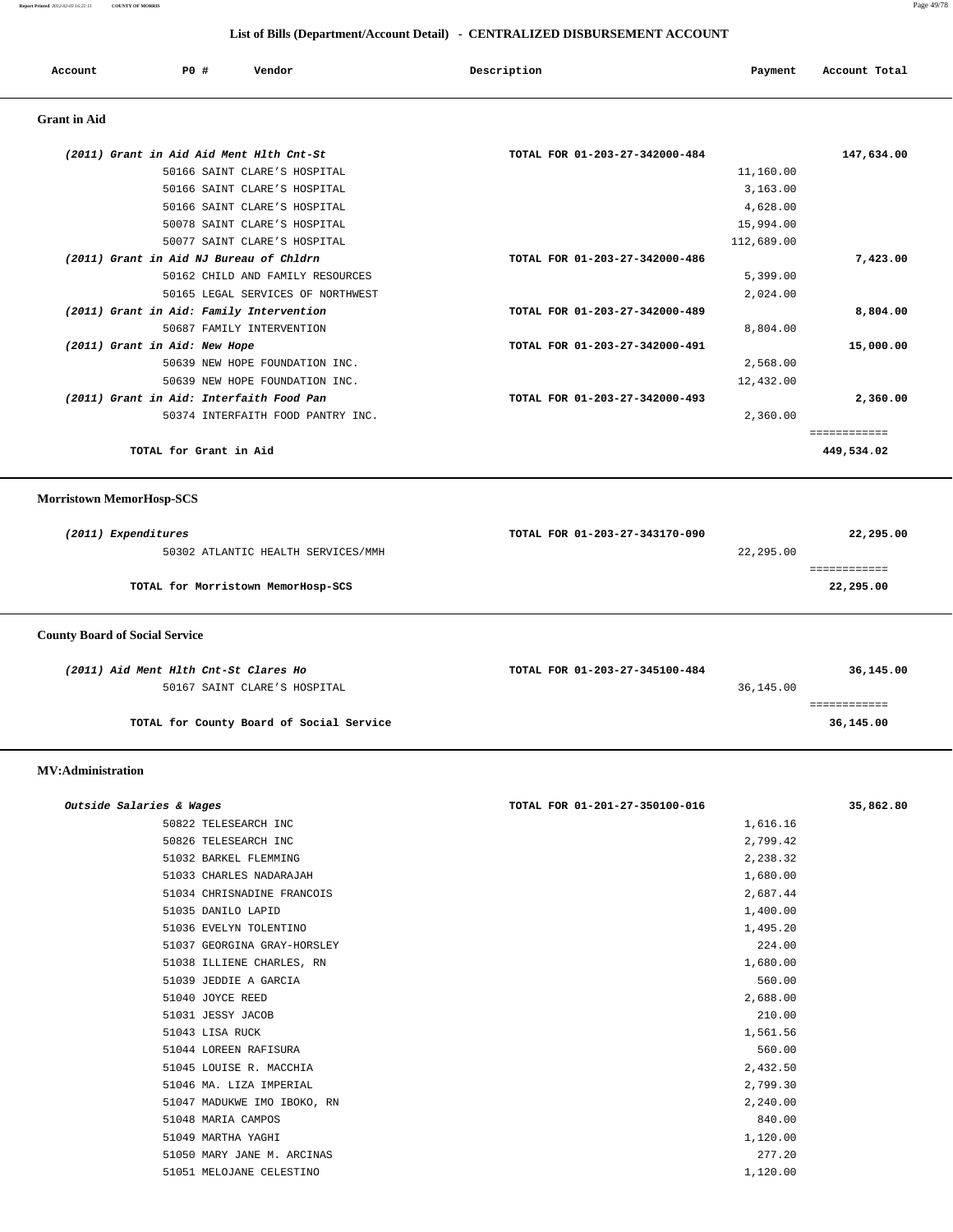**Report Printed** *2012-02-03 16:21:11* **COUNTY OF MORRIS** Page 49/78

## **List of Bills (Department/Account Detail) - CENTRALIZED DISBURSEMENT ACCOUNT**

| Account<br>. | P0 # | Vendor<br>. | Description | Payment | Account Total<br>.<br>. |
|--------------|------|-------------|-------------|---------|-------------------------|
|              |      |             |             |         |                         |

## **Grant in Aid**

| (2011) Grant in Aid Aid Ment Hlth Cnt-St | TOTAL FOR 01-203-27-342000-484 | 147,634.00 |
|------------------------------------------|--------------------------------|------------|
| 50166 SAINT CLARE'S HOSPITAL             | 11,160.00                      |            |
| 50166 SAINT CLARE'S HOSPITAL             | 3,163.00                       |            |
| 50166 SAINT CLARE'S HOSPITAL             | 4,628.00                       |            |
| 50078 SAINT CLARE'S HOSPITAL             | 15,994.00                      |            |
| 50077 SAINT CLARE'S HOSPITAL             | 112,689.00                     |            |
| (2011) Grant in Aid NJ Bureau of Chldrn  | TOTAL FOR 01-203-27-342000-486 | 7,423.00   |
| 50162 CHILD AND FAMILY RESOURCES         | 5,399.00                       |            |
| 50165 LEGAL SERVICES OF NORTHWEST        | 2,024.00                       |            |
| (2011) Grant in Aid: Family Intervention | TOTAL FOR 01-203-27-342000-489 | 8,804.00   |
| 50687 FAMILY INTERVENTION                | 8,804.00                       |            |
| (2011) Grant in Aid: New Hope            | TOTAL FOR 01-203-27-342000-491 | 15,000.00  |
| 50639 NEW HOPE FOUNDATION INC.           | 2,568.00                       |            |
| 50639 NEW HOPE FOUNDATION INC.           | 12,432.00                      |            |
| (2011) Grant in Aid: Interfaith Food Pan | TOTAL FOR 01-203-27-342000-493 | 2,360.00   |
| 50374 INTERFAITH FOOD PANTRY INC.        | 2,360.00                       |            |
|                                          |                                |            |
| TOTAL for Grant in Aid                   |                                | 449,534.02 |

 **Morristown MemorHosp-SCS** 

| (2011) Expenditures                | TOTAL FOR 01-203-27-343170-090 | 22,295.00 |
|------------------------------------|--------------------------------|-----------|
| 50302 ATLANTIC HEALTH SERVICES/MMH | 22,295.00                      |           |
|                                    |                                |           |
| TOTAL for Morristown MemorHosp-SCS |                                | 22,295.00 |
|                                    |                                |           |

 **County Board of Social Service**

| (2011) Aid Ment Hlth Cnt-St Clares Ho    | TOTAL FOR 01-203-27-345100-484 | 36,145.00 |
|------------------------------------------|--------------------------------|-----------|
| 50167 SAINT CLARE'S HOSPITAL             | 36,145.00                      |           |
|                                          |                                |           |
| TOTAL for County Board of Social Service |                                | 36,145.00 |
|                                          |                                |           |

## **MV:Administration**

| Outside Salaries & Wages |                             | TOTAL FOR 01-201-27-350100-016 | 35,862.80 |
|--------------------------|-----------------------------|--------------------------------|-----------|
| 50822 TELESEARCH INC     |                             | 1,616.16                       |           |
| 50826 TELESEARCH INC     |                             | 2,799.42                       |           |
| 51032 BARKEL FLEMMING    |                             | 2,238.32                       |           |
| 51033 CHARLES NADARAJAH  |                             | 1,680.00                       |           |
|                          | 51034 CHRISNADINE FRANCOIS  | 2,687.44                       |           |
| 51035 DANILO LAPID       |                             | 1,400.00                       |           |
| 51036 EVELYN TOLENTINO   |                             | 1,495.20                       |           |
|                          | 51037 GEORGINA GRAY-HORSLEY | 224.00                         |           |
|                          | 51038 ILLIENE CHARLES, RN   | 1,680.00                       |           |
| 51039 JEDDIE A GARCIA    |                             | 560.00                         |           |
| 51040 JOYCE REED         |                             | 2,688.00                       |           |
| 51031 JESSY JACOB        |                             | 210.00                         |           |
| 51043 LISA RUCK          |                             | 1,561.56                       |           |
| 51044 LOREEN RAFISURA    |                             | 560.00                         |           |
| 51045 LOUISE R. MACCHIA  |                             | 2,432.50                       |           |
| 51046 MA. LIZA IMPERIAL  |                             | 2,799.30                       |           |
|                          | 51047 MADUKWE IMO IBOKO, RN | 2,240.00                       |           |
| 51048 MARIA CAMPOS       |                             | 840.00                         |           |
| 51049 MARTHA YAGHI       |                             | 1,120.00                       |           |
|                          | 51050 MARY JANE M. ARCINAS  | 277.20                         |           |
|                          | 51051 MELOJANE CELESTINO    | 1,120.00                       |           |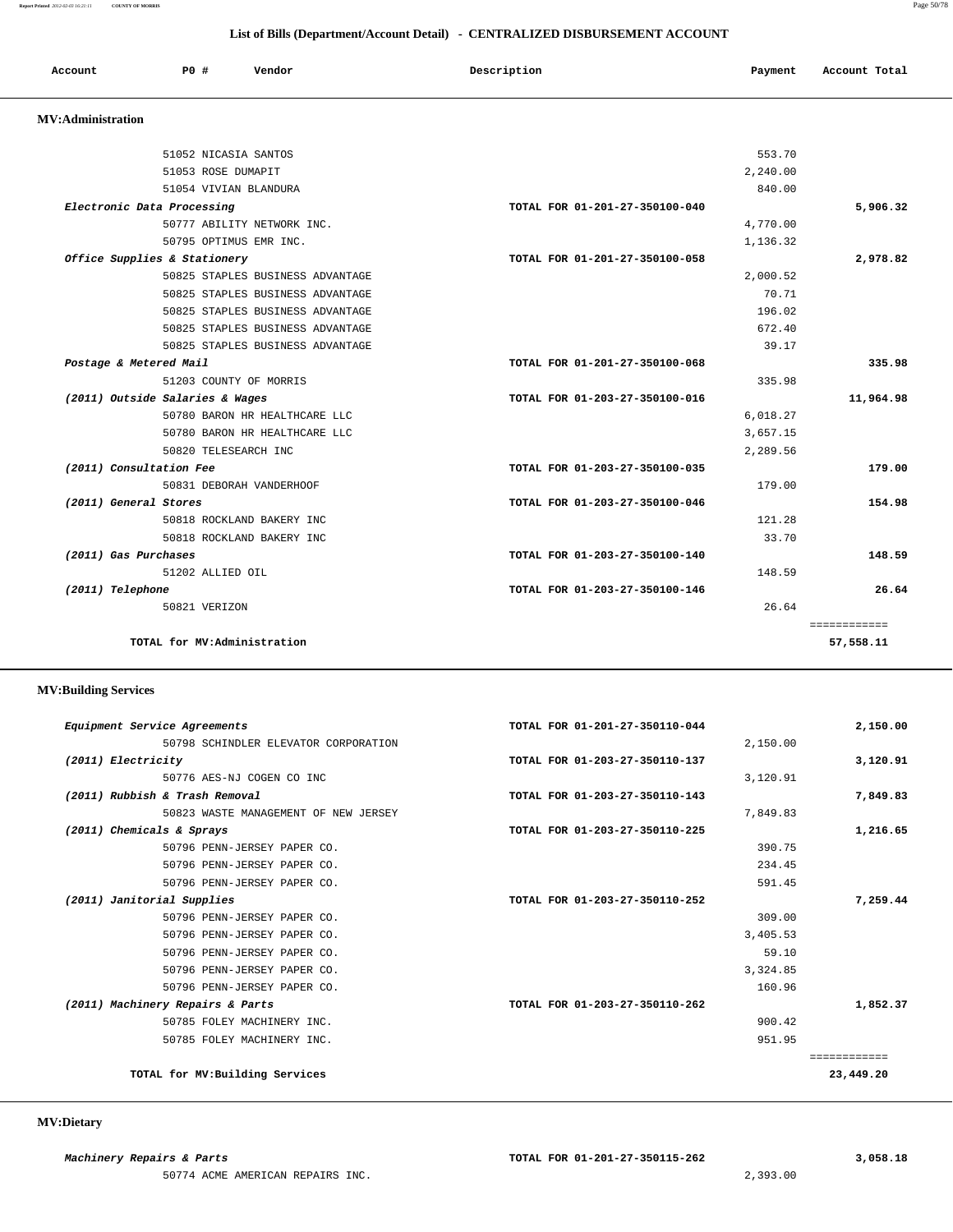**Report Printed** *2012-02-03 16:21:11* **COUNTY OF MORRIS** Page 50/78

## **List of Bills (Department/Account Detail) - CENTRALIZED DISBURSEMENT ACCOUNT**

| Account<br>. | P0# | Vendor<br>. | Description | Payment | Account Total |
|--------------|-----|-------------|-------------|---------|---------------|
|              |     |             |             |         |               |

# **MV:Administration**

| 51052 NICASIA SANTOS             | 553.70                         |                           |
|----------------------------------|--------------------------------|---------------------------|
| 51053 ROSE DUMAPIT               | 2.240.00                       |                           |
| 51054 VIVIAN BLANDURA            | 840.00                         |                           |
| Electronic Data Processing       | TOTAL FOR 01-201-27-350100-040 | 5,906.32                  |
| 50777 ABILITY NETWORK INC.       | 4,770.00                       |                           |
| 50795 OPTIMUS EMR INC.           | 1,136.32                       |                           |
| Office Supplies & Stationery     | TOTAL FOR 01-201-27-350100-058 | 2,978.82                  |
| 50825 STAPLES BUSINESS ADVANTAGE | 2,000.52                       |                           |
| 50825 STAPLES BUSINESS ADVANTAGE | 70.71                          |                           |
| 50825 STAPLES BUSINESS ADVANTAGE | 196.02                         |                           |
| 50825 STAPLES BUSINESS ADVANTAGE | 672.40                         |                           |
| 50825 STAPLES BUSINESS ADVANTAGE | 39.17                          |                           |
| Postage & Metered Mail           | TOTAL FOR 01-201-27-350100-068 | 335.98                    |
| 51203 COUNTY OF MORRIS           | 335.98                         |                           |
| (2011) Outside Salaries & Wages  | TOTAL FOR 01-203-27-350100-016 | 11,964.98                 |
| 50780 BARON HR HEALTHCARE LLC    | 6,018.27                       |                           |
| 50780 BARON HR HEALTHCARE LLC    | 3,657.15                       |                           |
| 50820 TELESEARCH INC             | 2,289.56                       |                           |
| (2011) Consultation Fee          | TOTAL FOR 01-203-27-350100-035 | 179.00                    |
| 50831 DEBORAH VANDERHOOF         | 179.00                         |                           |
| (2011) General Stores            | TOTAL FOR 01-203-27-350100-046 | 154.98                    |
| 50818 ROCKLAND BAKERY INC        | 121.28                         |                           |
| 50818 ROCKLAND BAKERY INC        | 33.70                          |                           |
| (2011) Gas Purchases             | TOTAL FOR 01-203-27-350100-140 | 148.59                    |
| 51202 ALLIED OIL                 | 148.59                         |                           |
| (2011) Telephone                 | TOTAL FOR 01-203-27-350100-146 | 26.64                     |
| 50821 VERIZON                    | 26.64                          |                           |
| TOTAL for MV:Administration      |                                | ============<br>57,558.11 |

## **MV:Building Services**

| Equipment Service Agreements         | TOTAL FOR 01-201-27-350110-044 | 2,150.00    |
|--------------------------------------|--------------------------------|-------------|
| 50798 SCHINDLER ELEVATOR CORPORATION | 2,150.00                       |             |
| (2011) Electricity                   | TOTAL FOR 01-203-27-350110-137 | 3,120.91    |
| 50776 AES-NJ COGEN CO INC            | 3,120.91                       |             |
| (2011) Rubbish & Trash Removal       | TOTAL FOR 01-203-27-350110-143 | 7,849.83    |
| 50823 WASTE MANAGEMENT OF NEW JERSEY | 7,849.83                       |             |
| (2011) Chemicals & Sprays            | TOTAL FOR 01-203-27-350110-225 | 1,216.65    |
| 50796 PENN-JERSEY PAPER CO.          | 390.75                         |             |
| 50796 PENN-JERSEY PAPER CO.          | 234.45                         |             |
| 50796 PENN-JERSEY PAPER CO.          | 591.45                         |             |
| (2011) Janitorial Supplies           | TOTAL FOR 01-203-27-350110-252 | 7,259.44    |
| 50796 PENN-JERSEY PAPER CO.          | 309.00                         |             |
| 50796 PENN-JERSEY PAPER CO.          | 3,405.53                       |             |
| 50796 PENN-JERSEY PAPER CO.          | 59.10                          |             |
| 50796 PENN-JERSEY PAPER CO.          | 3,324.85                       |             |
| 50796 PENN-JERSEY PAPER CO.          | 160.96                         |             |
| (2011) Machinery Repairs & Parts     | TOTAL FOR 01-203-27-350110-262 | 1,852.37    |
| 50785 FOLEY MACHINERY INC.           | 900.42                         |             |
| 50785 FOLEY MACHINERY INC.           | 951.95                         |             |
|                                      |                                | =========== |
| TOTAL for MV: Building Services      |                                | 23,449.20   |

## **MV:Dietary**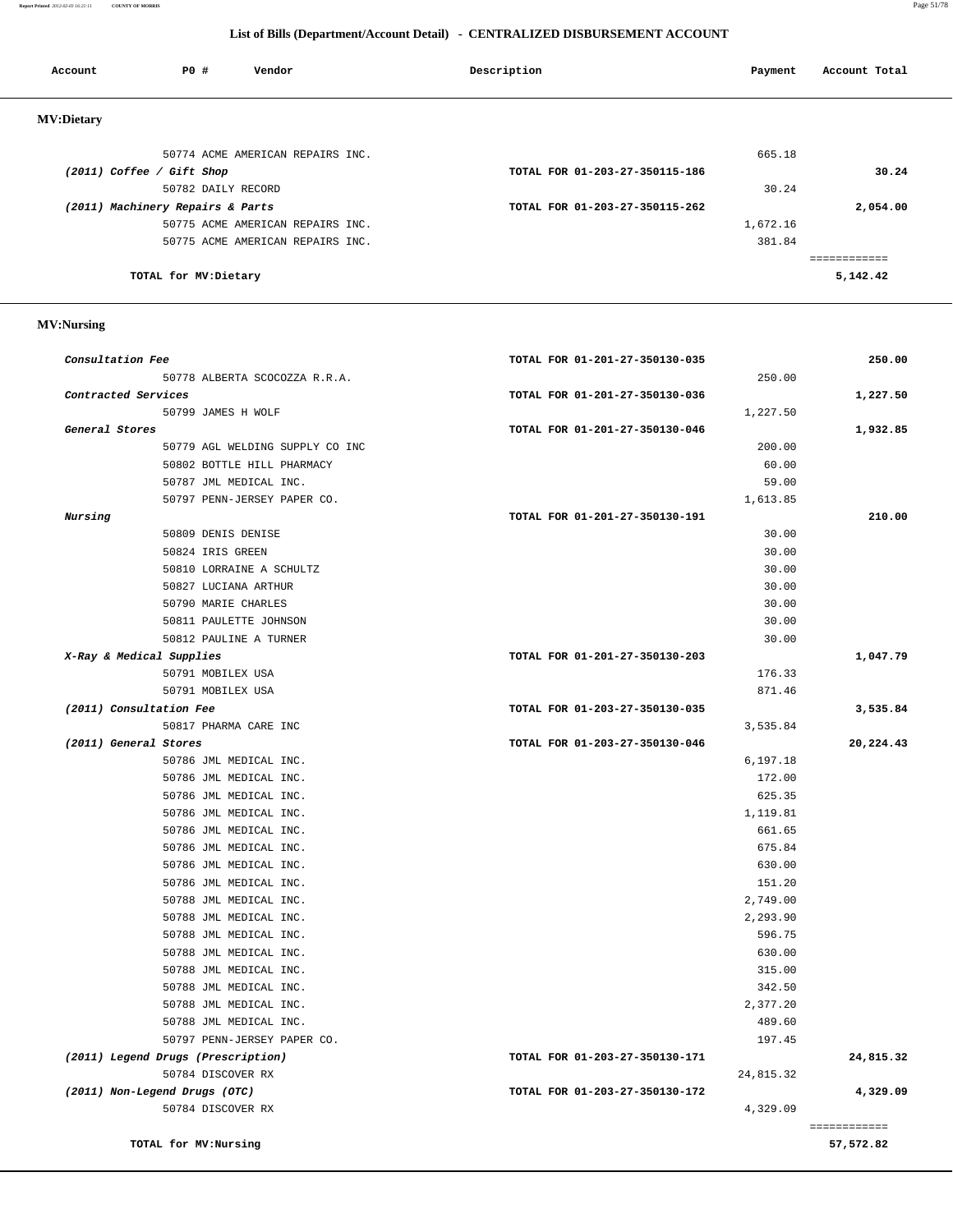**Report Printed** *2012-02-03 16:21:11* **COUNTY OF MORRIS** Page 51/78

# **List of Bills (Department/Account Detail) - CENTRALIZED DISBURSEMENT ACCOUNT**

| Account           | PO#                              | Vendor                           | Description                    | Payment  | Account Total |
|-------------------|----------------------------------|----------------------------------|--------------------------------|----------|---------------|
| <b>MV:Dietary</b> |                                  |                                  |                                |          |               |
|                   |                                  | 50774 ACME AMERICAN REPAIRS INC. |                                | 665.18   |               |
|                   | (2011) Coffee / Gift Shop        |                                  | TOTAL FOR 01-203-27-350115-186 |          | 30.24         |
|                   | 50782 DAILY RECORD               |                                  |                                | 30.24    |               |
|                   | (2011) Machinery Repairs & Parts |                                  | TOTAL FOR 01-203-27-350115-262 |          | 2,054.00      |
|                   |                                  | 50775 ACME AMERICAN REPAIRS INC. |                                | 1,672.16 |               |
|                   |                                  | 50775 ACME AMERICAN REPAIRS INC. |                                | 381.84   |               |
|                   |                                  |                                  |                                |          |               |
|                   | TOTAL for MV: Dietary            |                                  |                                |          | 5,142.42      |

# **MV:Nursing**

| Consultation Fee                   | TOTAL FOR 01-201-27-350130-035 | 250.00       |
|------------------------------------|--------------------------------|--------------|
| 50778 ALBERTA SCOCOZZA R.R.A.      | 250.00                         |              |
| Contracted Services                | TOTAL FOR 01-201-27-350130-036 | 1,227.50     |
| 50799 JAMES H WOLF                 | 1,227.50                       |              |
| General Stores                     | TOTAL FOR 01-201-27-350130-046 | 1,932.85     |
| 50779 AGL WELDING SUPPLY CO INC    | 200.00                         |              |
| 50802 BOTTLE HILL PHARMACY         | 60.00                          |              |
| 50787 JML MEDICAL INC.             | 59.00                          |              |
| 50797 PENN-JERSEY PAPER CO.        | 1,613.85                       |              |
| Nursing                            | TOTAL FOR 01-201-27-350130-191 | 210.00       |
| 50809 DENIS DENISE                 | 30.00                          |              |
| 50824 IRIS GREEN                   | 30.00                          |              |
| 50810 LORRAINE A SCHULTZ           | 30.00                          |              |
| 50827 LUCIANA ARTHUR               | 30.00                          |              |
| 50790 MARIE CHARLES                | 30.00                          |              |
| 50811 PAULETTE JOHNSON             | 30.00                          |              |
| 50812 PAULINE A TURNER             | 30.00                          |              |
| X-Ray & Medical Supplies           | TOTAL FOR 01-201-27-350130-203 | 1,047.79     |
| 50791 MOBILEX USA                  | 176.33                         |              |
| 50791 MOBILEX USA                  | 871.46                         |              |
| (2011) Consultation Fee            | TOTAL FOR 01-203-27-350130-035 | 3,535.84     |
| 50817 PHARMA CARE INC              | 3,535.84                       |              |
| (2011) General Stores              | TOTAL FOR 01-203-27-350130-046 | 20,224.43    |
| 50786 JML MEDICAL INC.             | 6,197.18                       |              |
| 50786 JML MEDICAL INC.             | 172.00                         |              |
| 50786 JML MEDICAL INC.             | 625.35                         |              |
| 50786 JML MEDICAL INC.             | 1,119.81                       |              |
| 50786 JML MEDICAL INC.             | 661.65                         |              |
| 50786 JML MEDICAL INC.             | 675.84                         |              |
| 50786 JML MEDICAL INC.             | 630.00                         |              |
| 50786 JML MEDICAL INC.             | 151.20                         |              |
| 50788 JML MEDICAL INC.             | 2,749.00                       |              |
| 50788 JML MEDICAL INC.             | 2,293.90                       |              |
| 50788 JML MEDICAL INC.             | 596.75                         |              |
| 50788 JML MEDICAL INC.             | 630.00                         |              |
| 50788 JML MEDICAL INC.             | 315.00                         |              |
| 50788 JML MEDICAL INC.             | 342.50                         |              |
| 50788 JML MEDICAL INC.             | 2,377.20                       |              |
| 50788 JML MEDICAL INC.             | 489.60                         |              |
| 50797 PENN-JERSEY PAPER CO.        | 197.45                         |              |
| (2011) Legend Drugs (Prescription) | TOTAL FOR 01-203-27-350130-171 | 24,815.32    |
| 50784 DISCOVER RX                  | 24,815.32                      |              |
| (2011) Non-Legend Drugs (OTC)      | TOTAL FOR 01-203-27-350130-172 | 4,329.09     |
| 50784 DISCOVER RX                  | 4,329.09                       |              |
|                                    |                                | ============ |
| TOTAL for MV:Nursing               |                                | 57,572.82    |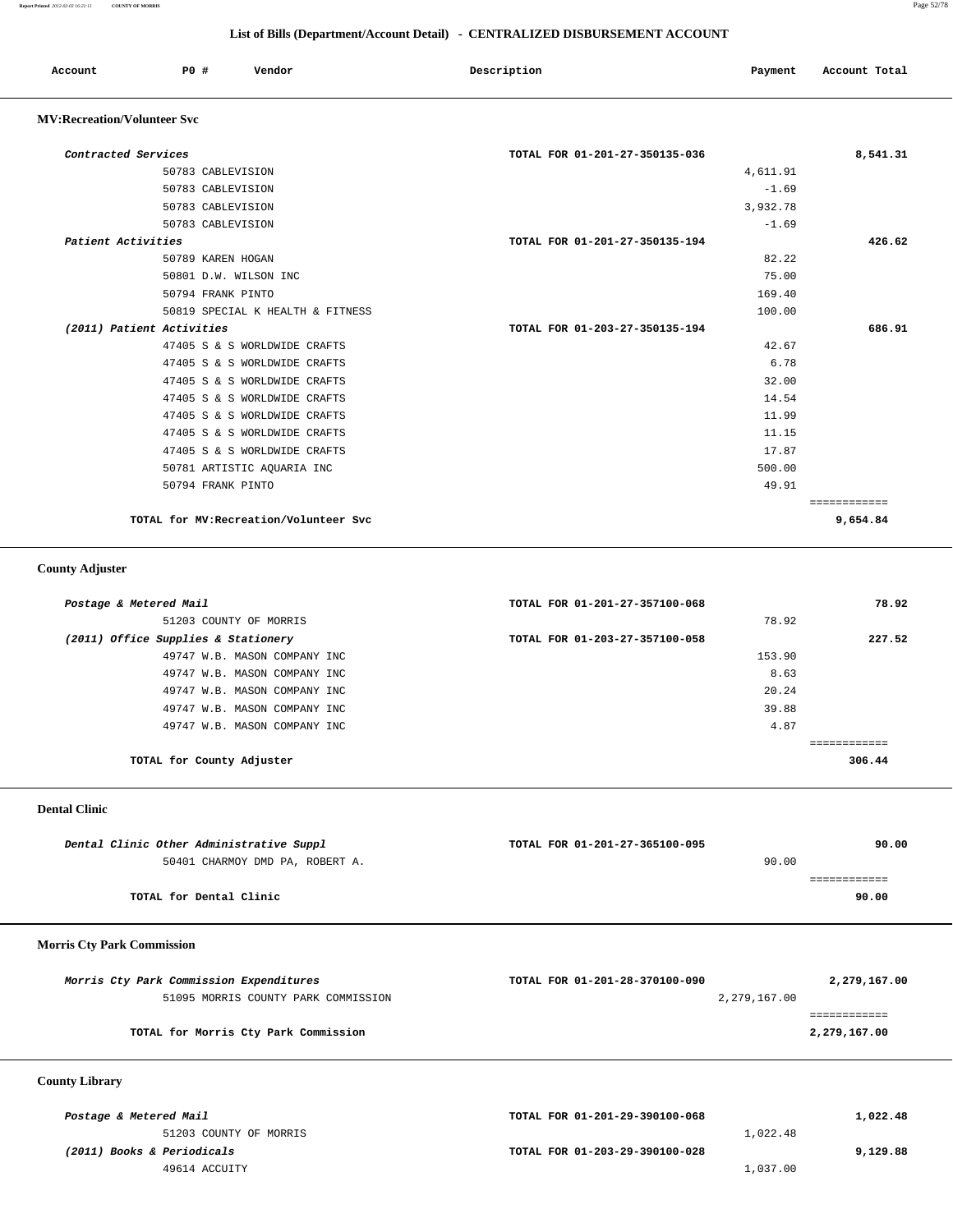#### **Report Printed** *2012-02-03 16:21:11* **COUNTY OF MORRIS** Page 52/78

## **List of Bills (Department/Account Detail) - CENTRALIZED DISBURSEMENT ACCOUNT**

| ccount | PO# | Vendor | Description | Payment | Account Total |
|--------|-----|--------|-------------|---------|---------------|
|        |     |        |             |         |               |

## **MV:Recreation/Volunteer Svc**

| Contracted Services                    | TOTAL FOR 01-201-27-350135-036 | 8,541.31     |
|----------------------------------------|--------------------------------|--------------|
| 50783 CABLEVISION                      | 4,611.91                       |              |
| 50783 CABLEVISION                      | $-1.69$                        |              |
| 50783 CABLEVISION                      | 3,932.78                       |              |
| 50783 CABLEVISION                      | $-1.69$                        |              |
| Patient Activities                     | TOTAL FOR 01-201-27-350135-194 | 426.62       |
| 50789 KAREN HOGAN                      | 82.22                          |              |
| 50801 D.W. WILSON INC                  | 75.00                          |              |
| 50794 FRANK PINTO                      | 169.40                         |              |
| 50819 SPECIAL K HEALTH & FITNESS       | 100.00                         |              |
| (2011) Patient Activities              | TOTAL FOR 01-203-27-350135-194 | 686.91       |
| 47405 S & S WORLDWIDE CRAFTS           | 42.67                          |              |
| 47405 S & S WORLDWIDE CRAFTS           | 6.78                           |              |
| 47405 S & S WORLDWIDE CRAFTS           | 32.00                          |              |
| 47405 S & S WORLDWIDE CRAFTS           | 14.54                          |              |
| 47405 S & S WORLDWIDE CRAFTS           | 11.99                          |              |
| 47405 S & S WORLDWIDE CRAFTS           | 11.15                          |              |
| 47405 S & S WORLDWIDE CRAFTS           | 17.87                          |              |
| 50781 ARTISTIC AQUARIA INC             | 500.00                         |              |
| 50794 FRANK PINTO                      | 49.91                          |              |
|                                        |                                | ============ |
| TOTAL for MV: Recreation/Volunteer Svc |                                | 9,654.84     |

## **County Adjuster**

| Postage & Metered Mail              | 78.92<br>TOTAL FOR 01-201-27-357100-068  |
|-------------------------------------|------------------------------------------|
| 51203 COUNTY OF MORRIS              | 78.92                                    |
| (2011) Office Supplies & Stationery | 227.52<br>TOTAL FOR 01-203-27-357100-058 |
| 49747 W.B. MASON COMPANY INC        | 153.90                                   |
| 49747 W.B. MASON COMPANY INC        | 8.63                                     |
| 49747 W.B. MASON COMPANY INC        | 20.24                                    |
| 49747 W.B. MASON COMPANY INC        | 39.88                                    |
| 49747 W.B. MASON COMPANY INC        | 4.87                                     |
|                                     |                                          |
| TOTAL for County Adjuster           | 306.44                                   |

#### **Dental Clinic**

| Dental Clinic Other Administrative Suppl | TOTAL FOR 01-201-27-365100-095 | 90.00 |
|------------------------------------------|--------------------------------|-------|
| 50401 CHARMOY DMD PA, ROBERT A.          |                                | 90.00 |
|                                          |                                |       |
| TOTAL for Dental Clinic                  |                                | 90.00 |

# **Morris Cty Park Commission**

| Morris Cty Park Commission Expenditures | TOTAL FOR 01-201-28-370100-090 | 2,279,167.00 |
|-----------------------------------------|--------------------------------|--------------|
| 51095 MORRIS COUNTY PARK COMMISSION     | 2,279,167.00                   |              |
|                                         |                                |              |
| TOTAL for Morris Cty Park Commission    |                                | 2,279,167.00 |
|                                         |                                |              |

# **County Library**

| Postage & Metered Mail     | TOTAL FOR 01-201-29-390100-068 | 1,022.48 |
|----------------------------|--------------------------------|----------|
| 51203 COUNTY OF MORRIS     | 1,022.48                       |          |
| (2011) Books & Periodicals | TOTAL FOR 01-203-29-390100-028 | 9,129.88 |
| 49614 ACCUITY              | 1,037.00                       |          |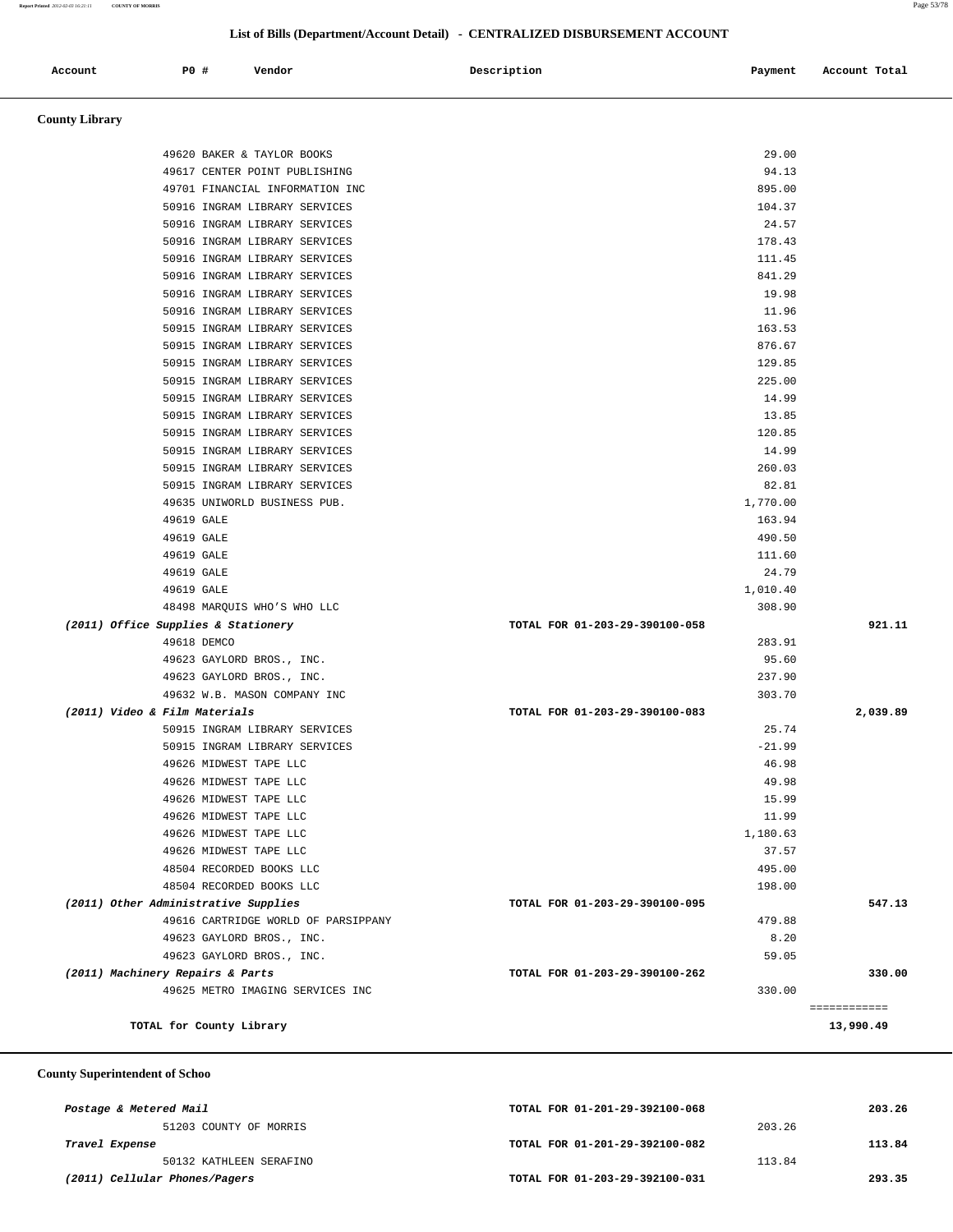| Account | P0 # | Vendor | Description | Payment | Account Total |
|---------|------|--------|-------------|---------|---------------|
|         |      |        |             |         |               |

# **County Library**

| 49620 BAKER & TAYLOR BOOKS           | 29.00                          |          |
|--------------------------------------|--------------------------------|----------|
| 49617 CENTER POINT PUBLISHING        | 94.13                          |          |
| 49701 FINANCIAL INFORMATION INC      | 895.00                         |          |
| 50916 INGRAM LIBRARY SERVICES        | 104.37                         |          |
| 50916 INGRAM LIBRARY SERVICES        | 24.57                          |          |
| 50916 INGRAM LIBRARY SERVICES        | 178.43                         |          |
| 50916 INGRAM LIBRARY SERVICES        | 111.45                         |          |
| 50916 INGRAM LIBRARY SERVICES        | 841.29                         |          |
| 50916 INGRAM LIBRARY SERVICES        | 19.98                          |          |
| 50916 INGRAM LIBRARY SERVICES        | 11.96                          |          |
| 50915 INGRAM LIBRARY SERVICES        | 163.53                         |          |
| 50915 INGRAM LIBRARY SERVICES        | 876.67                         |          |
| 50915 INGRAM LIBRARY SERVICES        | 129.85                         |          |
| 50915 INGRAM LIBRARY SERVICES        | 225.00                         |          |
| 50915 INGRAM LIBRARY SERVICES        | 14.99                          |          |
| 50915 INGRAM LIBRARY SERVICES        | 13.85                          |          |
| 50915 INGRAM LIBRARY SERVICES        | 120.85                         |          |
| 50915 INGRAM LIBRARY SERVICES        | 14.99                          |          |
| 50915 INGRAM LIBRARY SERVICES        | 260.03                         |          |
| 50915 INGRAM LIBRARY SERVICES        | 82.81                          |          |
| 49635 UNIWORLD BUSINESS PUB.         | 1,770.00                       |          |
| 49619 GALE                           | 163.94                         |          |
| 49619 GALE                           | 490.50                         |          |
| 49619 GALE                           | 111.60                         |          |
| 49619 GALE                           | 24.79                          |          |
| 49619 GALE                           | 1,010.40                       |          |
| 48498 MARQUIS WHO'S WHO LLC          | 308.90                         |          |
| (2011) Office Supplies & Stationery  | TOTAL FOR 01-203-29-390100-058 | 921.11   |
| 49618 DEMCO                          | 283.91                         |          |
| 49623 GAYLORD BROS., INC.            | 95.60                          |          |
| 49623 GAYLORD BROS., INC.            | 237.90                         |          |
| 49632 W.B. MASON COMPANY INC         | 303.70                         |          |
| (2011) Video & Film Materials        | TOTAL FOR 01-203-29-390100-083 | 2,039.89 |
| 50915 INGRAM LIBRARY SERVICES        | 25.74                          |          |
| 50915 INGRAM LIBRARY SERVICES        | $-21.99$                       |          |
| 49626 MIDWEST TAPE LLC               | 46.98                          |          |
| 49626 MIDWEST TAPE LLC               | 49.98                          |          |
| 49626 MIDWEST TAPE LLC               | 15.99                          |          |
| 49626 MIDWEST TAPE LLC               | 11.99                          |          |
| 49626 MIDWEST TAPE LLC               | 1,180.63                       |          |
| 49626 MIDWEST TAPE LLC               | 37.57                          |          |
| 48504 RECORDED BOOKS LLC             | 495.00                         |          |
| 48504 RECORDED BOOKS LLC             | 198.00                         |          |
| (2011) Other Administrative Supplies | TOTAL FOR 01-203-29-390100-095 | 547.13   |
| 49616 CARTRIDGE WORLD OF PARSIPPANY  | 479.88                         |          |
| 49623 GAYLORD BROS., INC.            | 8.20                           |          |
| 49623 GAYLORD BROS., INC.            | 59.05                          |          |
|                                      |                                | 330.00   |
| (2011) Machinery Repairs & Parts     | TOTAL FOR 01-203-29-390100-262 |          |

## **County Superintendent of Schoo**

| Postage & Metered Mail        | TOTAL FOR 01-201-29-392100-068 |        | 203.26 |
|-------------------------------|--------------------------------|--------|--------|
| 51203 COUNTY OF MORRIS        |                                | 203.26 |        |
| Travel Expense                | TOTAL FOR 01-201-29-392100-082 |        | 113.84 |
| 50132 KATHLEEN SERAFINO       |                                | 113.84 |        |
| (2011) Cellular Phones/Pagers | TOTAL FOR 01-203-29-392100-031 |        | 293.35 |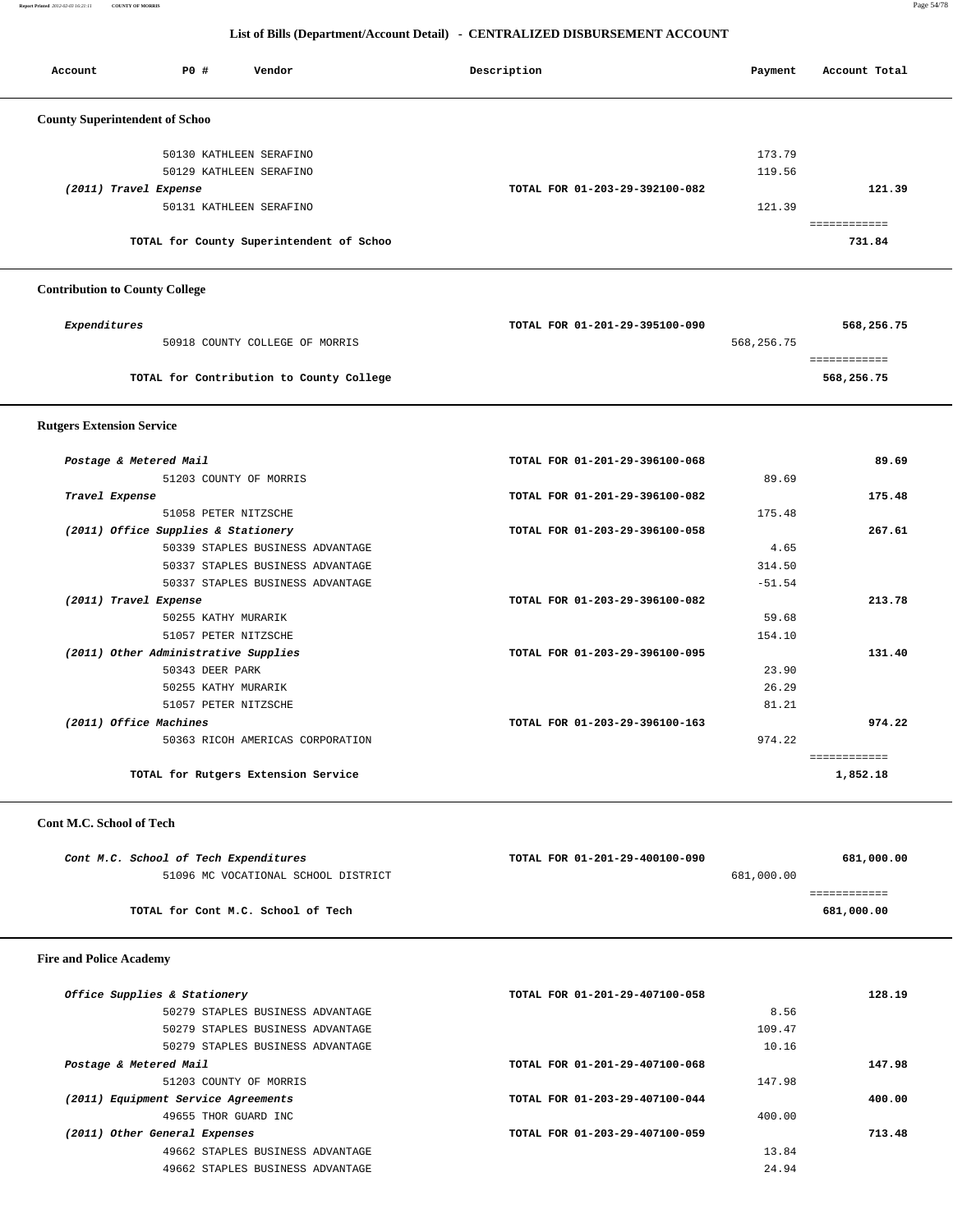**Report Printed** *2012-02-03 16:21:11* **COUNTY OF MORRIS** Page 54/78

## **List of Bills (Department/Account Detail) - CENTRALIZED DISBURSEMENT ACCOUNT**

Account P0 **#** Vendor **Description** Description Payment Account Total

| <b>County Superintendent of Schoo</b>                              |                                |                |                                      |
|--------------------------------------------------------------------|--------------------------------|----------------|--------------------------------------|
| 50130 KATHLEEN SERAFINO                                            |                                | 173.79         |                                      |
| 50129 KATHLEEN SERAFINO                                            |                                | 119.56         |                                      |
| (2011) Travel Expense                                              | TOTAL FOR 01-203-29-392100-082 |                | 121.39                               |
| 50131 KATHLEEN SERAFINO                                            |                                | 121.39         |                                      |
|                                                                    |                                |                | eeeeeeeeee                           |
| TOTAL for County Superintendent of Schoo                           |                                |                | 731.84                               |
| <b>Contribution to County College</b>                              |                                |                |                                      |
| Expenditures                                                       | TOTAL FOR 01-201-29-395100-090 |                | 568,256.75                           |
| 50918 COUNTY COLLEGE OF MORRIS                                     |                                | 568,256.75     |                                      |
|                                                                    |                                |                | ============                         |
| TOTAL for Contribution to County College                           |                                |                | 568,256.75                           |
| <b>Rutgers Extension Service</b>                                   |                                |                |                                      |
| Postage & Metered Mail                                             | TOTAL FOR 01-201-29-396100-068 |                | 89.69                                |
| 51203 COUNTY OF MORRIS                                             |                                | 89.69          |                                      |
| Travel Expense                                                     | TOTAL FOR 01-201-29-396100-082 |                | 175.48                               |
| 51058 PETER NITZSCHE                                               |                                | 175.48         |                                      |
| (2011) Office Supplies & Stationery                                | TOTAL FOR 01-203-29-396100-058 |                | 267.61                               |
| 50339 STAPLES BUSINESS ADVANTAGE                                   |                                | 4.65           |                                      |
| 50337 STAPLES BUSINESS ADVANTAGE                                   |                                | 314.50         |                                      |
| 50337 STAPLES BUSINESS ADVANTAGE                                   |                                | $-51.54$       |                                      |
| (2011) Travel Expense                                              | TOTAL FOR 01-203-29-396100-082 |                | 213.78                               |
| 50255 KATHY MURARIK                                                |                                | 59.68          |                                      |
| 51057 PETER NITZSCHE                                               |                                | 154.10         |                                      |
| (2011) Other Administrative Supplies                               | TOTAL FOR 01-203-29-396100-095 |                | 131.40                               |
| 50343 DEER PARK                                                    |                                | 23.90          |                                      |
| 50255 KATHY MURARIK<br>51057 PETER NITZSCHE                        |                                | 26.29<br>81.21 |                                      |
| (2011) Office Machines                                             | TOTAL FOR 01-203-29-396100-163 |                | 974.22                               |
| 50363 RICOH AMERICAS CORPORATION                                   |                                | 974.22         |                                      |
|                                                                    |                                |                | ============                         |
| TOTAL for Rutgers Extension Service                                |                                |                | 1,852.18                             |
| Cont M.C. School of Tech                                           |                                |                |                                      |
| Cont M.C. School of Tech Expenditures                              | TOTAL FOR 01-201-29-400100-090 |                | 681,000.00                           |
| 51096 MC VOCATIONAL SCHOOL DISTRICT                                |                                | 681,000.00     |                                      |
| TOTAL for Cont M.C. School of Tech                                 |                                |                | ============<br>681,000.00           |
|                                                                    |                                |                |                                      |
|                                                                    |                                |                |                                      |
|                                                                    | TOTAL FOR 01-201-29-407100-058 |                |                                      |
| Office Supplies & Stationery<br>50279 STAPLES BUSINESS ADVANTAGE   |                                | 8.56           |                                      |
| 50279 STAPLES BUSINESS ADVANTAGE                                   |                                | 109.47         |                                      |
| 50279 STAPLES BUSINESS ADVANTAGE                                   |                                | 10.16          |                                      |
| Postage & Metered Mail                                             | TOTAL FOR 01-201-29-407100-068 |                |                                      |
| 51203 COUNTY OF MORRIS                                             |                                | 147.98         |                                      |
| (2011) Equipment Service Agreements                                | TOTAL FOR 01-203-29-407100-044 |                |                                      |
| 49655 THOR GUARD INC                                               |                                | 400.00         |                                      |
| (2011) Other General Expenses                                      | TOTAL FOR 01-203-29-407100-059 |                |                                      |
| <b>Fire and Police Academy</b><br>49662 STAPLES BUSINESS ADVANTAGE |                                | 13.84          | 128.19<br>147.98<br>400.00<br>713.48 |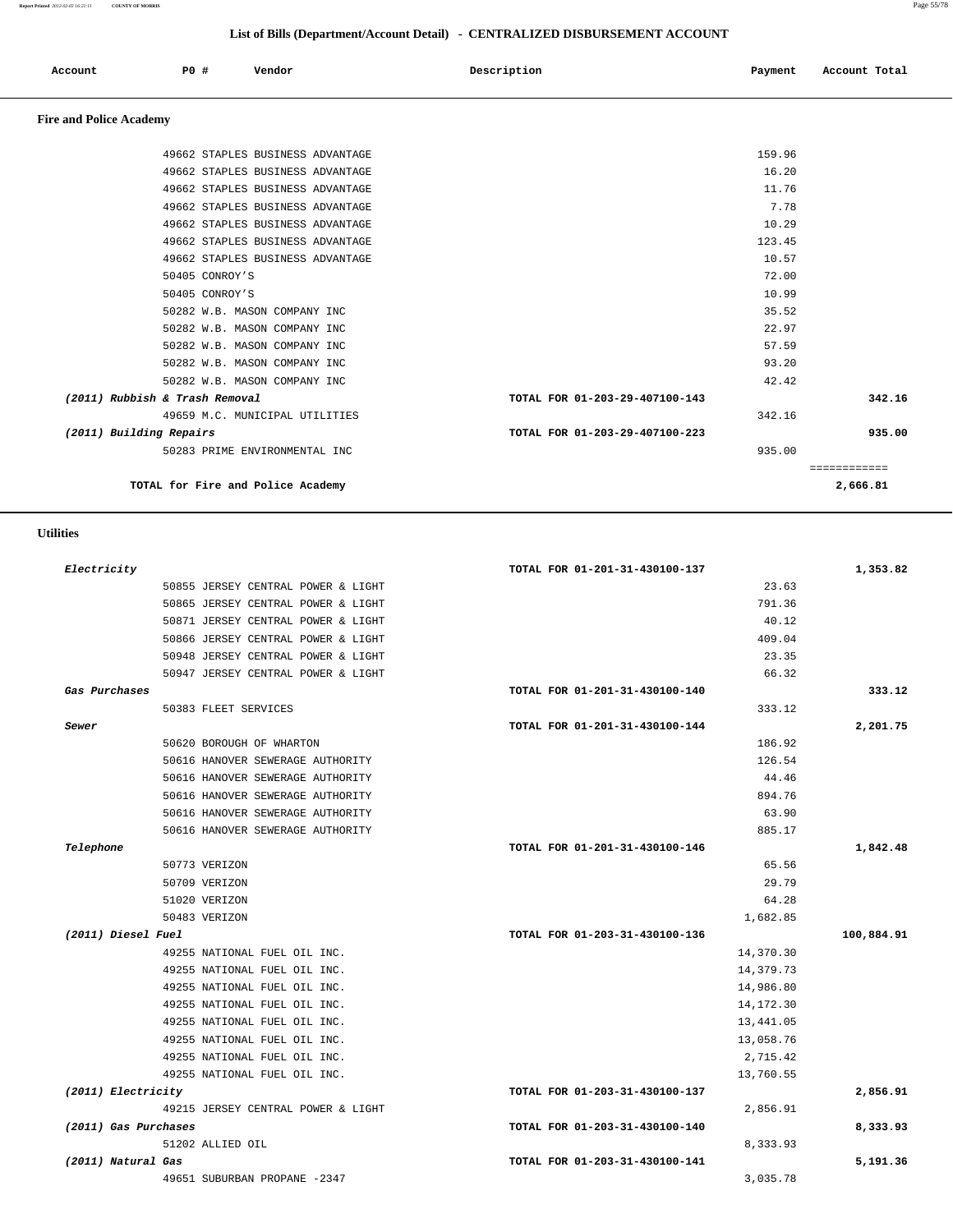**Report Printed** *2012-02-03 16:21:11* **COUNTY OF MORRIS** Page 55/78

## **List of Bills (Department/Account Detail) - CENTRALIZED DISBURSEMENT ACCOUNT**

| Account<br>. | P0 # | Vendor | Description<br>. | Payment | Account Total |
|--------------|------|--------|------------------|---------|---------------|
|              |      |        |                  |         |               |

# **Fire and Police Academy**

|                                | 49662 STAPLES BUSINESS ADVANTAGE  |                                | 159.96 |              |
|--------------------------------|-----------------------------------|--------------------------------|--------|--------------|
|                                | 49662 STAPLES BUSINESS ADVANTAGE  |                                | 16.20  |              |
|                                | 49662 STAPLES BUSINESS ADVANTAGE  |                                | 11.76  |              |
|                                | 49662 STAPLES BUSINESS ADVANTAGE  |                                | 7.78   |              |
|                                | 49662 STAPLES BUSINESS ADVANTAGE  |                                | 10.29  |              |
|                                | 49662 STAPLES BUSINESS ADVANTAGE  |                                | 123.45 |              |
|                                | 49662 STAPLES BUSINESS ADVANTAGE  |                                | 10.57  |              |
|                                | 50405 CONROY'S                    |                                | 72.00  |              |
|                                | 50405 CONROY'S                    |                                | 10.99  |              |
|                                | 50282 W.B. MASON COMPANY INC      |                                | 35.52  |              |
|                                | 50282 W.B. MASON COMPANY INC      |                                | 22.97  |              |
|                                | 50282 W.B. MASON COMPANY INC      |                                | 57.59  |              |
|                                | 50282 W.B. MASON COMPANY INC      |                                | 93.20  |              |
|                                | 50282 W.B. MASON COMPANY INC      |                                | 42.42  |              |
| (2011) Rubbish & Trash Removal |                                   | TOTAL FOR 01-203-29-407100-143 |        | 342.16       |
|                                | 49659 M.C. MUNICIPAL UTILITIES    |                                | 342.16 |              |
| (2011) Building Repairs        |                                   | TOTAL FOR 01-203-29-407100-223 |        | 935.00       |
|                                | 50283 PRIME ENVIRONMENTAL INC     |                                | 935.00 |              |
|                                |                                   |                                |        | ============ |
|                                | TOTAL for Fire and Police Academy |                                |        | 2,666.81     |
|                                |                                   |                                |        |              |

## **Utilities**

| Electricity          |                                    | TOTAL FOR 01-201-31-430100-137 | 1,353.82   |
|----------------------|------------------------------------|--------------------------------|------------|
|                      | 50855 JERSEY CENTRAL POWER & LIGHT | 23.63                          |            |
|                      | 50865 JERSEY CENTRAL POWER & LIGHT | 791.36                         |            |
|                      | 50871 JERSEY CENTRAL POWER & LIGHT | 40.12                          |            |
|                      | 50866 JERSEY CENTRAL POWER & LIGHT | 409.04                         |            |
|                      | 50948 JERSEY CENTRAL POWER & LIGHT | 23.35                          |            |
|                      | 50947 JERSEY CENTRAL POWER & LIGHT | 66.32                          |            |
| Gas Purchases        |                                    | TOTAL FOR 01-201-31-430100-140 | 333.12     |
|                      | 50383 FLEET SERVICES               | 333.12                         |            |
| Sewer                |                                    | TOTAL FOR 01-201-31-430100-144 | 2,201.75   |
|                      | 50620 BOROUGH OF WHARTON           | 186.92                         |            |
|                      | 50616 HANOVER SEWERAGE AUTHORITY   | 126.54                         |            |
|                      | 50616 HANOVER SEWERAGE AUTHORITY   | 44.46                          |            |
|                      | 50616 HANOVER SEWERAGE AUTHORITY   | 894.76                         |            |
|                      | 50616 HANOVER SEWERAGE AUTHORITY   | 63.90                          |            |
|                      | 50616 HANOVER SEWERAGE AUTHORITY   | 885.17                         |            |
| Telephone            |                                    | TOTAL FOR 01-201-31-430100-146 | 1,842.48   |
|                      | 50773 VERIZON                      | 65.56                          |            |
|                      | 50709 VERIZON                      | 29.79                          |            |
|                      | 51020 VERIZON                      | 64.28                          |            |
|                      | 50483 VERIZON                      | 1,682.85                       |            |
| (2011) Diesel Fuel   |                                    | TOTAL FOR 01-203-31-430100-136 | 100,884.91 |
|                      | 49255 NATIONAL FUEL OIL INC.       | 14,370.30                      |            |
|                      | 49255 NATIONAL FUEL OIL INC.       | 14,379.73                      |            |
|                      | 49255 NATIONAL FUEL OIL INC.       | 14,986.80                      |            |
|                      | 49255 NATIONAL FUEL OIL INC.       | 14,172.30                      |            |
|                      | 49255 NATIONAL FUEL OIL INC.       | 13,441.05                      |            |
|                      | 49255 NATIONAL FUEL OIL INC.       | 13,058.76                      |            |
|                      | 49255 NATIONAL FUEL OIL INC.       | 2,715.42                       |            |
|                      | 49255 NATIONAL FUEL OIL INC.       | 13,760.55                      |            |
| (2011) Electricity   |                                    | TOTAL FOR 01-203-31-430100-137 | 2,856.91   |
|                      | 49215 JERSEY CENTRAL POWER & LIGHT | 2,856.91                       |            |
| (2011) Gas Purchases |                                    | TOTAL FOR 01-203-31-430100-140 | 8,333.93   |
|                      | 51202 ALLIED OIL                   | 8,333.93                       |            |
| (2011) Natural Gas   |                                    | TOTAL FOR 01-203-31-430100-141 | 5,191.36   |
|                      | 49651 SUBURBAN PROPANE -2347       | 3,035.78                       |            |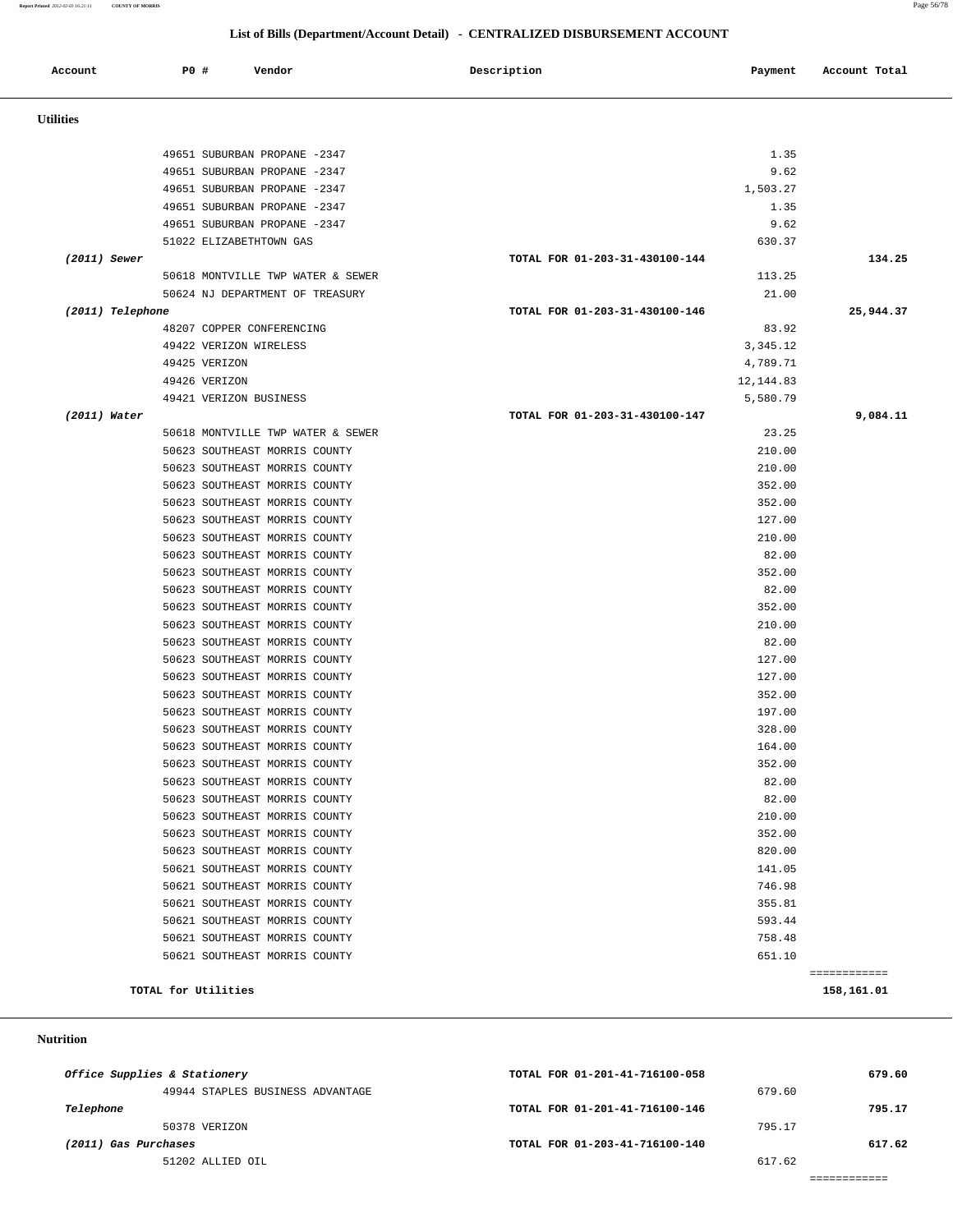**Report Printed** *2012-02-03 16:21:11* **COUNTY OF MORRIS** Page 56/78

## **List of Bills (Department/Account Detail) - CENTRALIZED DISBURSEMENT ACCOUNT**

| Account          | <b>PO #</b> |                        | Vendor                                                         | Description                    | Payment          | Account Total |
|------------------|-------------|------------------------|----------------------------------------------------------------|--------------------------------|------------------|---------------|
| <b>Utilities</b> |             |                        |                                                                |                                |                  |               |
|                  |             |                        | 49651 SUBURBAN PROPANE -2347                                   |                                | 1.35             |               |
|                  |             |                        | 49651 SUBURBAN PROPANE -2347                                   |                                | 9.62             |               |
|                  |             |                        | 49651 SUBURBAN PROPANE -2347                                   |                                | 1,503.27         |               |
|                  |             |                        | 49651 SUBURBAN PROPANE -2347                                   |                                | 1.35             |               |
|                  |             |                        | 49651 SUBURBAN PROPANE -2347                                   |                                | 9.62             |               |
|                  |             |                        | 51022 ELIZABETHTOWN GAS                                        |                                | 630.37           |               |
| $(2011)$ Sewer   |             |                        |                                                                | TOTAL FOR 01-203-31-430100-144 |                  | 134.25        |
|                  |             |                        | 50618 MONTVILLE TWP WATER & SEWER                              |                                | 113.25           |               |
|                  |             |                        | 50624 NJ DEPARTMENT OF TREASURY                                |                                | 21.00            |               |
| (2011) Telephone |             |                        |                                                                | TOTAL FOR 01-203-31-430100-146 |                  | 25,944.37     |
|                  |             |                        | 48207 COPPER CONFERENCING                                      |                                | 83.92            |               |
|                  |             | 49422 VERIZON WIRELESS |                                                                |                                | 3,345.12         |               |
|                  |             | 49425 VERIZON          |                                                                |                                | 4,789.71         |               |
|                  |             | 49426 VERIZON          |                                                                |                                | 12,144.83        |               |
|                  |             | 49421 VERIZON BUSINESS |                                                                |                                | 5,580.79         |               |
| $(2011)$ Water   |             |                        |                                                                | TOTAL FOR 01-203-31-430100-147 |                  | 9,084.11      |
|                  |             |                        | 50618 MONTVILLE TWP WATER & SEWER                              |                                | 23.25            |               |
|                  |             |                        | 50623 SOUTHEAST MORRIS COUNTY                                  |                                | 210.00           |               |
|                  |             |                        | 50623 SOUTHEAST MORRIS COUNTY                                  |                                | 210.00           |               |
|                  |             |                        | 50623 SOUTHEAST MORRIS COUNTY                                  |                                | 352.00           |               |
|                  |             |                        | 50623 SOUTHEAST MORRIS COUNTY                                  |                                | 352.00           |               |
|                  |             |                        | 50623 SOUTHEAST MORRIS COUNTY                                  |                                | 127.00           |               |
|                  |             |                        | 50623 SOUTHEAST MORRIS COUNTY                                  |                                | 210.00           |               |
|                  |             |                        | 50623 SOUTHEAST MORRIS COUNTY                                  |                                | 82.00            |               |
|                  |             |                        | 50623 SOUTHEAST MORRIS COUNTY                                  |                                | 352.00           |               |
|                  |             |                        | 50623 SOUTHEAST MORRIS COUNTY                                  |                                | 82.00            |               |
|                  |             |                        | 50623 SOUTHEAST MORRIS COUNTY                                  |                                | 352.00           |               |
|                  |             |                        | 50623 SOUTHEAST MORRIS COUNTY                                  |                                | 210.00           |               |
|                  |             |                        | 50623 SOUTHEAST MORRIS COUNTY                                  |                                | 82.00            |               |
|                  |             |                        | 50623 SOUTHEAST MORRIS COUNTY                                  |                                | 127.00           |               |
|                  |             |                        | 50623 SOUTHEAST MORRIS COUNTY                                  |                                | 127.00           |               |
|                  |             |                        | 50623 SOUTHEAST MORRIS COUNTY                                  |                                | 352.00           |               |
|                  |             |                        | 50623 SOUTHEAST MORRIS COUNTY                                  |                                | 197.00           |               |
|                  |             |                        | 50623 SOUTHEAST MORRIS COUNTY                                  |                                | 328.00           |               |
|                  |             |                        | 50623 SOUTHEAST MORRIS COUNTY                                  |                                | 164.00           |               |
|                  |             |                        | 50623 SOUTHEAST MORRIS COUNTY                                  |                                | 352.00           |               |
|                  |             |                        | 50623 SOUTHEAST MORRIS COUNTY                                  |                                | 82.00            |               |
|                  |             |                        | 50623 SOUTHEAST MORRIS COUNTY                                  |                                | 82.00            |               |
|                  |             |                        | 50623 SOUTHEAST MORRIS COUNTY                                  |                                | 210.00           |               |
|                  |             |                        | 50623 SOUTHEAST MORRIS COUNTY                                  |                                | 352.00           |               |
|                  |             |                        | 50623 SOUTHEAST MORRIS COUNTY                                  |                                | 820.00           |               |
|                  |             |                        | 50621 SOUTHEAST MORRIS COUNTY<br>50621 SOUTHEAST MORRIS COUNTY |                                | 141.05<br>746.98 |               |
|                  |             |                        | 50621 SOUTHEAST MORRIS COUNTY                                  |                                | 355.81           |               |
|                  |             |                        | 50621 SOUTHEAST MORRIS COUNTY                                  |                                | 593.44           |               |
|                  |             |                        | 50621 SOUTHEAST MORRIS COUNTY                                  |                                | 758.48           |               |
|                  |             |                        | 50621 SOUTHEAST MORRIS COUNTY                                  |                                | 651.10           |               |
|                  |             |                        |                                                                |                                |                  | ============  |
|                  |             | TOTAL for Utilities    |                                                                |                                |                  | 158,161.01    |

 **Nutrition** 

| Office Supplies & Stationery     | TOTAL FOR 01-201-41-716100-058 | 679.60 |  |
|----------------------------------|--------------------------------|--------|--|
| 49944 STAPLES BUSINESS ADVANTAGE |                                | 679.60 |  |
| Telephone                        | TOTAL FOR 01-201-41-716100-146 | 795.17 |  |
| 50378 VERIZON                    |                                | 795.17 |  |
| (2011) Gas Purchases             | TOTAL FOR 01-203-41-716100-140 | 617.62 |  |
| 51202 ALLIED OIL                 |                                | 617.62 |  |
|                                  |                                |        |  |